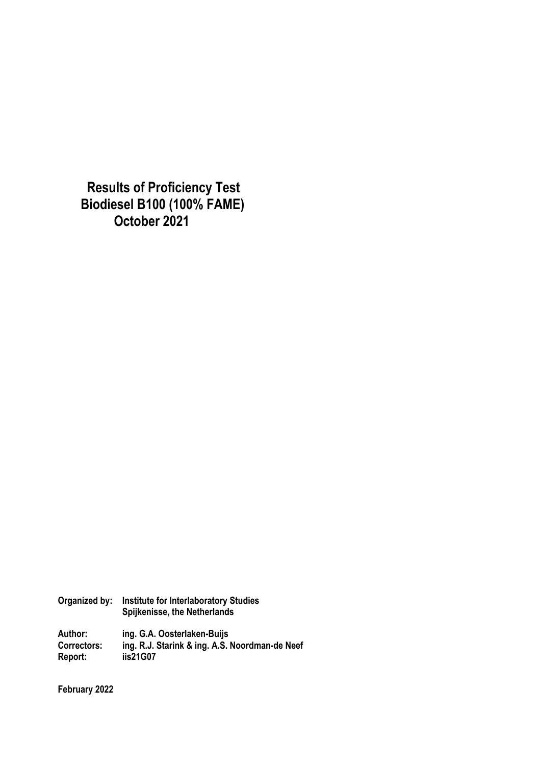**Results of Proficiency Test Biodiesel B100 (100% FAME) October 2021**

**Organized by: Institute for Interlaboratory Studies Spijkenisse, the Netherlands Author: ing. G.A. Oosterlaken-Buijs** 

**Correctors: ing. R.J. Starink & ing. A.S. Noordman-de Neef Report: iis21G07** 

**February 2022**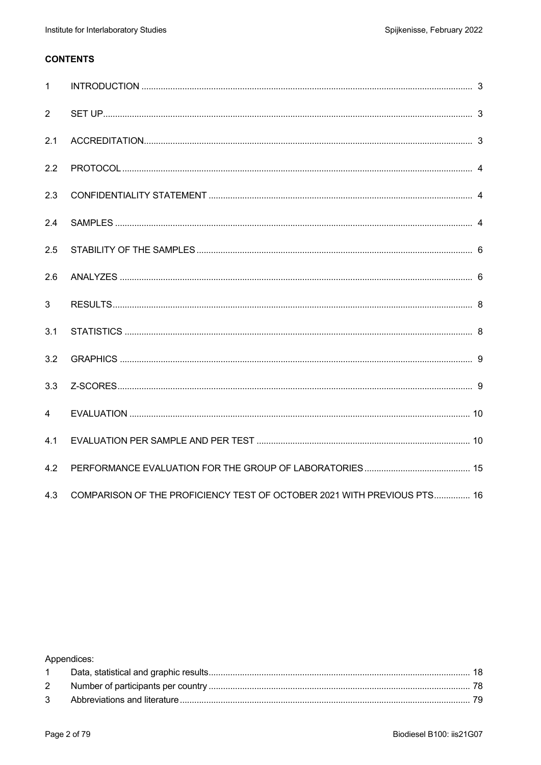#### **CONTENTS**

| $\mathbf{1}$   |                                                                         |  |
|----------------|-------------------------------------------------------------------------|--|
| 2              |                                                                         |  |
| 2.1            |                                                                         |  |
| 2.2            |                                                                         |  |
| 2.3            |                                                                         |  |
| 2.4            |                                                                         |  |
| 2.5            |                                                                         |  |
| 2.6            |                                                                         |  |
| 3              |                                                                         |  |
| 3.1            |                                                                         |  |
| 3.2            |                                                                         |  |
| 3.3            |                                                                         |  |
| $\overline{4}$ |                                                                         |  |
| 4.1            |                                                                         |  |
| 4.2            |                                                                         |  |
| 4.3            | COMPARISON OF THE PROFICIENCY TEST OF OCTOBER 2021 WITH PREVIOUS PTS 16 |  |

Appendices: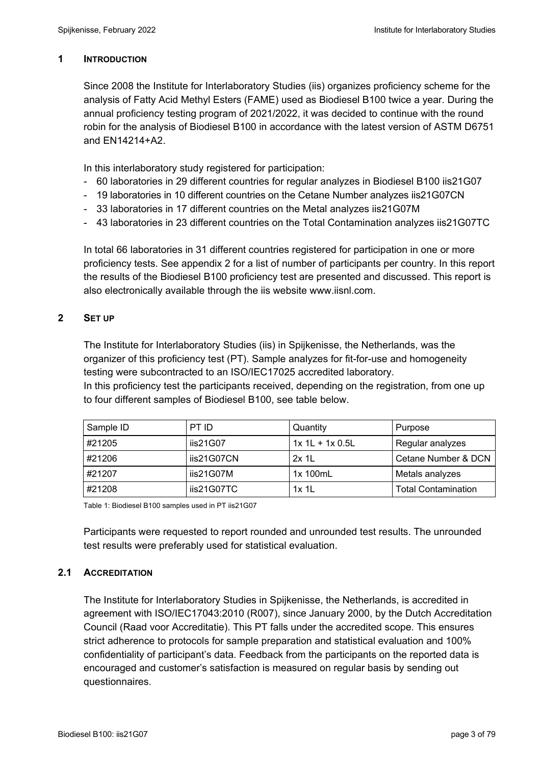#### **1 INTRODUCTION**

Since 2008 the Institute for Interlaboratory Studies (iis) organizes proficiency scheme for the analysis of Fatty Acid Methyl Esters (FAME) used as Biodiesel B100 twice a year. During the annual proficiency testing program of 2021/2022, it was decided to continue with the round robin for the analysis of Biodiesel B100 in accordance with the latest version of ASTM D6751 and EN14214+A2.

In this interlaboratory study registered for participation:

- 60 laboratories in 29 different countries for regular analyzes in Biodiesel B100 iis21G07
- 19 laboratories in 10 different countries on the Cetane Number analyzes iis21G07CN
- 33 laboratories in 17 different countries on the Metal analyzes iis21G07M
- 43 laboratories in 23 different countries on the Total Contamination analyzes iis21G07TC

In total 66 laboratories in 31 different countries registered for participation in one or more proficiency tests. See appendix 2 for a list of number of participants per country. In this report the results of the Biodiesel B100 proficiency test are presented and discussed. This report is also electronically available through the iis website www.iisnl.com.

## **2 SET UP**

The Institute for Interlaboratory Studies (iis) in Spijkenisse, the Netherlands, was the organizer of this proficiency test (PT). Sample analyzes for fit-for-use and homogeneity testing were subcontracted to an ISO/IEC17025 accredited laboratory.

In this proficiency test the participants received, depending on the registration, from one up to four different samples of Biodiesel B100, see table below.

| Sample ID | PT ID      | Quantity          | Purpose                    |  |
|-----------|------------|-------------------|----------------------------|--|
| #21205    | iis21G07   | $1x$ 1L + 1x 0.5L | Regular analyzes           |  |
| #21206    | iis21G07CN | 2x1L              | Cetane Number & DCN        |  |
| #21207    | iis21G07M  | 1x 100mL          | Metals analyzes            |  |
| #21208    | iis21G07TC | 1x1L              | <b>Total Contamination</b> |  |

Table 1: Biodiesel B100 samples used in PT iis21G07

Participants were requested to report rounded and unrounded test results. The unrounded test results were preferably used for statistical evaluation.

## **2.1 ACCREDITATION**

The Institute for Interlaboratory Studies in Spijkenisse, the Netherlands, is accredited in agreement with ISO/IEC17043:2010 (R007), since January 2000, by the Dutch Accreditation Council (Raad voor Accreditatie). This PT falls under the accredited scope. This ensures strict adherence to protocols for sample preparation and statistical evaluation and 100% confidentiality of participant's data. Feedback from the participants on the reported data is encouraged and customer's satisfaction is measured on regular basis by sending out questionnaires.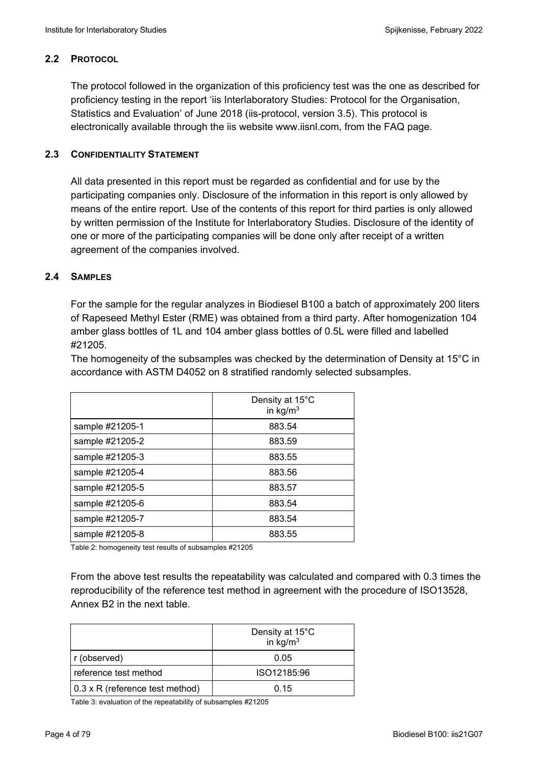#### **2.2 PROTOCOL**

The protocol followed in the organization of this proficiency test was the one as described for proficiency testing in the report 'iis Interlaboratory Studies: Protocol for the Organisation, Statistics and Evaluation' of June 2018 (iis-protocol, version 3.5). This protocol is electronically available through the iis website www.iisnl.com, from the FAQ page.

#### **2.3 CONFIDENTIALITY STATEMENT**

All data presented in this report must be regarded as confidential and for use by the participating companies only. Disclosure of the information in this report is only allowed by means of the entire report. Use of the contents of this report for third parties is only allowed by written permission of the Institute for Interlaboratory Studies. Disclosure of the identity of one or more of the participating companies will be done only after receipt of a written agreement of the companies involved.

#### **2.4 SAMPLES**

For the sample for the regular analyzes in Biodiesel B100 a batch of approximately 200 liters of Rapeseed Methyl Ester (RME) was obtained from a third party. After homogenization 104 amber glass bottles of 1L and 104 amber glass bottles of 0.5L were filled and labelled #21205.

The homogeneity of the subsamples was checked by the determination of Density at 15°C in accordance with ASTM D4052 on 8 stratified randomly selected subsamples.

|                 | Density at 15°C<br>in $kg/m3$ |
|-----------------|-------------------------------|
| sample #21205-1 | 883.54                        |
| sample #21205-2 | 883.59                        |
| sample #21205-3 | 883.55                        |
| sample #21205-4 | 883.56                        |
| sample #21205-5 | 883.57                        |
| sample #21205-6 | 883.54                        |
| sample #21205-7 | 883.54                        |
| sample #21205-8 | 883.55                        |

Table 2: homogeneity test results of subsamples #21205

From the above test results the repeatability was calculated and compared with 0.3 times the reproducibility of the reference test method in agreement with the procedure of ISO13528, Annex B2 in the next table.

|                                 | Density at 15°C<br>in $\text{kg/m}^3$ |
|---------------------------------|---------------------------------------|
| r (observed)                    | 0.05                                  |
| reference test method           | ISO12185:96                           |
| 0.3 x R (reference test method) | በ 15                                  |

Table 3: evaluation of the repeatability of subsamples #21205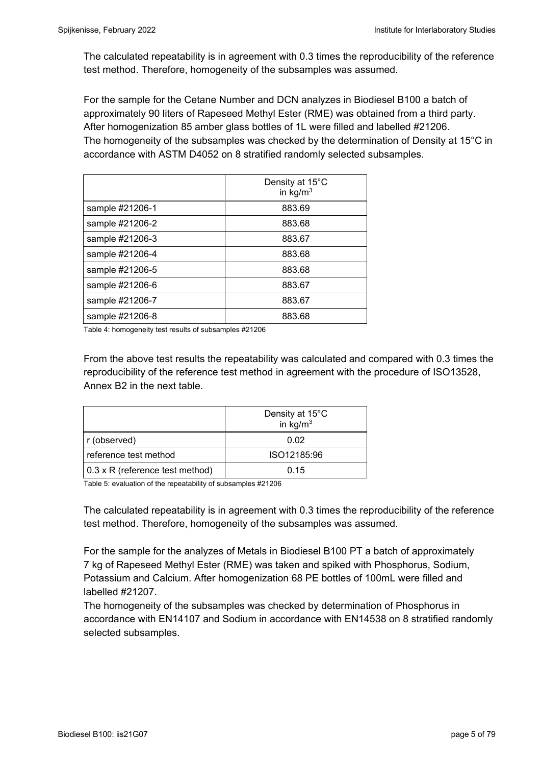The calculated repeatability is in agreement with 0.3 times the reproducibility of the reference test method. Therefore, homogeneity of the subsamples was assumed.

For the sample for the Cetane Number and DCN analyzes in Biodiesel B100 a batch of approximately 90 liters of Rapeseed Methyl Ester (RME) was obtained from a third party. After homogenization 85 amber glass bottles of 1L were filled and labelled #21206. The homogeneity of the subsamples was checked by the determination of Density at 15°C in accordance with ASTM D4052 on 8 stratified randomly selected subsamples.

|                 | Density at 15°C<br>in $kg/m3$ |
|-----------------|-------------------------------|
| sample #21206-1 | 883.69                        |
| sample #21206-2 | 883.68                        |
| sample #21206-3 | 883.67                        |
| sample #21206-4 | 883.68                        |
| sample #21206-5 | 883.68                        |
| sample #21206-6 | 883.67                        |
| sample #21206-7 | 883.67                        |
| sample #21206-8 | 883.68                        |

Table 4: homogeneity test results of subsamples #21206

From the above test results the repeatability was calculated and compared with 0.3 times the reproducibility of the reference test method in agreement with the procedure of ISO13528, Annex B2 in the next table.

|                                 | Density at 15°C<br>in $\text{kg/m}^3$ |
|---------------------------------|---------------------------------------|
| r (observed)                    | 0.02                                  |
| reference test method           | ISO12185:96                           |
| 0.3 x R (reference test method) | 0.15                                  |

Table 5: evaluation of the repeatability of subsamples #21206

The calculated repeatability is in agreement with 0.3 times the reproducibility of the reference test method. Therefore, homogeneity of the subsamples was assumed.

For the sample for the analyzes of Metals in Biodiesel B100 PT a batch of approximately 7 kg of Rapeseed Methyl Ester (RME) was taken and spiked with Phosphorus, Sodium, Potassium and Calcium. After homogenization 68 PE bottles of 100mL were filled and labelled #21207.

The homogeneity of the subsamples was checked by determination of Phosphorus in accordance with EN14107 and Sodium in accordance with EN14538 on 8 stratified randomly selected subsamples.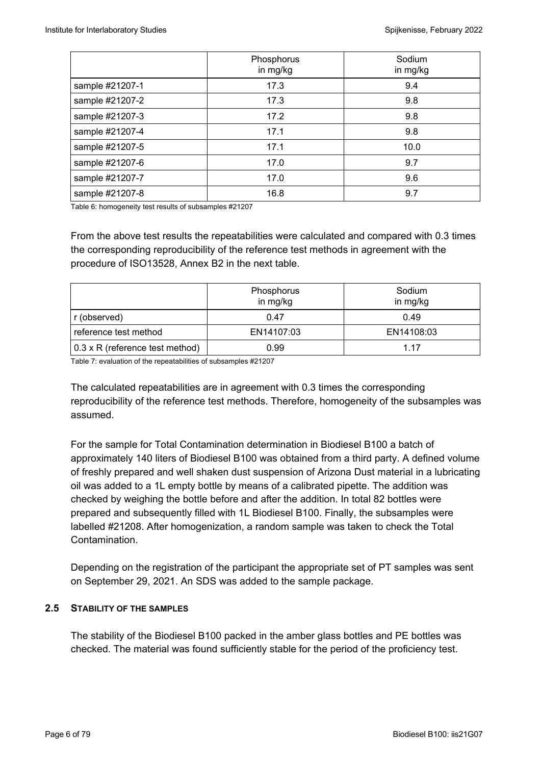|                 | Phosphorus<br>in mg/kg | Sodium<br>in mg/kg |
|-----------------|------------------------|--------------------|
| sample #21207-1 | 17.3                   | 9.4                |
| sample #21207-2 | 17.3                   | 9.8                |
| sample #21207-3 | 17.2                   | 9.8                |
| sample #21207-4 | 17.1                   | 9.8                |
| sample #21207-5 | 17.1                   | 10.0               |
| sample #21207-6 | 17.0                   | 9.7                |
| sample #21207-7 | 17.0                   | 9.6                |
| sample #21207-8 | 16.8                   | 9.7                |

Table 6: homogeneity test results of subsamples #21207

From the above test results the repeatabilities were calculated and compared with 0.3 times the corresponding reproducibility of the reference test methods in agreement with the procedure of ISO13528, Annex B2 in the next table.

|                                        | Phosphorus<br>in mg/kg | Sodium<br>in mg/kg |  |
|----------------------------------------|------------------------|--------------------|--|
| r (observed)                           | 0.47                   | 0.49               |  |
| reference test method                  | EN14107:03             | EN14108:03         |  |
| $0.3 \times R$ (reference test method) | 0.99                   | 1.17               |  |

Table 7: evaluation of the repeatabilities of subsamples #21207

The calculated repeatabilities are in agreement with 0.3 times the corresponding reproducibility of the reference test methods. Therefore, homogeneity of the subsamples was assumed.

For the sample for Total Contamination determination in Biodiesel B100 a batch of approximately 140 liters of Biodiesel B100 was obtained from a third party. A defined volume of freshly prepared and well shaken dust suspension of Arizona Dust material in a lubricating oil was added to a 1L empty bottle by means of a calibrated pipette. The addition was checked by weighing the bottle before and after the addition. In total 82 bottles were prepared and subsequently filled with 1L Biodiesel B100. Finally, the subsamples were labelled #21208. After homogenization, a random sample was taken to check the Total Contamination.

Depending on the registration of the participant the appropriate set of PT samples was sent on September 29, 2021. An SDS was added to the sample package.

#### **2.5 STABILITY OF THE SAMPLES**

The stability of the Biodiesel B100 packed in the amber glass bottles and PE bottles was checked. The material was found sufficiently stable for the period of the proficiency test.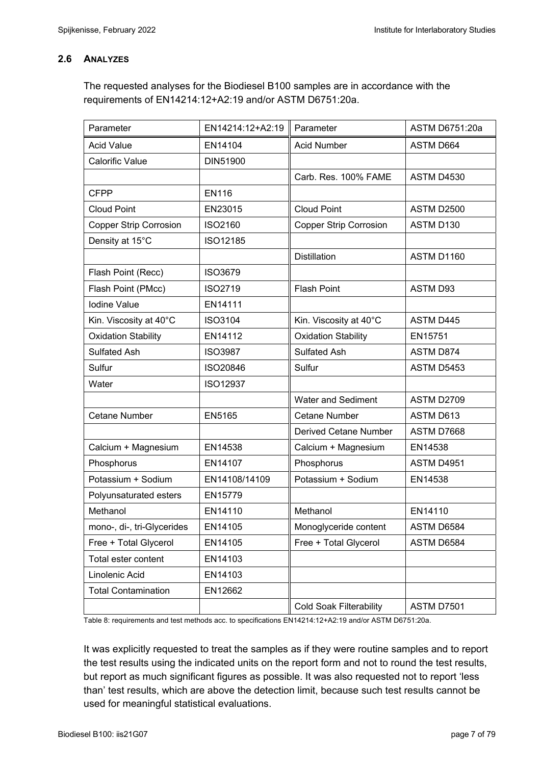### **2.6 ANALYZES**

The requested analyses for the Biodiesel B100 samples are in accordance with the requirements of EN14214:12+A2:19 and/or ASTM D6751:20a.

| Parameter                      | EN14214:12+A2:19 | Parameter                      | ASTM D6751:20a    |
|--------------------------------|------------------|--------------------------------|-------------------|
| <b>Acid Value</b>              | EN14104          | <b>Acid Number</b>             | ASTM D664         |
| Calorific Value                | DIN51900         |                                |                   |
|                                |                  | Carb. Res. 100% FAME           | <b>ASTM D4530</b> |
| <b>CFPP</b>                    | <b>EN116</b>     |                                |                   |
| <b>Cloud Point</b>             | EN23015          | <b>Cloud Point</b>             | <b>ASTM D2500</b> |
| <b>Copper Strip Corrosion</b>  | ISO2160          | <b>Copper Strip Corrosion</b>  | ASTM D130         |
| Density at 15°C                | ISO12185         |                                |                   |
|                                |                  | <b>Distillation</b>            | ASTM D1160        |
| Flash Point (Recc)             | <b>ISO3679</b>   |                                |                   |
| Flash Point (PMcc)             | ISO2719          | <b>Flash Point</b>             | ASTM D93          |
| <b>Iodine Value</b>            | EN14111          |                                |                   |
| Kin. Viscosity at 40°C         | ISO3104          | Kin. Viscosity at 40°C         | ASTM D445         |
| <b>Oxidation Stability</b>     | EN14112          | <b>Oxidation Stability</b>     | EN15751           |
| <b>Sulfated Ash</b>            | <b>ISO3987</b>   | <b>Sulfated Ash</b>            | <b>ASTM D874</b>  |
| Sulfur                         | ISO20846         | Sulfur                         | ASTM D5453        |
| Water                          | ISO12937         |                                |                   |
|                                |                  | <b>Water and Sediment</b>      | <b>ASTM D2709</b> |
| <b>Cetane Number</b><br>EN5165 |                  | <b>Cetane Number</b>           | ASTM D613         |
|                                |                  | <b>Derived Cetane Number</b>   | ASTM D7668        |
| Calcium + Magnesium            | EN14538          | Calcium + Magnesium            | EN14538           |
| Phosphorus                     | EN14107          | Phosphorus                     | <b>ASTM D4951</b> |
| Potassium + Sodium             | EN14108/14109    | Potassium + Sodium             | EN14538           |
| Polyunsaturated esters         | EN15779          |                                |                   |
| Methanol                       | EN14110          | Methanol                       | EN14110           |
| mono-, di-, tri-Glycerides     | EN14105          | Monoglyceride content          | ASTM D6584        |
| Free + Total Glycerol          | EN14105          | Free + Total Glycerol          | ASTM D6584        |
| Total ester content            | EN14103          |                                |                   |
| Linolenic Acid<br>EN14103      |                  |                                |                   |
| <b>Total Contamination</b>     | EN12662          |                                |                   |
|                                |                  | <b>Cold Soak Filterability</b> | ASTM D7501        |

Table 8: requirements and test methods acc. to specifications EN14214:12+A2:19 and/or ASTM D6751:20a.

It was explicitly requested to treat the samples as if they were routine samples and to report the test results using the indicated units on the report form and not to round the test results, but report as much significant figures as possible. It was also requested not to report 'less than' test results, which are above the detection limit, because such test results cannot be used for meaningful statistical evaluations.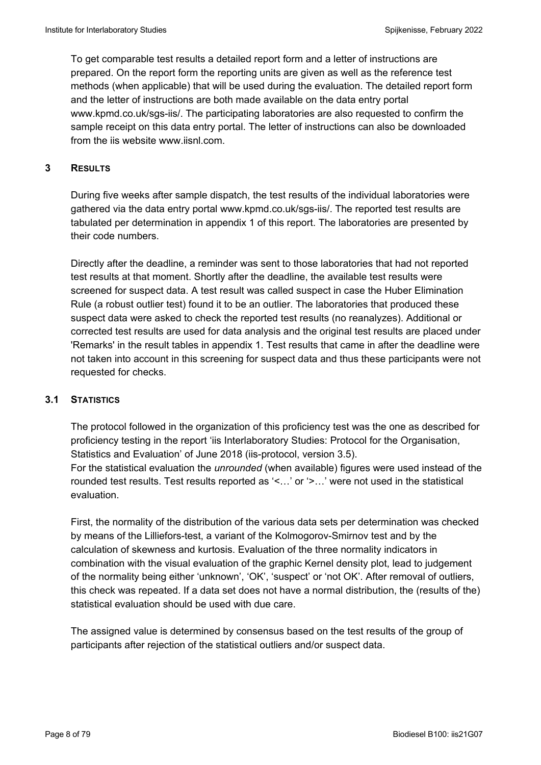To get comparable test results a detailed report form and a letter of instructions are prepared. On the report form the reporting units are given as well as the reference test methods (when applicable) that will be used during the evaluation. The detailed report form and the letter of instructions are both made available on the data entry portal www.kpmd.co.uk/sgs-iis/. The participating laboratories are also requested to confirm the sample receipt on this data entry portal. The letter of instructions can also be downloaded from the iis website www.iisnl.com.

#### **3 RESULTS**

During five weeks after sample dispatch, the test results of the individual laboratories were gathered via the data entry portal www.kpmd.co.uk/sgs-iis/. The reported test results are tabulated per determination in appendix 1 of this report. The laboratories are presented by their code numbers.

Directly after the deadline, a reminder was sent to those laboratories that had not reported test results at that moment. Shortly after the deadline, the available test results were screened for suspect data. A test result was called suspect in case the Huber Elimination Rule (a robust outlier test) found it to be an outlier. The laboratories that produced these suspect data were asked to check the reported test results (no reanalyzes). Additional or corrected test results are used for data analysis and the original test results are placed under 'Remarks' in the result tables in appendix 1. Test results that came in after the deadline were not taken into account in this screening for suspect data and thus these participants were not requested for checks.

#### **3.1 STATISTICS**

The protocol followed in the organization of this proficiency test was the one as described for proficiency testing in the report 'iis Interlaboratory Studies: Protocol for the Organisation, Statistics and Evaluation' of June 2018 (iis-protocol, version 3.5). For the statistical evaluation the *unrounded* (when available) figures were used instead of the rounded test results. Test results reported as '<…' or '>…' were not used in the statistical evaluation.

First, the normality of the distribution of the various data sets per determination was checked by means of the Lilliefors-test, a variant of the Kolmogorov-Smirnov test and by the calculation of skewness and kurtosis. Evaluation of the three normality indicators in combination with the visual evaluation of the graphic Kernel density plot, lead to judgement of the normality being either 'unknown', 'OK', 'suspect' or 'not OK'. After removal of outliers, this check was repeated. If a data set does not have a normal distribution, the (results of the) statistical evaluation should be used with due care.

The assigned value is determined by consensus based on the test results of the group of participants after rejection of the statistical outliers and/or suspect data.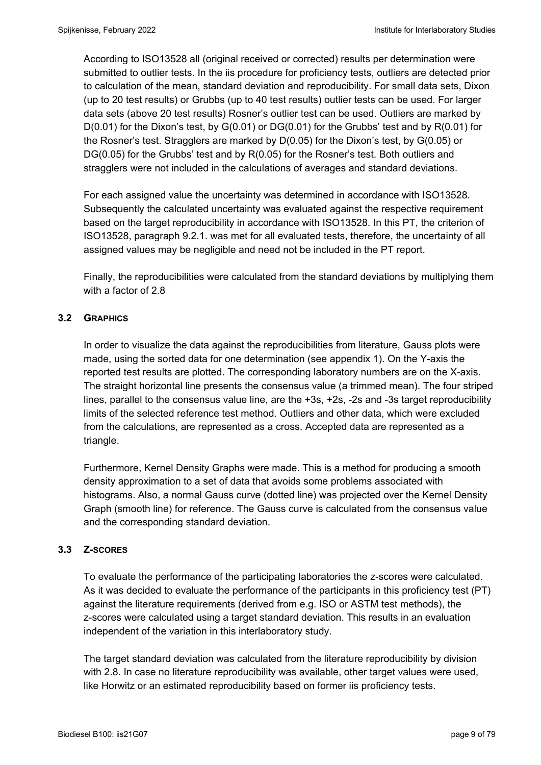According to ISO13528 all (original received or corrected) results per determination were submitted to outlier tests. In the iis procedure for proficiency tests, outliers are detected prior to calculation of the mean, standard deviation and reproducibility. For small data sets, Dixon (up to 20 test results) or Grubbs (up to 40 test results) outlier tests can be used. For larger data sets (above 20 test results) Rosner's outlier test can be used. Outliers are marked by D(0.01) for the Dixon's test, by G(0.01) or DG(0.01) for the Grubbs' test and by R(0.01) for the Rosner's test. Stragglers are marked by D(0.05) for the Dixon's test, by G(0.05) or DG(0.05) for the Grubbs' test and by R(0.05) for the Rosner's test. Both outliers and stragglers were not included in the calculations of averages and standard deviations.

For each assigned value the uncertainty was determined in accordance with ISO13528. Subsequently the calculated uncertainty was evaluated against the respective requirement based on the target reproducibility in accordance with ISO13528. In this PT, the criterion of ISO13528, paragraph 9.2.1. was met for all evaluated tests, therefore, the uncertainty of all assigned values may be negligible and need not be included in the PT report.

Finally, the reproducibilities were calculated from the standard deviations by multiplying them with a factor of 2.8

#### **3.2 GRAPHICS**

In order to visualize the data against the reproducibilities from literature, Gauss plots were made, using the sorted data for one determination (see appendix 1). On the Y-axis the reported test results are plotted. The corresponding laboratory numbers are on the X-axis. The straight horizontal line presents the consensus value (a trimmed mean). The four striped lines, parallel to the consensus value line, are the +3s, +2s, -2s and -3s target reproducibility limits of the selected reference test method. Outliers and other data, which were excluded from the calculations, are represented as a cross. Accepted data are represented as a triangle.

Furthermore, Kernel Density Graphs were made. This is a method for producing a smooth density approximation to a set of data that avoids some problems associated with histograms. Also, a normal Gauss curve (dotted line) was projected over the Kernel Density Graph (smooth line) for reference. The Gauss curve is calculated from the consensus value and the corresponding standard deviation.

#### **3.3 Z-SCORES**

To evaluate the performance of the participating laboratories the z-scores were calculated. As it was decided to evaluate the performance of the participants in this proficiency test (PT) against the literature requirements (derived from e.g. ISO or ASTM test methods), the z-scores were calculated using a target standard deviation. This results in an evaluation independent of the variation in this interlaboratory study.

The target standard deviation was calculated from the literature reproducibility by division with 2.8. In case no literature reproducibility was available, other target values were used, like Horwitz or an estimated reproducibility based on former iis proficiency tests.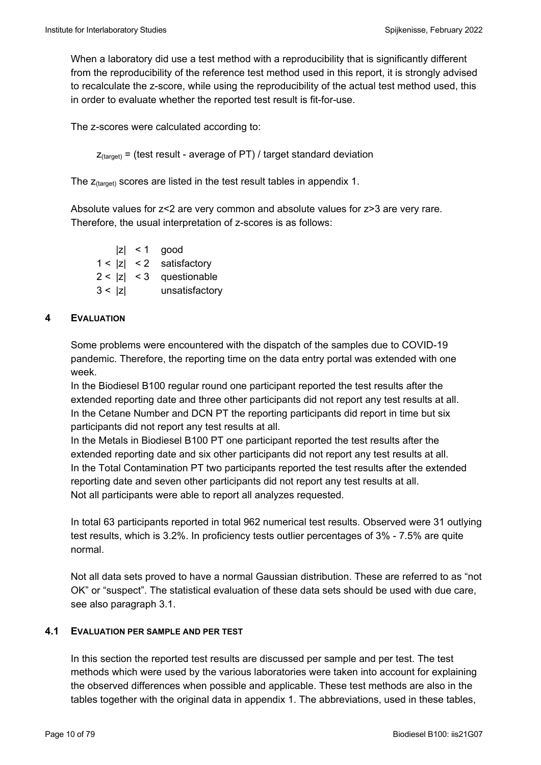When a laboratory did use a test method with a reproducibility that is significantly different from the reproducibility of the reference test method used in this report, it is strongly advised to recalculate the z-score, while using the reproducibility of the actual test method used, this in order to evaluate whether the reported test result is fit-for-use.

The z-scores were calculated according to:

 $Z_{\text{fran}et}$  = (test result - average of PT) / target standard deviation

The  $z_{\text{(target)}}$  scores are listed in the test result tables in appendix 1.

Absolute values for z<2 are very common and absolute values for z>3 are very rare. Therefore, the usual interpretation of z-scores is as follows:

|        | $ z  < 1$ good             |
|--------|----------------------------|
|        | $1 <  z  < 2$ satisfactory |
|        | $2 <  z  < 3$ questionable |
| 3 <  z | unsatisfactory             |

## **4 EVALUATION**

Some problems were encountered with the dispatch of the samples due to COVID-19 pandemic. Therefore, the reporting time on the data entry portal was extended with one week.

In the Biodiesel B100 regular round one participant reported the test results after the extended reporting date and three other participants did not report any test results at all. In the Cetane Number and DCN PT the reporting participants did report in time but six participants did not report any test results at all.

In the Metals in Biodiesel B100 PT one participant reported the test results after the extended reporting date and six other participants did not report any test results at all. In the Total Contamination PT two participants reported the test results after the extended reporting date and seven other participants did not report any test results at all. Not all participants were able to report all analyzes requested.

In total 63 participants reported in total 962 numerical test results. Observed were 31 outlying test results, which is 3.2%. In proficiency tests outlier percentages of 3% - 7.5% are quite normal.

Not all data sets proved to have a normal Gaussian distribution. These are referred to as "not OK" or "suspect". The statistical evaluation of these data sets should be used with due care, see also paragraph 3.1.

## **4.1 EVALUATION PER SAMPLE AND PER TEST**

In this section the reported test results are discussed per sample and per test. The test methods which were used by the various laboratories were taken into account for explaining the observed differences when possible and applicable. These test methods are also in the tables together with the original data in appendix 1. The abbreviations, used in these tables,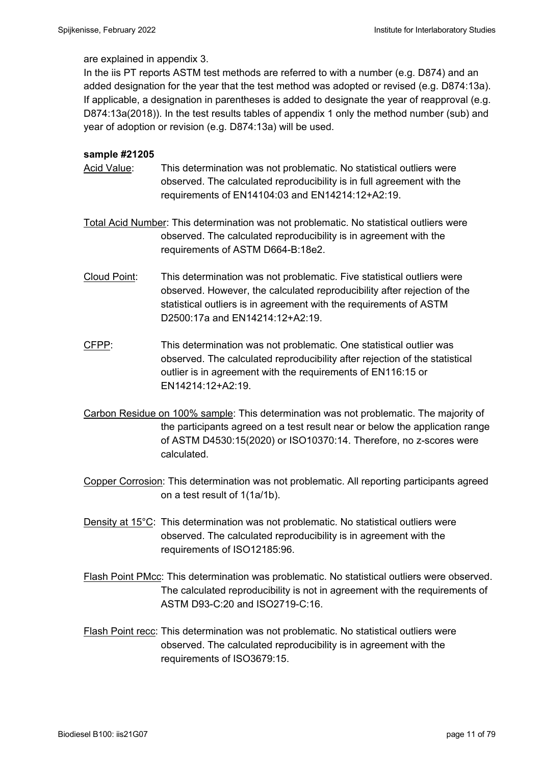#### are explained in appendix 3.

In the iis PT reports ASTM test methods are referred to with a number (e.g. D874) and an added designation for the year that the test method was adopted or revised (e.g. D874:13a). If applicable, a designation in parentheses is added to designate the year of reapproval (e.g. D874:13a(2018)). In the test results tables of appendix 1 only the method number (sub) and year of adoption or revision (e.g. D874:13a) will be used.

#### **sample #21205**

Acid Value: This determination was not problematic. No statistical outliers were observed. The calculated reproducibility is in full agreement with the requirements of EN14104:03 and EN14214:12+A2:19.

Total Acid Number: This determination was not problematic. No statistical outliers were observed. The calculated reproducibility is in agreement with the requirements of ASTM D664-B:18e2.

- Cloud Point: This determination was not problematic. Five statistical outliers were observed. However, the calculated reproducibility after rejection of the statistical outliers is in agreement with the requirements of ASTM D2500:17a and EN14214:12+A2:19.
- CFPP: This determination was not problematic. One statistical outlier was observed. The calculated reproducibility after rejection of the statistical outlier is in agreement with the requirements of EN116:15 or EN14214:12+A2:19.
- Carbon Residue on 100% sample: This determination was not problematic. The majority of the participants agreed on a test result near or below the application range of ASTM D4530:15(2020) or ISO10370:14. Therefore, no z-scores were calculated.
- Copper Corrosion: This determination was not problematic. All reporting participants agreed on a test result of 1(1a/1b).
- Density at 15°C: This determination was not problematic. No statistical outliers were observed. The calculated reproducibility is in agreement with the requirements of ISO12185:96.
- Flash Point PMcc: This determination was problematic. No statistical outliers were observed. The calculated reproducibility is not in agreement with the requirements of ASTM D93-C:20 and ISO2719-C:16.
- Flash Point recc: This determination was not problematic. No statistical outliers were observed. The calculated reproducibility is in agreement with the requirements of ISO3679:15.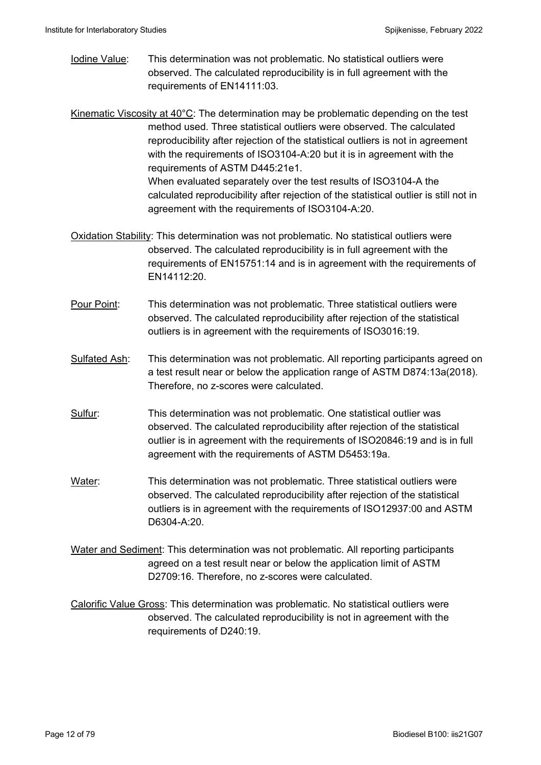Iodine Value: This determination was not problematic. No statistical outliers were observed. The calculated reproducibility is in full agreement with the requirements of EN14111:03.

Kinematic Viscosity at 40°C: The determination may be problematic depending on the test method used. Three statistical outliers were observed. The calculated reproducibility after rejection of the statistical outliers is not in agreement with the requirements of ISO3104-A:20 but it is in agreement with the requirements of ASTM D445:21e1. When evaluated separately over the test results of ISO3104-A the calculated reproducibility after rejection of the statistical outlier is still not in agreement with the requirements of ISO3104-A:20.

- Oxidation Stability: This determination was not problematic. No statistical outliers were observed. The calculated reproducibility is in full agreement with the requirements of EN15751:14 and is in agreement with the requirements of EN14112:20.
- Pour Point: This determination was not problematic. Three statistical outliers were observed. The calculated reproducibility after rejection of the statistical outliers is in agreement with the requirements of ISO3016:19.
- Sulfated Ash: This determination was not problematic. All reporting participants agreed on a test result near or below the application range of ASTM D874:13a(2018). Therefore, no z-scores were calculated.
- Sulfur: This determination was not problematic. One statistical outlier was observed. The calculated reproducibility after rejection of the statistical outlier is in agreement with the requirements of ISO20846:19 and is in full agreement with the requirements of ASTM D5453:19a.
- Water: This determination was not problematic. Three statistical outliers were observed. The calculated reproducibility after rejection of the statistical outliers is in agreement with the requirements of ISO12937:00 and ASTM D6304-A:20.
- Water and Sediment: This determination was not problematic. All reporting participants agreed on a test result near or below the application limit of ASTM D2709:16. Therefore, no z-scores were calculated.

Calorific Value Gross: This determination was problematic. No statistical outliers were observed. The calculated reproducibility is not in agreement with the requirements of D240:19.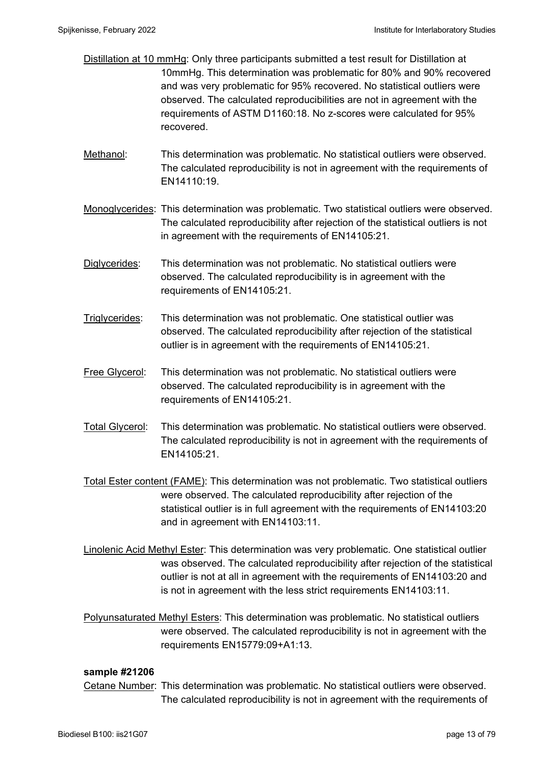- Distillation at 10 mmHg: Only three participants submitted a test result for Distillation at 10mmHg. This determination was problematic for 80% and 90% recovered and was very problematic for 95% recovered. No statistical outliers were observed. The calculated reproducibilities are not in agreement with the requirements of ASTM D1160:18. No z-scores were calculated for 95% recovered.
- Methanol: This determination was problematic. No statistical outliers were observed. The calculated reproducibility is not in agreement with the requirements of EN14110:19.
- Monoglycerides: This determination was problematic. Two statistical outliers were observed. The calculated reproducibility after rejection of the statistical outliers is not in agreement with the requirements of EN14105:21.
- Diglycerides: This determination was not problematic. No statistical outliers were observed. The calculated reproducibility is in agreement with the requirements of EN14105:21.
- Triglycerides: This determination was not problematic. One statistical outlier was observed. The calculated reproducibility after rejection of the statistical outlier is in agreement with the requirements of EN14105:21.
- Free Glycerol: This determination was not problematic. No statistical outliers were observed. The calculated reproducibility is in agreement with the requirements of EN14105:21.
- Total Glycerol: This determination was problematic. No statistical outliers were observed. The calculated reproducibility is not in agreement with the requirements of EN14105:21.
- Total Ester content (FAME): This determination was not problematic. Two statistical outliers were observed. The calculated reproducibility after rejection of the statistical outlier is in full agreement with the requirements of EN14103:20 and in agreement with EN14103:11.
- Linolenic Acid Methyl Ester: This determination was very problematic. One statistical outlier was observed. The calculated reproducibility after rejection of the statistical outlier is not at all in agreement with the requirements of EN14103:20 and is not in agreement with the less strict requirements EN14103:11.
- Polyunsaturated Methyl Esters: This determination was problematic. No statistical outliers were observed. The calculated reproducibility is not in agreement with the requirements EN15779:09+A1:13.

#### **sample #21206**

Cetane Number: This determination was problematic. No statistical outliers were observed. The calculated reproducibility is not in agreement with the requirements of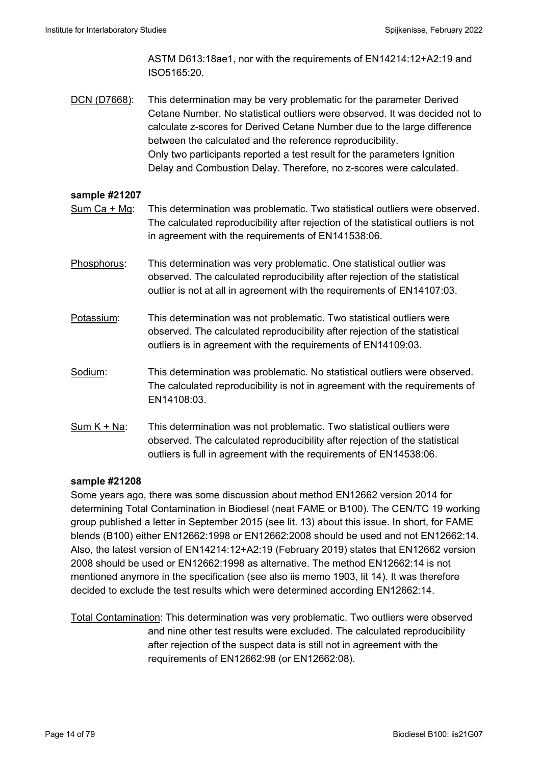ASTM D613:18ae1, nor with the requirements of EN14214:12+A2:19 and ISO5165:20.

DCN (D7668): This determination may be very problematic for the parameter Derived Cetane Number. No statistical outliers were observed. It was decided not to calculate z-scores for Derived Cetane Number due to the large difference between the calculated and the reference reproducibility. Only two participants reported a test result for the parameters Ignition Delay and Combustion Delay. Therefore, no z-scores were calculated.

#### **sample #21207**

- Sum Ca + Mg: This determination was problematic. Two statistical outliers were observed. The calculated reproducibility after rejection of the statistical outliers is not in agreement with the requirements of EN141538:06.
- Phosphorus: This determination was very problematic. One statistical outlier was observed. The calculated reproducibility after rejection of the statistical outlier is not at all in agreement with the requirements of EN14107:03.
- Potassium: This determination was not problematic. Two statistical outliers were observed. The calculated reproducibility after rejection of the statistical outliers is in agreement with the requirements of EN14109:03.
- Sodium: This determination was problematic. No statistical outliers were observed. The calculated reproducibility is not in agreement with the requirements of EN14108:03.
- Sum  $K + Na$ : This determination was not problematic. Two statistical outliers were observed. The calculated reproducibility after rejection of the statistical outliers is full in agreement with the requirements of EN14538:06.

#### **sample #21208**

Some years ago, there was some discussion about method EN12662 version 2014 for determining Total Contamination in Biodiesel (neat FAME or B100). The CEN/TC 19 working group published a letter in September 2015 (see lit. 13) about this issue. In short, for FAME blends (B100) either EN12662:1998 or EN12662:2008 should be used and not EN12662:14. Also, the latest version of EN14214:12+A2:19 (February 2019) states that EN12662 version 2008 should be used or EN12662:1998 as alternative. The method EN12662:14 is not mentioned anymore in the specification (see also iis memo 1903, lit 14). It was therefore decided to exclude the test results which were determined according EN12662:14.

Total Contamination: This determination was very problematic. Two outliers were observed and nine other test results were excluded. The calculated reproducibility after rejection of the suspect data is still not in agreement with the requirements of EN12662:98 (or EN12662:08).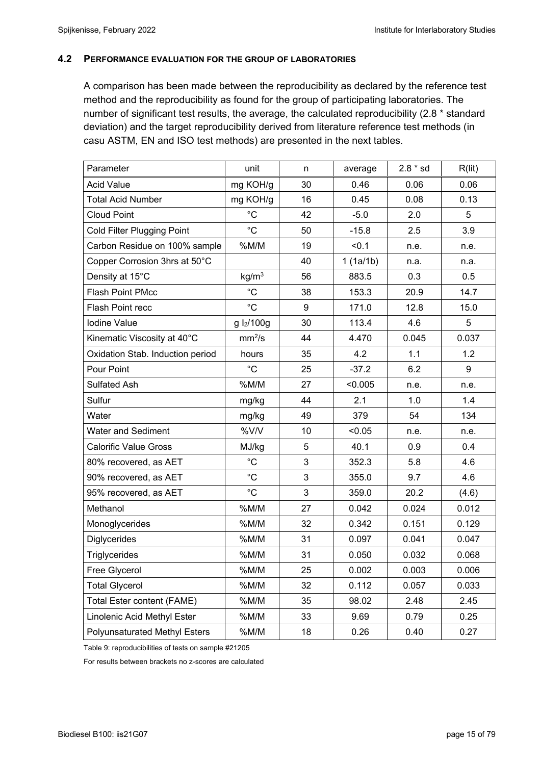#### **4.2 PERFORMANCE EVALUATION FOR THE GROUP OF LABORATORIES**

A comparison has been made between the reproducibility as declared by the reference test method and the reproducibility as found for the group of participating laboratories. The number of significant test results, the average, the calculated reproducibility (2.8 \* standard deviation) and the target reproducibility derived from literature reference test methods (in casu ASTM, EN and ISO test methods) are presented in the next tables.

| Parameter                        | unit               | n              | average  | $2.8 * sd$ | R(lit) |
|----------------------------------|--------------------|----------------|----------|------------|--------|
| <b>Acid Value</b>                | mg KOH/g           | 30             | 0.46     | 0.06       | 0.06   |
| <b>Total Acid Number</b>         | mg KOH/g           | 16             | 0.45     | 0.08       | 0.13   |
| <b>Cloud Point</b>               | $^{\circ}C$        | 42             | $-5.0$   | 2.0        | 5      |
| Cold Filter Plugging Point       | $^{\circ}C$        | 50             | $-15.8$  | 2.5        | 3.9    |
| Carbon Residue on 100% sample    | %M/M               | 19             | < 0.1    | n.e.       | n.e.   |
| Copper Corrosion 3hrs at 50°C    |                    | 40             | 1(1a/1b) | n.a.       | n.a.   |
| Density at 15°C                  | kg/m <sup>3</sup>  | 56             | 883.5    | 0.3        | 0.5    |
| <b>Flash Point PMcc</b>          | $^{\circ}C$        | 38             | 153.3    | 20.9       | 14.7   |
| Flash Point recc                 | $^{\circ}C$        | 9              | 171.0    | 12.8       | 15.0   |
| Iodine Value                     | g l2/100g          | 30             | 113.4    | 4.6        | 5      |
| Kinematic Viscosity at 40°C      | mm <sup>2</sup> /s | 44             | 4.470    | 0.045      | 0.037  |
| Oxidation Stab. Induction period | hours              | 35             | 4.2      | 1.1        | 1.2    |
| Pour Point                       | $^{\circ}C$        | 25             | $-37.2$  | 6.2        | 9      |
| <b>Sulfated Ash</b>              | %M/M               | 27             | < 0.005  | n.e.       | n.e.   |
| Sulfur                           | mg/kg              | 44             | 2.1      | 1.0        | 1.4    |
| Water                            | mg/kg              | 49             | 379      | 54         | 134    |
| <b>Water and Sediment</b>        | %V/V               | 10             | < 0.05   | n.e.       | n.e.   |
| <b>Calorific Value Gross</b>     | MJ/kg              | 5              | 40.1     | 0.9        | 0.4    |
| 80% recovered, as AET            | $^{\circ}C$        | $\mathfrak{S}$ | 352.3    | 5.8        | 4.6    |
| 90% recovered, as AET            | $^{\circ}C$        | 3              | 355.0    | 9.7        | 4.6    |
| 95% recovered, as AET            | $^{\circ}C$        | 3              | 359.0    | 20.2       | (4.6)  |
| Methanol                         | %M/M               | 27             | 0.042    | 0.024      | 0.012  |
| Monoglycerides                   | %M/M               | 32             | 0.342    | 0.151      | 0.129  |
| Diglycerides                     | %M/M               | 31             | 0.097    | 0.041      | 0.047  |
| <b>Triglycerides</b>             | %M/M               | 31             | 0.050    | 0.032      | 0.068  |
| Free Glycerol                    | $\%$ M/M           | 25             | 0.002    | 0.003      | 0.006  |
| <b>Total Glycerol</b>            | %M/M               | 32             | 0.112    | 0.057      | 0.033  |
| Total Ester content (FAME)       | %M/M               | 35             | 98.02    | 2.48       | 2.45   |
| Linolenic Acid Methyl Ester      | %M/M               | 33             | 9.69     | 0.79       | 0.25   |
| Polyunsaturated Methyl Esters    | %M/M               | 18             | 0.26     | 0.40       | 0.27   |

Table 9: reproducibilities of tests on sample #21205

For results between brackets no z-scores are calculated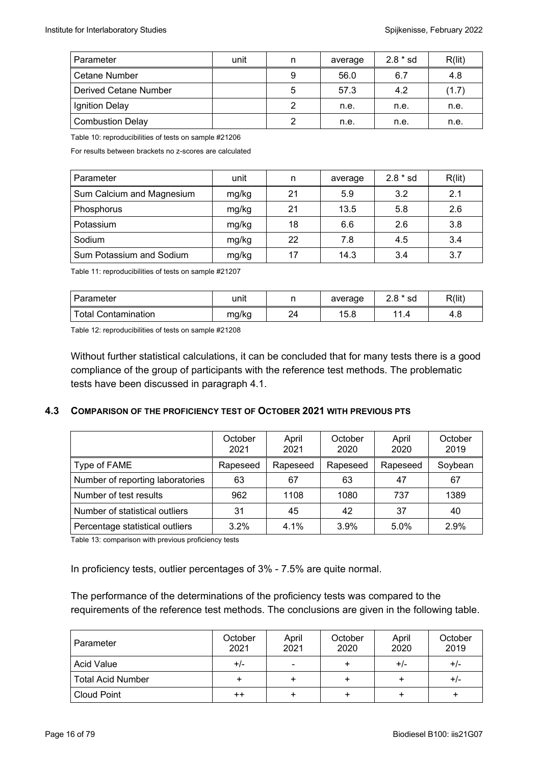| Parameter               | unit | n | average | $2.8 * sd$ | R(lit) |
|-------------------------|------|---|---------|------------|--------|
| <b>Cetane Number</b>    |      | 9 | 56.0    | 6.7        | 4.8    |
| Derived Cetane Number   |      | 5 | 57.3    | 4.2        | (1.7   |
| Ignition Delay          |      |   | n.e.    | n.e.       | n.e.   |
| <b>Combustion Delay</b> |      |   | n.e.    | n.e.       | n.e.   |

Table 10: reproducibilities of tests on sample #21206

For results between brackets no z-scores are calculated

| Parameter                 | unit  | n  | average | $2.8 * sd$ | R(lit) |
|---------------------------|-------|----|---------|------------|--------|
| Sum Calcium and Magnesium | mg/kg | 21 | 5.9     | 3.2        | 2.1    |
| Phosphorus                | mg/kg | 21 | 13.5    | 5.8        | 2.6    |
| Potassium                 | mg/kg | 18 | 6.6     | 2.6        | 3.8    |
| Sodium                    | mg/kg | 22 | 7.8     | 4.5        | 3.4    |
| Sum Potassium and Sodium  | mg/kg | 17 | 14.3    | 3.4        | 3.7    |

Table 11: reproducibilities of tests on sample #21207

| Parameter           | unit  | n  | average | $2.8 * sd$ | R(lit |
|---------------------|-------|----|---------|------------|-------|
| Total Contamination | mg/kg | 24 | 15.8    | 11         | 4.8   |

Table 12: reproducibilities of tests on sample #21208

Without further statistical calculations, it can be concluded that for many tests there is a good compliance of the group of participants with the reference test methods. The problematic tests have been discussed in paragraph 4.1.

#### **4.3 COMPARISON OF THE PROFICIENCY TEST OF OCTOBER 2021 WITH PREVIOUS PTS**

|                                  | October<br>2021 | April<br>2021 | October<br>2020 | April<br>2020 | October<br>2019 |
|----------------------------------|-----------------|---------------|-----------------|---------------|-----------------|
| Type of FAME                     | Rapeseed        | Rapeseed      | Rapeseed        | Rapeseed      | Soybean         |
| Number of reporting laboratories | 63              | 67            | 63              | 47            | 67              |
| Number of test results           | 962             | 1108          | 1080            | 737           | 1389            |
| Number of statistical outliers   | 31              | 45            | 42              | 37            | 40              |
| Percentage statistical outliers  | 3.2%            | 4.1%          | 3.9%            | 5.0%          | 2.9%            |

Table 13: comparison with previous proficiency tests

In proficiency tests, outlier percentages of 3% - 7.5% are quite normal.

The performance of the determinations of the proficiency tests was compared to the requirements of the reference test methods. The conclusions are given in the following table.

| Parameter                | October<br>2021 | April<br>2021            | October<br>2020 | April<br>2020 | October<br>2019 |
|--------------------------|-----------------|--------------------------|-----------------|---------------|-----------------|
| Acid Value               | $+/-$           | $\overline{\phantom{a}}$ |                 | $+/-$         | $+/-$           |
| <b>Total Acid Number</b> |                 |                          | ٠               |               | $+/-$           |
| <b>Cloud Point</b>       | $++$            | ٠                        | ٠               |               |                 |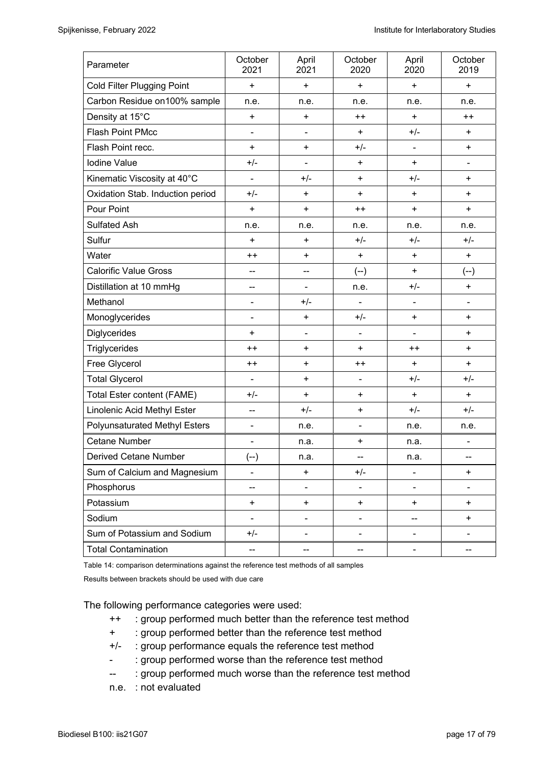| Parameter                            | October<br>2021              | April<br>2021            | October<br>2020              | April<br>2020 | October<br>2019          |
|--------------------------------------|------------------------------|--------------------------|------------------------------|---------------|--------------------------|
| Cold Filter Plugging Point           | $\ddot{}$                    | $\ddot{}$                | $\ddot{}$                    | $\ddot{}$     | $\ddot{}$                |
| Carbon Residue on 100% sample        | n.e.                         | n.e.                     | n.e.                         | n.e.          | n.e.                     |
| Density at 15°C                      | +                            | +                        | $++$                         | $\ddot{}$     | $++$                     |
| <b>Flash Point PMcc</b>              | $\qquad \qquad \blacksquare$ | $\overline{\phantom{a}}$ | $\ddot{}$                    | $+/-$         | +                        |
| Flash Point recc.                    | $\ddot{}$                    | +                        | $+/-$                        | ۰             | +                        |
| <b>Iodine Value</b>                  | $+/-$                        | $\blacksquare$           | +                            | $\ddot{}$     |                          |
| Kinematic Viscosity at 40°C          | $\qquad \qquad \blacksquare$ | $+/-$                    | +                            | $+/-$         | $\ddot{}$                |
| Oxidation Stab. Induction period     | $+/-$                        | +                        | +                            | +             | $\ddot{}$                |
| Pour Point                           | $\ddot{}$                    | +                        | $++$                         | $\ddot{}$     | +                        |
| Sulfated Ash                         | n.e.                         | n.e.                     | n.e.                         | n.e.          | n.e.                     |
| Sulfur                               | +                            | +                        | $+/-$                        | $+/-$         | $+/-$                    |
| Water                                | $^{\mathrm{+}}$              | +                        | $\ddot{}$                    | $\ddot{}$     | +                        |
| <b>Calorific Value Gross</b>         | --                           | --                       | $(-)$                        | $\ddot{}$     | $(-)$                    |
| Distillation at 10 mmHg              | --                           | $\blacksquare$           | n.e.                         | $+/-$         | +                        |
| Methanol                             | -                            | $+/-$                    |                              | ۰             | $\overline{\phantom{0}}$ |
| Monoglycerides                       | $\blacksquare$               | +                        | $+/-$                        | $\ddot{}$     | +                        |
| Diglycerides                         | +                            | $\overline{\phantom{a}}$ | $\overline{\phantom{a}}$     |               | +                        |
| Triglycerides                        | $^{\mathrm{+}}$              | +                        | $\ddot{}$                    | $++$          | +                        |
| Free Glycerol                        | $^{\mathrm{+}}$              | +                        | $++$                         | $\ddot{}$     | $\ddot{}$                |
| <b>Total Glycerol</b>                | $\qquad \qquad \blacksquare$ | +                        | $\qquad \qquad \blacksquare$ | $+/-$         | $+/-$                    |
| Total Ester content (FAME)           | $+/-$                        | +                        | +                            | +             | $\ddot{}$                |
| Linolenic Acid Methyl Ester          | --                           | $+/-$                    | +                            | $+/-$         | $+/-$                    |
| <b>Polyunsaturated Methyl Esters</b> | $\overline{a}$               | n.e.                     | $\overline{\phantom{0}}$     | n.e.          | n.e.                     |
| <b>Cetane Number</b>                 |                              | n.a.                     | +                            | n.a.          |                          |
| Derived Cetane Number                | $(--)$                       | n.a.                     |                              | n.a.          |                          |
| Sum of Calcium and Magnesium         | ۰                            | $\ddot{}$                | $+/-$                        | -             | $\ddot{}$                |
| Phosphorus                           | --                           |                          |                              |               |                          |
| Potassium                            | +                            | +                        | +                            | +             | +                        |
| Sodium                               |                              |                          | -                            |               | +                        |
| Sum of Potassium and Sodium          | $+/-$                        |                          |                              |               |                          |
| <b>Total Contamination</b>           | --                           | --                       | --                           |               |                          |

Table 14: comparison determinations against the reference test methods of all samples

Results between brackets should be used with due care

The following performance categories were used:

- ++ : group performed much better than the reference test method
- + : group performed better than the reference test method
- +/- : group performance equals the reference test method
- : group performed worse than the reference test method
- -- : group performed much worse than the reference test method
- n.e. : not evaluated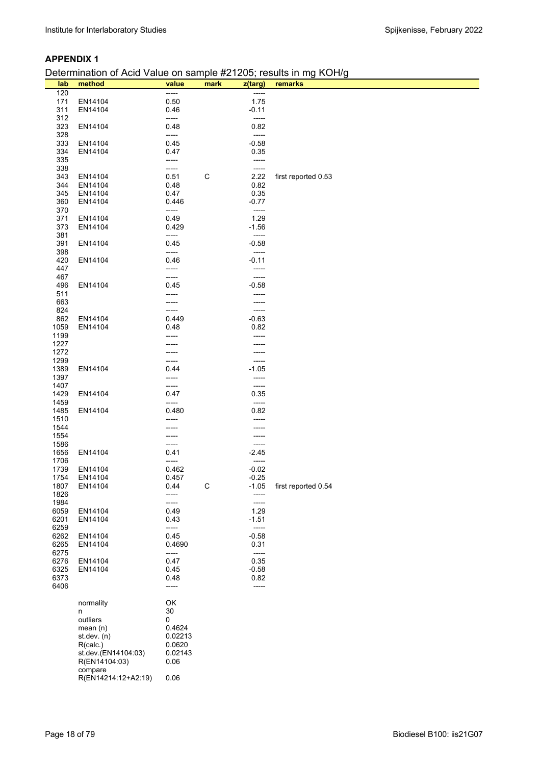#### **APPENDIX 1**

Determination of Acid Value on sample #21205; results in mg KOH/g

|      | .                   | $-1.0$  |             |         | ັ້ນ <u>ພັນສະເລີດ ແລະ ແລະ ແລະ ແລະ ແລ</u> |
|------|---------------------|---------|-------------|---------|-----------------------------------------|
| lab  | method              | value   | mark        | z(targ) | remarks                                 |
| 120  |                     | -----   |             | -----   |                                         |
| 171  | EN14104             | 0.50    |             | 1.75    |                                         |
| 311  | EN14104             | 0.46    |             | $-0.11$ |                                         |
| 312  |                     | -----   |             | -----   |                                         |
| 323  | EN14104             | 0.48    |             | 0.82    |                                         |
| 328  |                     | -----   |             | -----   |                                         |
| 333  | EN14104             | 0.45    |             | $-0.58$ |                                         |
| 334  | EN14104             | 0.47    |             | 0.35    |                                         |
| 335  |                     | -----   |             | -----   |                                         |
| 338  |                     | -----   |             | -----   |                                         |
| 343  | EN14104             | 0.51    | $\mathsf C$ | 2.22    | first reported 0.53                     |
| 344  | EN14104             | 0.48    |             | 0.82    |                                         |
| 345  | EN14104             | 0.47    |             | 0.35    |                                         |
| 360  | EN14104             | 0.446   |             | $-0.77$ |                                         |
| 370  |                     | -----   |             | -----   |                                         |
| 371  | EN14104             | 0.49    |             | 1.29    |                                         |
| 373  | EN14104             | 0.429   |             | $-1.56$ |                                         |
| 381  |                     | -----   |             | -----   |                                         |
| 391  | EN14104             | 0.45    |             | $-0.58$ |                                         |
| 398  |                     | -----   |             | -----   |                                         |
|      |                     |         |             |         |                                         |
| 420  | EN14104             | 0.46    |             | $-0.11$ |                                         |
| 447  |                     | -----   |             | -----   |                                         |
| 467  |                     | -----   |             | -----   |                                         |
| 496  | EN14104             | 0.45    |             | $-0.58$ |                                         |
| 511  |                     | -----   |             | -----   |                                         |
| 663  |                     |         |             | -----   |                                         |
| 824  |                     | -----   |             | -----   |                                         |
| 862  | EN14104             | 0.449   |             | $-0.63$ |                                         |
| 1059 | EN14104             | 0.48    |             | 0.82    |                                         |
| 1199 |                     |         |             |         |                                         |
| 1227 |                     |         |             |         |                                         |
| 1272 |                     |         |             |         |                                         |
| 1299 |                     | -----   |             | -----   |                                         |
| 1389 | EN14104             | 0.44    |             | $-1.05$ |                                         |
| 1397 |                     | -----   |             | -----   |                                         |
| 1407 |                     | -----   |             | -----   |                                         |
| 1429 | EN14104             | 0.47    |             | 0.35    |                                         |
| 1459 |                     | -----   |             | -----   |                                         |
| 1485 | EN14104             | 0.480   |             | 0.82    |                                         |
| 1510 |                     |         |             | -----   |                                         |
| 1544 |                     |         |             |         |                                         |
| 1554 |                     |         |             |         |                                         |
| 1586 |                     | -----   |             | -----   |                                         |
| 1656 | EN14104             | 0.41    |             | $-2.45$ |                                         |
| 1706 |                     | -----   |             | -----   |                                         |
| 1739 | EN14104             | 0.462   |             | $-0.02$ |                                         |
| 1754 | EN14104             | 0.457   |             | $-0.25$ |                                         |
| 1807 | EN14104             | 0.44    | С           | $-1.05$ | first reported 0.54                     |
| 1826 |                     | -----   |             | -----   |                                         |
| 1984 |                     | -----   |             | -----   |                                         |
| 6059 | EN14104             | 0.49    |             | 1.29    |                                         |
| 6201 | EN14104             | 0.43    |             | $-1.51$ |                                         |
| 6259 |                     | -----   |             | -----   |                                         |
|      |                     | 0.45    |             | $-0.58$ |                                         |
| 6262 | EN14104             |         |             |         |                                         |
| 6265 | EN14104             | 0.4690  |             | 0.31    |                                         |
| 6275 |                     | -----   |             | -----   |                                         |
| 6276 | EN14104             | 0.47    |             | 0.35    |                                         |
| 6325 | EN14104             | 0.45    |             | $-0.58$ |                                         |
| 6373 |                     | 0.48    |             | 0.82    |                                         |
| 6406 |                     | -----   |             | -----   |                                         |
|      |                     |         |             |         |                                         |
|      | normality           | OK      |             |         |                                         |
|      | n                   | 30      |             |         |                                         |
|      | outliers            | 0       |             |         |                                         |
|      | mean $(n)$          | 0.4624  |             |         |                                         |
|      | st.dev. (n)         | 0.02213 |             |         |                                         |
|      | R(calc.)            | 0.0620  |             |         |                                         |
|      | st.dev.(EN14104:03) | 0.02143 |             |         |                                         |
|      | R(EN14104:03)       | 0.06    |             |         |                                         |
|      | compare             |         |             |         |                                         |
|      | R(EN14214:12+A2:19) | 0.06    |             |         |                                         |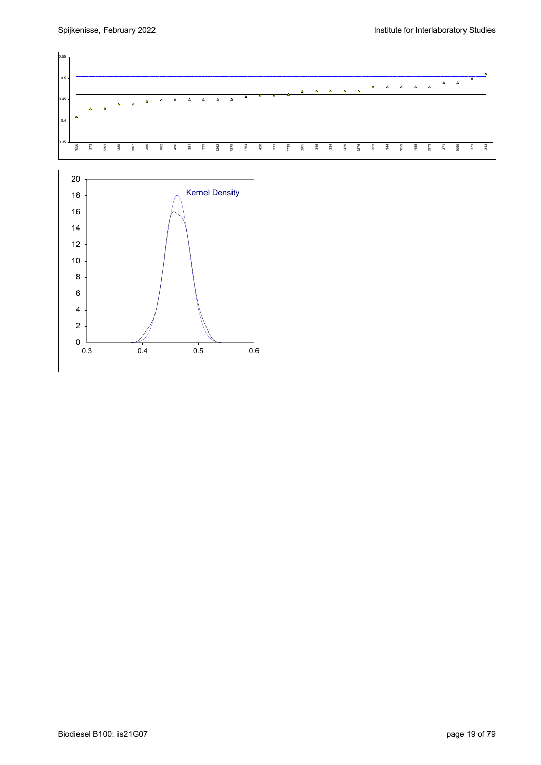

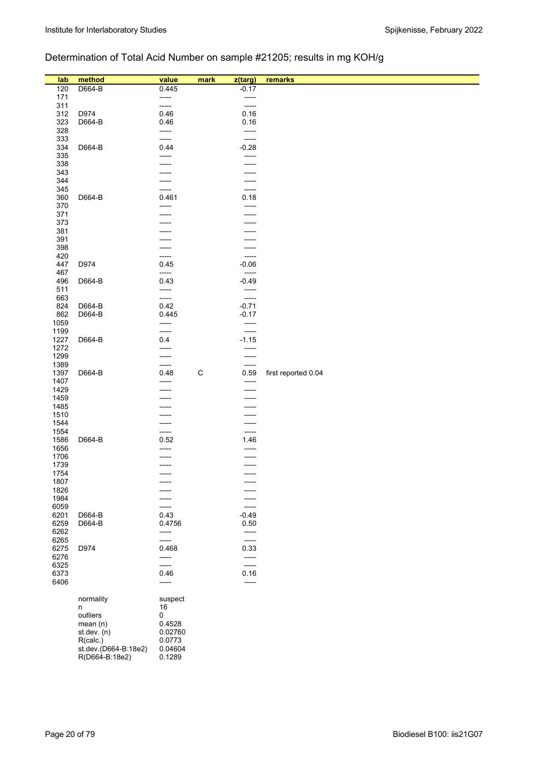## Determination of Total Acid Number on sample #21205; results in mg KOH/g

| lab          | method                  | value             | mark        | z(targ)          | remarks             |
|--------------|-------------------------|-------------------|-------------|------------------|---------------------|
| 120          | D664-B                  | 0.445             |             | $-0.17$          |                     |
| 171          |                         | -----             |             | -----<br>-----   |                     |
| 311<br>312   | D974                    | -----<br>0.46     |             | 0.16             |                     |
| 323          | D664-B                  | 0.46              |             | 0.16             |                     |
| 328          |                         | -----             |             | -----            |                     |
| 333          |                         | -----             |             | -----            |                     |
| 334          | D664-B                  | 0.44              |             | $-0.28$          |                     |
| 335          |                         | -----             |             | -----            |                     |
| 338          |                         | -----             |             | -----            |                     |
| 343          |                         | -----             |             | -----            |                     |
| 344          |                         |                   |             | -----            |                     |
| 345          |                         | -----             |             | -----            |                     |
| 360          | D664-B                  | 0.461             |             | 0.18             |                     |
| 370          |                         | -----             |             | -----            |                     |
| 371          |                         |                   |             |                  |                     |
| 373          |                         |                   |             |                  |                     |
| 381          |                         |                   |             |                  |                     |
| 391          |                         |                   |             | -----            |                     |
| 398          |                         |                   |             |                  |                     |
| 420          |                         | -----             |             | -----            |                     |
| 447          | D974                    | 0.45              |             | $-0.06$          |                     |
| 467          | D664-B                  | -----<br>0.43     |             | -----<br>$-0.49$ |                     |
| 496<br>511   |                         | -----             |             | -----            |                     |
| 663          |                         | -----             |             | -----            |                     |
| 824          | D664-B                  | 0.42              |             | $-0.71$          |                     |
| 862          | D664-B                  | 0.445             |             | $-0.17$          |                     |
| 1059         |                         | -----             |             | -----            |                     |
| 1199         |                         | -----             |             | -----            |                     |
| 1227         | D664-B                  | 0.4               |             | $-1.15$          |                     |
| 1272         |                         | -----             |             | -----            |                     |
| 1299         |                         | -----             |             | -----            |                     |
| 1389         |                         | -----             |             | -----            |                     |
| 1397         | D664-B                  | 0.48              | $\mathsf C$ | 0.59             | first reported 0.04 |
| 1407         |                         | -----             |             | -----            |                     |
| 1429         |                         |                   |             | -----            |                     |
| 1459         |                         |                   |             |                  |                     |
| 1485         |                         |                   |             |                  |                     |
| 1510         |                         |                   |             | -----            |                     |
| 1544         |                         | -----             |             | -----            |                     |
| 1554         |                         | -----             |             | -----            |                     |
| 1586         | D664-B                  | 0.52              |             | 1.46             |                     |
| 1656<br>1706 |                         | -----<br>-----    |             | -----            |                     |
| 1739         |                         |                   |             | -----            |                     |
| 1754         |                         | -----             |             | -----            |                     |
| 1807         |                         |                   |             |                  |                     |
| 1826         |                         |                   |             |                  |                     |
| 1984         |                         |                   |             |                  |                     |
| 6059         |                         | -----             |             | -----            |                     |
| 6201         | D664-B                  | 0.43              |             | $-0.49$          |                     |
| 6259         | D664-B                  | 0.4756            |             | 0.50             |                     |
| 6262         |                         | -----             |             | -----            |                     |
| 6265         |                         | -----             |             | -----            |                     |
| 6275         | D974                    | 0.468             |             | 0.33             |                     |
| 6276         |                         | -----             |             | -----            |                     |
| 6325         |                         | -----             |             | -----            |                     |
| 6373         |                         | 0.46              |             | 0.16             |                     |
| 6406         |                         | -----             |             | -----            |                     |
|              |                         |                   |             |                  |                     |
|              | normality               | suspect           |             |                  |                     |
|              | n                       | 16                |             |                  |                     |
|              | outliers                | 0                 |             |                  |                     |
|              | mean(n)                 | 0.4528            |             |                  |                     |
|              | st.dev. (n)<br>R(calc.) | 0.02760<br>0.0773 |             |                  |                     |
|              | st.dev.(D664-B:18e2)    | 0.04604           |             |                  |                     |
|              | R(D664-B:18e2)          | 0.1289            |             |                  |                     |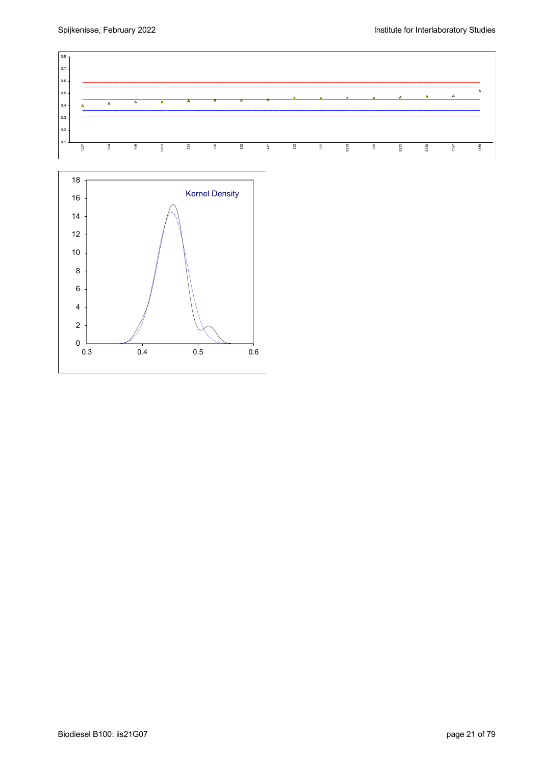

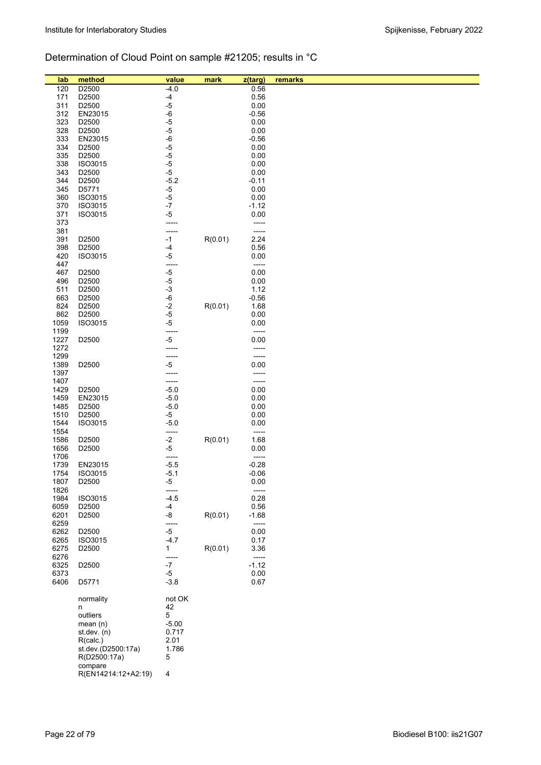# Determination of Cloud Point on sample #21205; results in °C

|            |                     | value         |         |                 | remarks |
|------------|---------------------|---------------|---------|-----------------|---------|
| lab        | method              | $-4.0$        | mark    | z(targ)         |         |
| 120<br>171 | D2500<br>D2500      | $-4$          |         | 0.56<br>0.56    |         |
| 311        | D2500               | $-5$          |         | 0.00            |         |
| 312        | EN23015             | $-6$          |         | $-0.56$         |         |
| 323        | D2500               | $-5$          |         | 0.00            |         |
| 328        | D2500               | $-5$          |         | 0.00            |         |
| 333        | EN23015             | $-6$          |         | $-0.56$         |         |
| 334        | D2500               | $-5$          |         | 0.00            |         |
| 335        | D2500               | $-5$          |         | 0.00            |         |
| 338        | ISO3015             | $-5$          |         | 0.00            |         |
| 343        |                     | $-5$          |         |                 |         |
| 344        | D2500<br>D2500      | $-5.2$        |         | 0.00<br>$-0.11$ |         |
| 345        | D5771               | $-5$          |         | 0.00            |         |
| 360        | ISO3015             | $-5$          |         |                 |         |
| 370        | ISO3015             | $\mathbf{-7}$ |         | 0.00<br>$-1.12$ |         |
|            | ISO3015             | $-5$          |         |                 |         |
| 371<br>373 |                     | -----         |         | 0.00<br>-----   |         |
|            |                     |               |         |                 |         |
| 381        |                     | -----         |         | -----           |         |
| 391        | D2500               | $-1$          | R(0.01) | 2.24            |         |
| 398        | D2500               | $-4$          |         | 0.56            |         |
| 420        | ISO3015             | $-5$          |         | 0.00            |         |
| 447        |                     | ----          |         | -----           |         |
| 467        | D2500               | $-5$          |         | 0.00            |         |
| 496        | D2500               | $-5$          |         | 0.00            |         |
| 511        | D2500               | $-3$          |         | 1.12            |         |
| 663        | D2500               | $-6$          |         | $-0.56$         |         |
| 824        | D2500               | $-2$          | R(0.01) | 1.68            |         |
| 862        | D2500               | $-5$          |         | 0.00            |         |
| 1059       | ISO3015             | $-5$          |         | 0.00            |         |
| 1199       |                     | -----         |         | -----           |         |
| 1227       | D2500               | $-5$          |         | 0.00            |         |
| 1272       |                     |               |         | -----           |         |
| 1299       |                     |               |         | -----           |         |
| 1389       | D2500               | -5            |         | 0.00            |         |
| 1397       |                     |               |         | -----           |         |
| 1407       |                     | -----         |         | -----           |         |
| 1429       | D2500               | $-5.0$        |         | 0.00            |         |
| 1459       | EN23015             | $-5.0$        |         | 0.00            |         |
| 1485       | D2500               | $-5.0$        |         | 0.00            |         |
| 1510       | D2500               | $-5$          |         | 0.00            |         |
| 1544       | ISO3015             | $-5.0$        |         | 0.00            |         |
| 1554       |                     | -----         |         | -----           |         |
| 1586       | D2500               | $-2$          | R(0.01) | 1.68            |         |
| 1656       | D2500               | $-5$          |         | 0.00            |         |
| 1706       |                     | -----         |         | -----           |         |
| 1739       | EN23015             | $-5.5$        |         | $-0.28$         |         |
| 1754       | ISO3015             | $-5.1$        |         | $-0.06$         |         |
| 1807       | D2500               | -5            |         | 0.00            |         |
| 1826       |                     | -----         |         | -----           |         |
| 1984       | ISO3015             | $-4.5$        |         | 0.28            |         |
| 6059       | D2500               | $-4$          |         | 0.56            |         |
| 6201       | D2500               | -8            | R(0.01) | $-1.68$         |         |
| 6259       |                     | -----         |         | -----           |         |
| 6262       | D2500               | $-5$          |         | 0.00            |         |
| 6265       | ISO3015             | $-4.7$        |         | 0.17            |         |
| 6275       | D2500               | 1             | R(0.01) | 3.36            |         |
| 6276       |                     | -----         |         | -----           |         |
| 6325       | D2500               | $-7$          |         | $-1.12$         |         |
| 6373       |                     | $-5$          |         | 0.00            |         |
| 6406       | D5771               | $-3.8$        |         | 0.67            |         |
|            |                     |               |         |                 |         |
|            | normality           | not OK        |         |                 |         |
|            | n                   | 42            |         |                 |         |
|            | outliers            | 5             |         |                 |         |
|            | mean $(n)$          | $-5.00$       |         |                 |         |
|            | st.dev. (n)         | 0.717         |         |                 |         |
|            | R(calc.)            | 2.01          |         |                 |         |
|            | st.dev.(D2500:17a)  | 1.786         |         |                 |         |
|            | R(D2500:17a)        | 5             |         |                 |         |
|            | compare             |               |         |                 |         |
|            | R(EN14214:12+A2:19) | 4             |         |                 |         |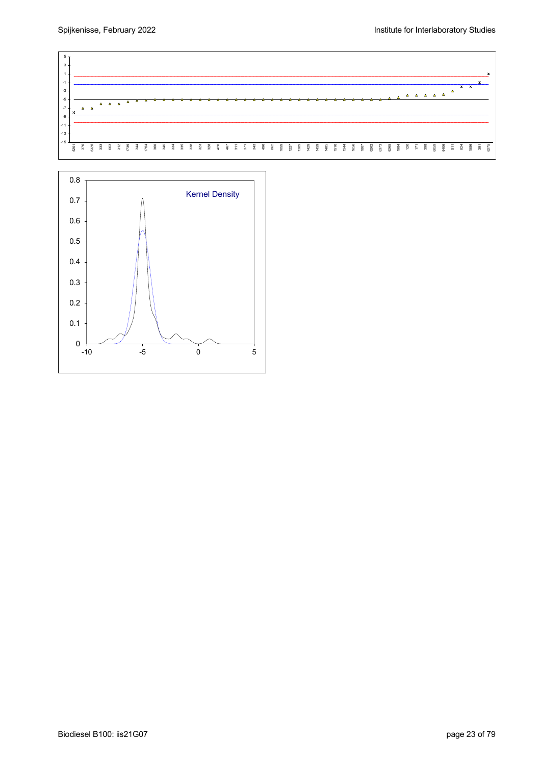

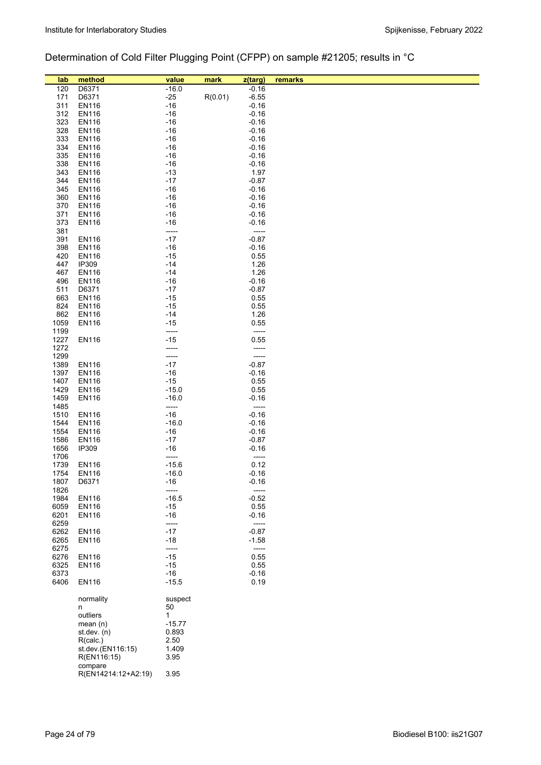## Determination of Cold Filter Plugging Point (CFPP) on sample #21205; results in °C

| lab  | method              | value    | mark    | z(targ) | remarks |
|------|---------------------|----------|---------|---------|---------|
| 120  | D6371               | $-16.0$  |         | $-0.16$ |         |
| 171  | D6371               | $-25$    | R(0.01) | $-6.55$ |         |
| 311  | <b>EN116</b>        | $-16$    |         | $-0.16$ |         |
| 312  | <b>EN116</b>        | $-16$    |         | $-0.16$ |         |
| 323  | <b>EN116</b>        | $-16$    |         | $-0.16$ |         |
| 328  | <b>EN116</b>        | $-16$    |         | $-0.16$ |         |
| 333  | <b>EN116</b>        | $-16$    |         | $-0.16$ |         |
| 334  | <b>EN116</b>        | $-16$    |         | $-0.16$ |         |
| 335  | <b>EN116</b>        | $-16$    |         | $-0.16$ |         |
| 338  | <b>EN116</b>        | $-16$    |         | $-0.16$ |         |
| 343  | <b>EN116</b>        | $-13$    |         | 1.97    |         |
| 344  | <b>EN116</b>        | $-17$    |         | $-0.87$ |         |
| 345  | <b>EN116</b>        | $-16$    |         | $-0.16$ |         |
| 360  | <b>EN116</b>        | $-16$    |         | $-0.16$ |         |
| 370  | <b>EN116</b>        | $-16$    |         | $-0.16$ |         |
| 371  | <b>EN116</b>        | $-16$    |         | $-0.16$ |         |
| 373  | <b>EN116</b>        | $-16$    |         | $-0.16$ |         |
| 381  |                     | -----    |         | -----   |         |
| 391  | <b>EN116</b>        | $-17$    |         | $-0.87$ |         |
| 398  | <b>EN116</b>        | $-16$    |         | $-0.16$ |         |
| 420  | <b>EN116</b>        | $-15$    |         | 0.55    |         |
| 447  | <b>IP309</b>        | $-14$    |         | 1.26    |         |
| 467  | <b>EN116</b>        | $-14$    |         | 1.26    |         |
| 496  | <b>EN116</b>        | $-16$    |         | $-0.16$ |         |
| 511  | D6371               | $-17$    |         | $-0.87$ |         |
| 663  | <b>EN116</b>        | $-15$    |         | 0.55    |         |
| 824  | <b>EN116</b>        | $-15$    |         | 0.55    |         |
| 862  | EN116               | $-14$    |         | 1.26    |         |
| 1059 | <b>EN116</b>        | $-15$    |         | 0.55    |         |
| 1199 |                     | -----    |         | -----   |         |
| 1227 | <b>EN116</b>        | $-15$    |         | 0.55    |         |
| 1272 |                     | -----    |         | -----   |         |
| 1299 |                     | -----    |         | -----   |         |
| 1389 | <b>EN116</b>        | $-17$    |         | $-0.87$ |         |
| 1397 | <b>EN116</b>        | $-16$    |         | $-0.16$ |         |
| 1407 | <b>EN116</b>        | $-15$    |         | 0.55    |         |
| 1429 | <b>EN116</b>        | $-15.0$  |         | 0.55    |         |
| 1459 | EN116               | $-16.0$  |         | $-0.16$ |         |
| 1485 |                     | -----    |         | $-----$ |         |
| 1510 | <b>EN116</b>        | $-16$    |         | $-0.16$ |         |
| 1544 | <b>EN116</b>        | $-16.0$  |         | $-0.16$ |         |
| 1554 | <b>EN116</b>        | $-16$    |         | $-0.16$ |         |
| 1586 | EN116               | $-17$    |         | $-0.87$ |         |
| 1656 | <b>IP309</b>        | $-16$    |         | $-0.16$ |         |
| 1706 |                     | -----    |         | -----   |         |
| 1739 | <b>EN116</b>        | $-15.6$  |         | 0.12    |         |
| 1754 | EN116               | $-16.0$  |         | $-0.16$ |         |
| 1807 | D6371               | $-16$    |         | $-0.16$ |         |
| 1826 |                     | -----    |         | -----   |         |
| 1984 | <b>EN116</b>        | $-16.5$  |         | $-0.52$ |         |
| 6059 | <b>EN116</b>        | $-15$    |         | 0.55    |         |
| 6201 | EN116               | $-16$    |         | $-0.16$ |         |
| 6259 |                     | -----    |         | -----   |         |
| 6262 | <b>EN116</b>        | $-17$    |         | $-0.87$ |         |
| 6265 | EN116               | $-18$    |         | $-1.58$ |         |
| 6275 |                     | -----    |         | -----   |         |
| 6276 | <b>EN116</b>        | $-15$    |         | 0.55    |         |
| 6325 | EN116               | $-15$    |         | 0.55    |         |
| 6373 |                     | $-16$    |         | $-0.16$ |         |
| 6406 | <b>EN116</b>        | $-15.5$  |         | 0.19    |         |
|      |                     |          |         |         |         |
|      | normality           | suspect  |         |         |         |
|      | n                   | 50       |         |         |         |
|      | outliers            | 1        |         |         |         |
|      | mean $(n)$          | $-15.77$ |         |         |         |
|      | st.dev. (n)         | 0.893    |         |         |         |
|      | R(calc.)            | 2.50     |         |         |         |
|      | st.dev.(EN116:15)   | 1.409    |         |         |         |
|      | R(EN116:15)         | 3.95     |         |         |         |
|      | compare             |          |         |         |         |
|      | R(EN14214:12+A2:19) | 3.95     |         |         |         |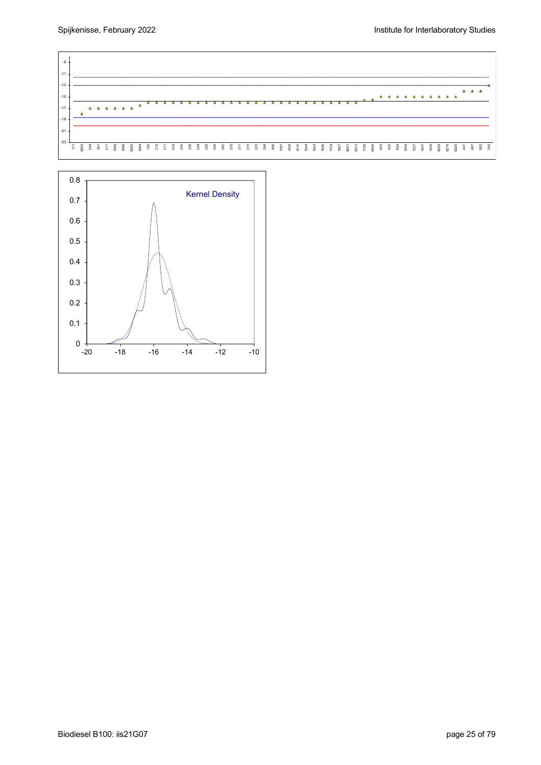

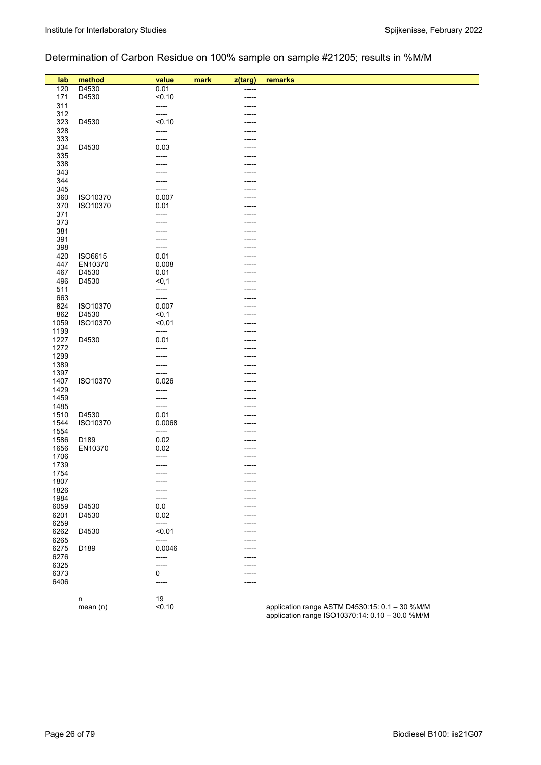## Determination of Carbon Residue on 100% sample on sample #21205; results in %M/M

| lab          | method       | value          | mark | z(targ)     | remarks                                        |
|--------------|--------------|----------------|------|-------------|------------------------------------------------|
| 120          | D4530        | 0.01           |      | -----       |                                                |
| 171          | D4530        | < 0.10         |      | -----       |                                                |
| 311          |              | -----          |      |             |                                                |
| 312          |              | -----          |      |             |                                                |
| 323          | D4530        | < 0.10         |      |             |                                                |
| 328          |              | -----          |      | -----       |                                                |
| 333          |              | -----          |      |             |                                                |
| 334          | D4530        | 0.03           |      |             |                                                |
| 335          |              | ------         |      |             |                                                |
| 338          |              | -----          |      | -----       |                                                |
| 343          |              |                |      |             |                                                |
| 344<br>345   |              | -----          |      |             |                                                |
| 360          | ISO10370     | 0.007          |      |             |                                                |
| 370          | ISO10370     | 0.01           |      |             |                                                |
| 371          |              | -----          |      |             |                                                |
| 373          |              | -----          |      |             |                                                |
| 381          |              |                |      |             |                                                |
| 391          |              |                |      |             |                                                |
| 398          |              | -----          |      |             |                                                |
| 420          | ISO6615      | 0.01           |      |             |                                                |
| 447          | EN10370      | 0.008          |      |             |                                                |
| 467          | D4530        | 0.01           |      | -----       |                                                |
| 496          | D4530        | $0,1$          |      |             |                                                |
| 511          |              | -----          |      |             |                                                |
| 663          |              | -----          |      |             |                                                |
| 824          | ISO10370     | 0.007          |      | -----       |                                                |
| 862          | D4530        | < 0.1          |      |             |                                                |
| 1059<br>1199 | ISO10370     | < 0, 01        |      |             |                                                |
| 1227         | D4530        | -----<br>0.01  |      |             |                                                |
| 1272         |              | ------         |      |             |                                                |
| 1299         |              |                |      |             |                                                |
| 1389         |              |                |      |             |                                                |
| 1397         |              | -----          |      |             |                                                |
| 1407         | ISO10370     | 0.026          |      |             |                                                |
| 1429         |              | -----          |      |             |                                                |
| 1459         |              | $- - - - -$    |      |             |                                                |
| 1485         |              | -----          |      |             |                                                |
| 1510         | D4530        | 0.01           |      |             |                                                |
| 1544         | ISO10370     | 0.0068         |      |             |                                                |
| 1554         |              | -----          |      |             |                                                |
| 1586         | D189         | 0.02           |      |             |                                                |
| 1656<br>1706 | EN10370      | 0.02           |      |             |                                                |
| 1739         |              | -----<br>----- |      |             |                                                |
| 1754         |              | $-----1$       |      | $- - - - -$ |                                                |
| 1807         |              |                |      |             |                                                |
| 1826         |              |                |      |             |                                                |
| 1984         |              | -----          |      |             |                                                |
| 6059         | D4530        | 0.0            |      |             |                                                |
| 6201         | D4530        | 0.02           |      |             |                                                |
| 6259         |              | -----          |      |             |                                                |
| 6262         | D4530        | < 0.01         |      |             |                                                |
| 6265         |              | -----          |      |             |                                                |
| 6275         | D189         | 0.0046         |      |             |                                                |
| 6276         |              | -----          |      |             |                                                |
| 6325         |              | -----          |      |             |                                                |
| 6373         |              | 0              |      |             |                                                |
| 6406         |              | -----          |      | -----       |                                                |
|              |              | 19             |      |             |                                                |
|              | n<br>mean(n) | < 0.10         |      |             | application range ASTM D4530:15: 0.1 - 30 %M/M |
|              |              |                |      |             |                                                |

application range ISO10370:14: 0.10 – 30.0 %M/M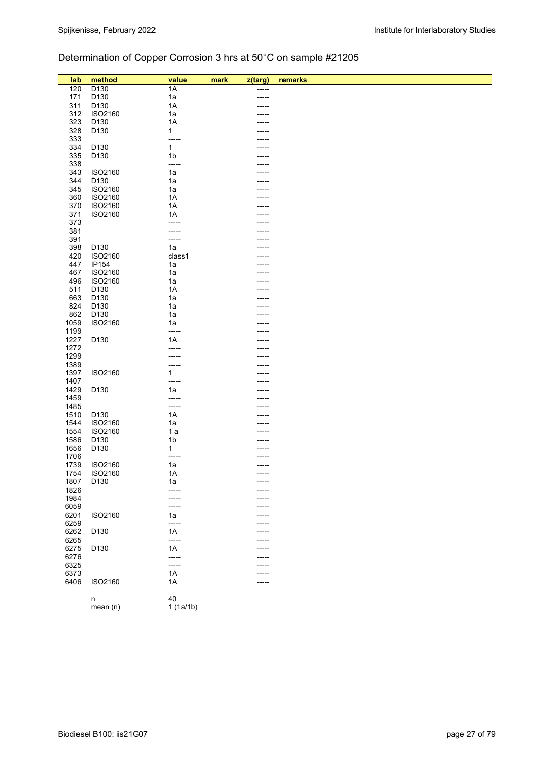## Determination of Copper Corrosion 3 hrs at 50°C on sample #21205

| lab          | method           | value          | mark | $z$ (targ) | remarks |
|--------------|------------------|----------------|------|------------|---------|
| 120          | D130             | 1A             |      | -----      |         |
| 171          | D <sub>130</sub> | 1a             |      | -----      |         |
| 311          | D130             | 1A             |      |            |         |
| 312          | ISO2160          | 1a             |      |            |         |
| 323          | D <sub>130</sub> | 1A             |      |            |         |
| 328          | D <sub>130</sub> | 1              |      |            |         |
| 333          |                  | -----          |      |            |         |
| 334          | D130             | $\mathbf{1}$   |      |            |         |
| 335          | D130             | 1b             |      |            |         |
| 338          |                  | -----          |      |            |         |
| 343          | ISO2160          | 1a             |      |            |         |
| 344          | D <sub>130</sub> | 1a             |      |            |         |
| 345          | ISO2160          | 1a             |      |            |         |
| 360          | ISO2160          | 1A             |      |            |         |
| 370          | ISO2160          | 1A             |      |            |         |
| 371          | ISO2160          | 1A             |      |            |         |
| 373          |                  | -----          |      |            |         |
| 381          |                  | -----          |      |            |         |
| 391          |                  | -----          |      |            |         |
| 398          | D <sub>130</sub> | 1a             |      |            |         |
| 420          | ISO2160          | class1         |      |            |         |
| 447          | IP154            | 1a             |      |            |         |
| 467          | ISO2160          | 1a             |      |            |         |
| 496          | ISO2160          | 1a             |      |            |         |
| 511          | D130             | 1A             |      |            |         |
| 663          | D130             | 1a             |      |            |         |
| 824          | D <sub>130</sub> | 1a             |      |            |         |
| 862          | D130             | 1a             |      |            |         |
| 1059         | ISO2160          | 1a             |      |            |         |
| 1199         |                  | -----          |      |            |         |
| 1227<br>1272 | D130             | 1A<br>-----    |      |            |         |
| 1299         |                  |                |      |            |         |
| 1389         |                  | -----<br>----- |      |            |         |
| 1397         | ISO2160          | $\mathbf{1}$   |      |            |         |
| 1407         |                  | -----          |      |            |         |
| 1429         | D130             | 1a             |      |            |         |
| 1459         |                  | -----          |      |            |         |
| 1485         |                  | -----          |      |            |         |
| 1510         | D130             | $1A$           |      |            |         |
| 1544         | ISO2160          | 1a             |      |            |         |
| 1554         | ISO2160          | 1a             |      |            |         |
| 1586         | D <sub>130</sub> | 1 <sub>b</sub> |      |            |         |
| 1656         | D130             | 1              |      |            |         |
| 1706         |                  | -----          |      |            |         |
| 1739         | ISO2160          | 1a             |      | -----      |         |
| 1754         | ISO2160          | 1A             |      | -----      |         |
| 1807         | D130             | 1a             |      |            |         |
| 1826         |                  |                |      |            |         |
| 1984         |                  |                |      |            |         |
| 6059         |                  | -----          |      |            |         |
| 6201         | ISO2160          | 1a             |      |            |         |
| 6259         |                  | -----          |      |            |         |
| 6262         | D130             | 1A             |      |            |         |
| 6265         |                  | -----          |      |            |         |
| 6275         | D130             | 1A             |      |            |         |
| 6276<br>6325 |                  | -----          |      |            |         |
|              |                  | -----          |      |            |         |
| 6373<br>6406 | ISO2160          | 1A<br>1A       |      |            |         |
|              |                  |                |      |            |         |
|              | n                | 40             |      |            |         |
|              | mean (n)         | 1(1a/1b)       |      |            |         |
|              |                  |                |      |            |         |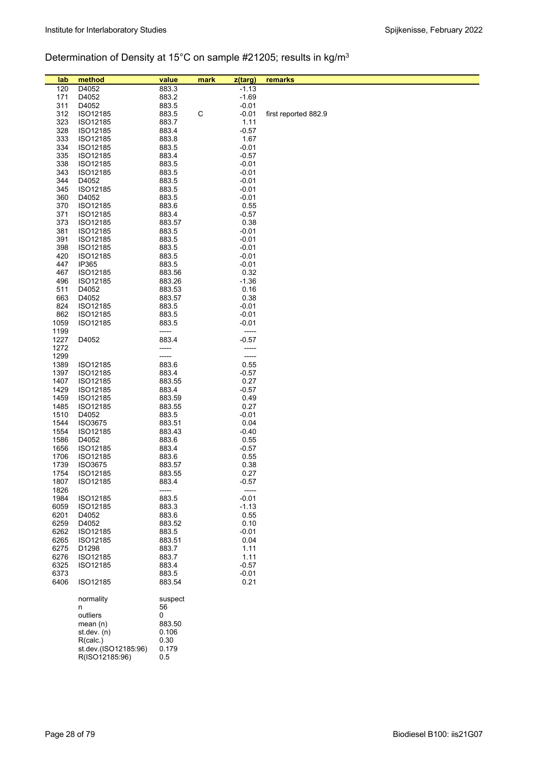## Determination of Density at 15°C on sample #21205; results in kg/m3

| lab          | method                     | value           | mark | z(targ)            | remarks              |
|--------------|----------------------------|-----------------|------|--------------------|----------------------|
| 120          | D4052                      | 883.3           |      | $-1.13$            |                      |
| 171          | D4052                      | 883.2           |      | $-1.69$            |                      |
| 311          | D4052                      | 883.5           |      | $-0.01$            |                      |
| 312          | ISO12185                   | 883.5           | C    | $-0.01$            | first reported 882.9 |
| 323          | ISO12185                   | 883.7           |      | 1.11               |                      |
| 328          | ISO12185                   | 883.4           |      | $-0.57$            |                      |
| 333          | ISO12185                   | 883.8           |      | 1.67               |                      |
| 334          | ISO12185                   | 883.5           |      | $-0.01$            |                      |
| 335          | ISO12185                   | 883.4           |      | $-0.57$            |                      |
| 338          | ISO12185                   | 883.5           |      | $-0.01$            |                      |
| 343          | ISO12185                   | 883.5           |      | $-0.01$            |                      |
| 344          | D4052                      | 883.5           |      | $-0.01$            |                      |
| 345          | ISO12185                   | 883.5           |      | $-0.01$            |                      |
| 360          | D4052                      | 883.5           |      | $-0.01$            |                      |
| 370          | ISO12185                   | 883.6           |      | 0.55               |                      |
| 371          | ISO12185                   | 883.4           |      | $-0.57$            |                      |
| 373          | ISO12185                   | 883.57          |      | 0.38               |                      |
| 381<br>391   | ISO12185<br>ISO12185       | 883.5           |      | $-0.01$<br>$-0.01$ |                      |
| 398          | ISO12185                   | 883.5<br>883.5  |      | $-0.01$            |                      |
| 420          | ISO12185                   | 883.5           |      | $-0.01$            |                      |
| 447          | IP365                      | 883.5           |      | $-0.01$            |                      |
| 467          | ISO12185                   | 883.56          |      | 0.32               |                      |
| 496          | ISO12185                   | 883.26          |      | $-1.36$            |                      |
| 511          | D4052                      | 883.53          |      | 0.16               |                      |
| 663          | D4052                      | 883.57          |      | 0.38               |                      |
| 824          | ISO12185                   | 883.5           |      | $-0.01$            |                      |
| 862          | ISO12185                   | 883.5           |      | $-0.01$            |                      |
| 1059         | ISO12185                   | 883.5           |      | $-0.01$            |                      |
| 1199         |                            | -----           |      | -----              |                      |
| 1227         | D4052                      | 883.4           |      | $-0.57$            |                      |
| 1272         |                            | -----           |      | -----              |                      |
| 1299         |                            |                 |      | -----              |                      |
| 1389         | ISO12185                   | 883.6           |      | 0.55               |                      |
| 1397         | ISO12185                   | 883.4           |      | $-0.57$            |                      |
| 1407         | ISO12185                   | 883.55          |      | 0.27               |                      |
| 1429         | ISO12185                   | 883.4           |      | $-0.57$            |                      |
| 1459         | ISO12185                   | 883.59          |      | 0.49               |                      |
| 1485         | ISO12185                   | 883.55          |      | 0.27               |                      |
| 1510<br>1544 | D4052                      | 883.5<br>883.51 |      | $-0.01$<br>0.04    |                      |
| 1554         | <b>ISO3675</b><br>ISO12185 | 883.43          |      | $-0.40$            |                      |
| 1586         | D4052                      | 883.6           |      | 0.55               |                      |
| 1656         | ISO12185                   | 883.4           |      | $-0.57$            |                      |
| 1706         | ISO12185                   | 883.6           |      | 0.55               |                      |
| 1739         | ISO3675                    | 883.57          |      | 0.38               |                      |
| 1754         | ISO12185                   | 883.55          |      | 0.27               |                      |
| 1807         | ISO12185                   | 883.4           |      | $-0.57$            |                      |
| 1826         |                            | -----           |      | -----              |                      |
| 1984         | ISO12185                   | 883.5           |      | $-0.01$            |                      |
| 6059         | ISO12185                   | 883.3           |      | $-1.13$            |                      |
| 6201         | D4052                      | 883.6           |      | 0.55               |                      |
| 6259         | D4052                      | 883.52          |      | 0.10               |                      |
| 6262         | ISO12185                   | 883.5           |      | $-0.01$            |                      |
| 6265         | ISO12185                   | 883.51          |      | 0.04               |                      |
| 6275         | D1298                      | 883.7           |      | 1.11               |                      |
| 6276         | ISO12185                   | 883.7           |      | 1.11               |                      |
| 6325         | ISO12185                   | 883.4           |      | $-0.57$            |                      |
| 6373         |                            | 883.5           |      | $-0.01$            |                      |
| 6406         | ISO12185                   | 883.54          |      | 0.21               |                      |
|              |                            |                 |      |                    |                      |
|              | normality<br>n             | suspect<br>56   |      |                    |                      |
|              | outliers                   | 0               |      |                    |                      |
|              | mean $(n)$                 | 883.50          |      |                    |                      |
|              | st.dev. $(n)$              | 0.106           |      |                    |                      |
|              | R(calc.)                   | 0.30            |      |                    |                      |
|              | st.dev.(ISO12185:96)       | 0.179           |      |                    |                      |
|              | R(ISO12185:96)             | 0.5             |      |                    |                      |
|              |                            |                 |      |                    |                      |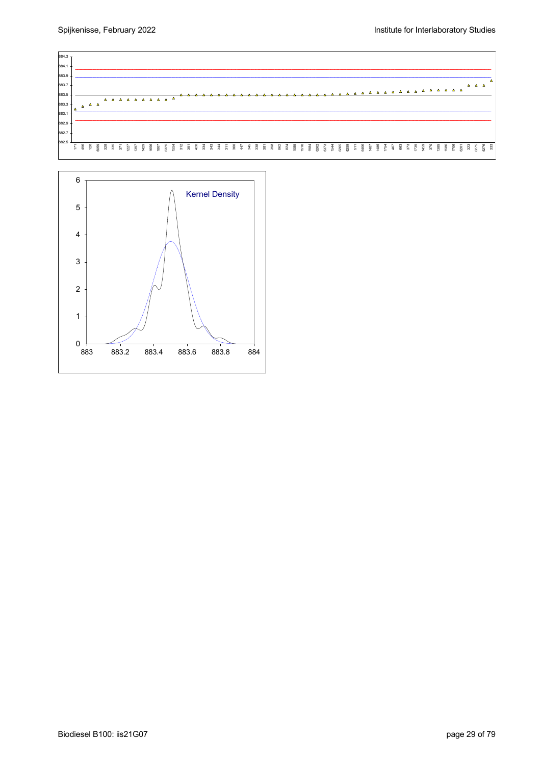

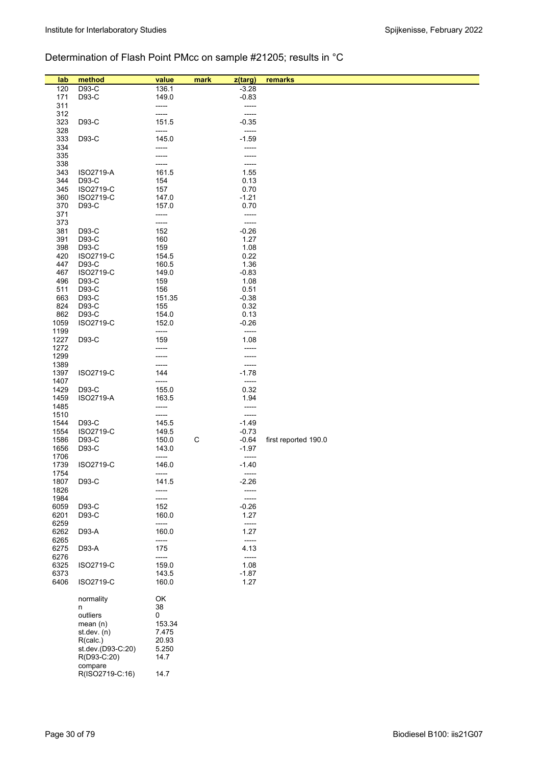## Determination of Flash Point PMcc on sample #21205; results in °C

| lab  | method            | value  | mark | z(targ) | remarks              |
|------|-------------------|--------|------|---------|----------------------|
| 120  | D93-C             | 136.1  |      | $-3.28$ |                      |
| 171  | D93-C             | 149.0  |      | $-0.83$ |                      |
| 311  |                   | -----  |      | -----   |                      |
| 312  |                   | -----  |      | -----   |                      |
| 323  | D93-C             | 151.5  |      | $-0.35$ |                      |
| 328  |                   | -----  |      | -----   |                      |
|      |                   |        |      |         |                      |
| 333  | D93-C             | 145.0  |      | $-1.59$ |                      |
| 334  |                   | -----  |      | -----   |                      |
| 335  |                   |        |      | -----   |                      |
| 338  |                   |        |      | -----   |                      |
| 343  | <b>ISO2719-A</b>  | 161.5  |      | 1.55    |                      |
| 344  | D93-C             | 154    |      | 0.13    |                      |
| 345  | <b>ISO2719-C</b>  | 157    |      | 0.70    |                      |
| 360  | ISO2719-C         | 147.0  |      | $-1.21$ |                      |
| 370  | D93-C             | 157.0  |      | 0.70    |                      |
| 371  |                   | -----  |      | -----   |                      |
|      |                   |        |      |         |                      |
| 373  |                   | -----  |      | -----   |                      |
| 381  | D93-C             | 152    |      | $-0.26$ |                      |
| 391  | D93-C             | 160    |      | 1.27    |                      |
| 398  | D93-C             | 159    |      | 1.08    |                      |
| 420  | ISO2719-C         | 154.5  |      | 0.22    |                      |
| 447  | D93-C             | 160.5  |      | 1.36    |                      |
| 467  | ISO2719-C         | 149.0  |      | $-0.83$ |                      |
| 496  | D93-C             | 159    |      | 1.08    |                      |
| 511  | D93-C             | 156    |      | 0.51    |                      |
| 663  | D93-C             |        |      |         |                      |
|      |                   | 151.35 |      | $-0.38$ |                      |
| 824  | D93-C             | 155    |      | 0.32    |                      |
| 862  | D93-C             | 154.0  |      | 0.13    |                      |
| 1059 | ISO2719-C         | 152.0  |      | $-0.26$ |                      |
| 1199 |                   | -----  |      | -----   |                      |
| 1227 | D93-C             | 159    |      | 1.08    |                      |
| 1272 |                   |        |      | -----   |                      |
| 1299 |                   |        |      | -----   |                      |
| 1389 |                   |        |      | -----   |                      |
| 1397 | ISO2719-C         | 144    |      | $-1.78$ |                      |
| 1407 |                   |        |      | -----   |                      |
|      |                   | -----  |      |         |                      |
| 1429 | D93-C             | 155.0  |      | 0.32    |                      |
| 1459 | <b>ISO2719-A</b>  | 163.5  |      | 1.94    |                      |
| 1485 |                   | -----  |      | -----   |                      |
| 1510 |                   | -----  |      | -----   |                      |
| 1544 | D93-C             | 145.5  |      | $-1.49$ |                      |
| 1554 | ISO2719-C         | 149.5  |      | $-0.73$ |                      |
| 1586 | D93-C             | 150.0  | C    | $-0.64$ | first reported 190.0 |
| 1656 | D93-C             | 143.0  |      | $-1.97$ |                      |
| 1706 |                   | -----  |      | -----   |                      |
| 1739 | ISO2719-C         | 146.0  |      | $-1.40$ |                      |
|      |                   | -----  |      |         |                      |
| 1754 |                   |        |      | -----   |                      |
| 1807 | D93-C             | 141.5  |      | $-2.26$ |                      |
| 1826 |                   | -----  |      | -----   |                      |
| 1984 |                   | -----  |      | -----   |                      |
| 6059 | D93-C             | 152    |      | $-0.26$ |                      |
| 6201 | D93-C             | 160.0  |      | 1.27    |                      |
| 6259 |                   | -----  |      | -----   |                      |
| 6262 | D93-A             | 160.0  |      | 1.27    |                      |
| 6265 |                   | -----  |      | $-----$ |                      |
| 6275 | D93-A             | 175    |      | 4.13    |                      |
| 6276 |                   | -----  |      | $-----$ |                      |
| 6325 | ISO2719-C         | 159.0  |      | 1.08    |                      |
|      |                   |        |      |         |                      |
| 6373 |                   | 143.5  |      | $-1.87$ |                      |
| 6406 | ISO2719-C         | 160.0  |      | 1.27    |                      |
|      |                   |        |      |         |                      |
|      | normality         | OK     |      |         |                      |
|      | n                 | 38     |      |         |                      |
|      | outliers          | 0      |      |         |                      |
|      | mean $(n)$        | 153.34 |      |         |                      |
|      | st.dev. (n)       | 7.475  |      |         |                      |
|      | R(calc.)          | 20.93  |      |         |                      |
|      | st.dev.(D93-C:20) | 5.250  |      |         |                      |
|      | R(D93-C:20)       | 14.7   |      |         |                      |
|      | compare           |        |      |         |                      |
|      | R(ISO2719-C:16)   | 14.7   |      |         |                      |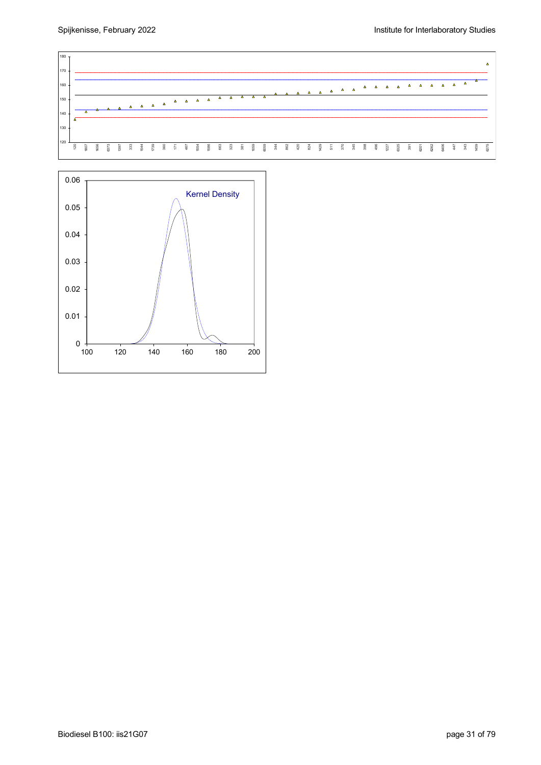

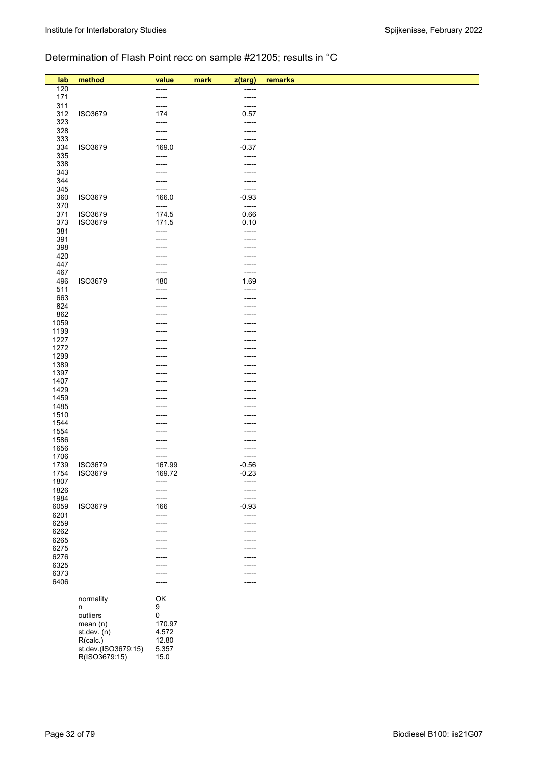## Determination of Flash Point recc on sample #21205; results in °C

| lab          | method                               | value          | mark<br>z(targ)  | remarks |
|--------------|--------------------------------------|----------------|------------------|---------|
| 120          |                                      | -----          | $-----$          |         |
| 171          |                                      | -----          | $-----$          |         |
| 311          |                                      | -----          | $-----$          |         |
| 312          | ISO3679                              | 174            | 0.57             |         |
| 323          |                                      |                | -----            |         |
| 328<br>333   |                                      | -----<br>----- | -----<br>-----   |         |
| 334          | ISO3679                              | 169.0          | $-0.37$          |         |
| 335          |                                      | -----          | -----            |         |
| 338          |                                      | -----          | -----            |         |
| 343          |                                      |                | -----            |         |
| 344          |                                      |                | -----            |         |
| 345<br>360   | ISO3679                              | -----<br>166.0 | -----<br>$-0.93$ |         |
| 370          |                                      | -----          | $-----$          |         |
| 371          | ISO3679                              | 174.5          | 0.66             |         |
| 373          | ISO3679                              | 171.5          | 0.10             |         |
| 381          |                                      | -----          | -----            |         |
| 391          |                                      | -----          | -----            |         |
| 398<br>420   |                                      |                |                  |         |
| 447          |                                      |                | -----            |         |
| 467          |                                      | -----          | -----            |         |
| 496          | ISO3679                              | 180            | 1.69             |         |
| 511          |                                      | -----          | -----            |         |
| 663          |                                      | -----          | -----            |         |
| 824<br>862   |                                      |                | -----            |         |
| 1059         |                                      |                |                  |         |
| 1199         |                                      |                |                  |         |
| 1227         |                                      |                |                  |         |
| 1272         |                                      |                |                  |         |
| 1299         |                                      |                |                  |         |
| 1389<br>1397 |                                      |                |                  |         |
| 1407         |                                      |                |                  |         |
| 1429         |                                      |                |                  |         |
| 1459         |                                      |                | ----             |         |
| 1485         |                                      |                |                  |         |
| 1510         |                                      |                | -----            |         |
| 1544<br>1554 |                                      |                | -----            |         |
| 1586         |                                      |                |                  |         |
| 1656         |                                      |                | -----            |         |
| 1706         |                                      | -----          | -----            |         |
| 1739         | ISO3679                              | 167.99         | $-0.56$          |         |
| 1754         | ISO3679                              | 169.72         | $-0.23$          |         |
| 1807<br>1826 |                                      |                |                  |         |
| 1984         |                                      |                | -----            |         |
| 6059         | ISO3679                              | 166            | $-0.93$          |         |
| 6201         |                                      | -----          | -----            |         |
| 6259         |                                      |                | -----            |         |
| 6262<br>6265 |                                      |                | -----            |         |
| 6275         |                                      |                | -----<br>-----   |         |
| 6276         |                                      |                |                  |         |
| 6325         |                                      |                |                  |         |
| 6373         |                                      |                | -----            |         |
| 6406         |                                      | -----          | -----            |         |
|              | normality                            | OK             |                  |         |
|              | n                                    | 9              |                  |         |
|              | outliers                             | 0              |                  |         |
|              | mean(n)                              | 170.97         |                  |         |
|              | st.dev. (n)                          | 4.572          |                  |         |
|              | R(calc.)                             | 12.80          |                  |         |
|              | st.dev.(ISO3679:15)<br>R(ISO3679:15) | 5.357<br>15.0  |                  |         |
|              |                                      |                |                  |         |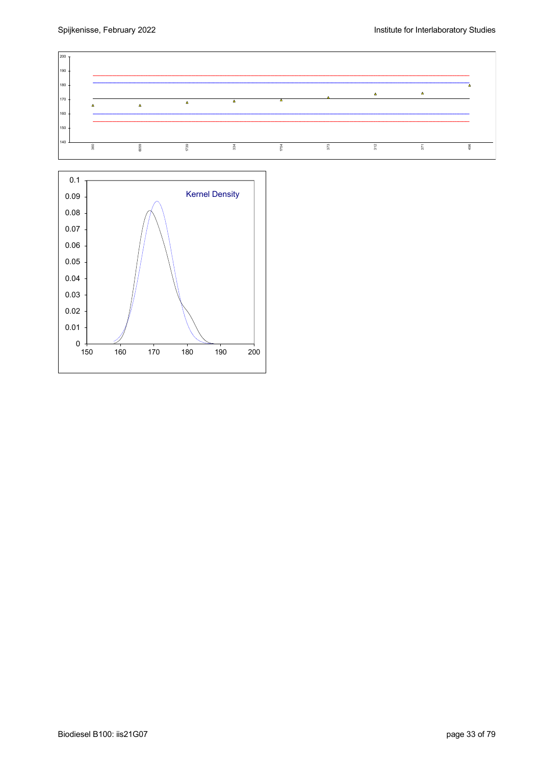

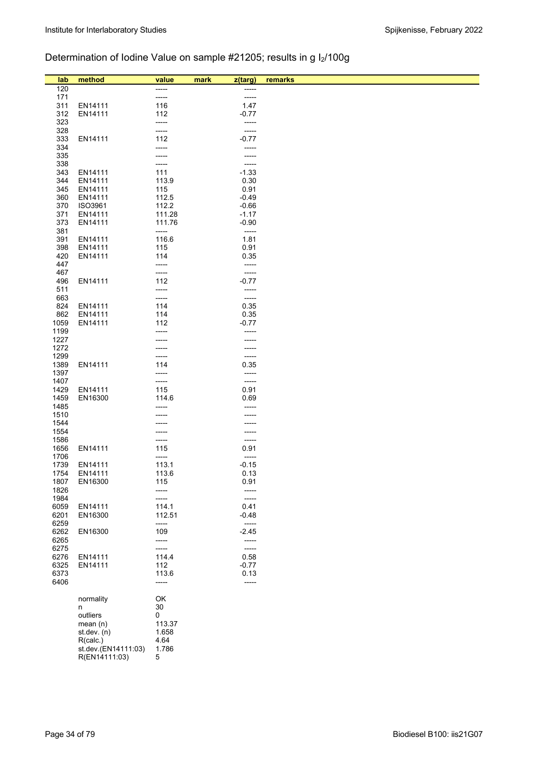## Determination of Iodine Value on sample #21205; results in g I2/100g

| lab          | method              | value           | mark<br>z(targ) | remarks |
|--------------|---------------------|-----------------|-----------------|---------|
| 120          |                     | -----           | -----           |         |
| 171          |                     | -----           | -----           |         |
| 311          | EN14111             | 116             | 1.47            |         |
| 312          | EN14111             | 112             | $-0.77$         |         |
| 323          |                     | -----           | -----           |         |
| 328          |                     | -----           | -----           |         |
| 333          | EN14111             | 112             | $-0.77$         |         |
| 334          |                     | -----           | -----           |         |
| 335          |                     | -----           | -----           |         |
| 338          |                     | -----           | -----           |         |
| 343          | EN14111             | 111             | $-1.33$         |         |
| 344          | EN14111             | 113.9           | 0.30            |         |
| 345<br>360   | EN14111<br>EN14111  | 115<br>112.5    | 0.91<br>$-0.49$ |         |
| 370          | ISO3961             | 112.2           | $-0.66$         |         |
| 371          | EN14111             | 111.28          | $-1.17$         |         |
| 373          | EN14111             | 111.76          | $-0.90$         |         |
| 381          |                     | -----           | -----           |         |
| 391          | EN14111             | 116.6           | 1.81            |         |
| 398          | EN14111             | 115             | 0.91            |         |
| 420          | EN14111             | 114             | 0.35            |         |
| 447          |                     | -----           | -----           |         |
| 467          |                     | -----           | -----           |         |
| 496          | EN14111             | 112             | $-0.77$         |         |
| 511          |                     | -----           | -----<br>-----  |         |
| 663<br>824   | EN14111             | -----<br>114    | 0.35            |         |
| 862          | EN14111             | 114             | 0.35            |         |
| 1059         | EN14111             | 112             | $-0.77$         |         |
| 1199         |                     |                 | -----           |         |
| 1227         |                     |                 |                 |         |
| 1272         |                     |                 | -----           |         |
| 1299         |                     |                 | -----           |         |
| 1389         | EN14111             | 114             | 0.35            |         |
| 1397         |                     | -----           | -----           |         |
| 1407         |                     | -----           | -----           |         |
| 1429         | EN14111             | 115             | 0.91            |         |
| 1459         | EN16300             | 114.6           | 0.69            |         |
| 1485<br>1510 |                     |                 | -----           |         |
| 1544         |                     |                 | -----<br>-----  |         |
| 1554         |                     |                 | -----           |         |
| 1586         |                     |                 | -----           |         |
| 1656         | EN14111             | 115             | 0.91            |         |
| 1706         |                     | -----           | -----           |         |
| 1739         | EN14111             | 113.1           | $-0.15$         |         |
| 1754         | EN14111             | 113.6           | 0.13            |         |
| 1807         | EN16300             | 115             | 0.91            |         |
| 1826         |                     | -----           | -----           |         |
| 1984         |                     |                 | -----           |         |
| 6059<br>6201 | EN14111             | 114.1<br>112.51 | 0.41<br>$-0.48$ |         |
| 6259         | EN16300             | -----           | -----           |         |
| 6262         | EN16300             | 109             | $-2.45$         |         |
| 6265         |                     | -----           | -----           |         |
| 6275         |                     | -----           | -----           |         |
| 6276         | EN14111             | 114.4           | 0.58            |         |
| 6325         | EN14111             | 112             | $-0.77$         |         |
| 6373         |                     | 113.6           | 0.13            |         |
| 6406         |                     | -----           | -----           |         |
|              |                     |                 |                 |         |
|              | normality           | OK              |                 |         |
|              | n<br>outliers       | 30<br>0         |                 |         |
|              | mean $(n)$          | 113.37          |                 |         |
|              | st.dev. (n)         | 1.658           |                 |         |
|              | R(calc.)            | 4.64            |                 |         |
|              | st.dev.(EN14111:03) | 1.786           |                 |         |
|              | R(EN14111:03)       | 5               |                 |         |
|              |                     |                 |                 |         |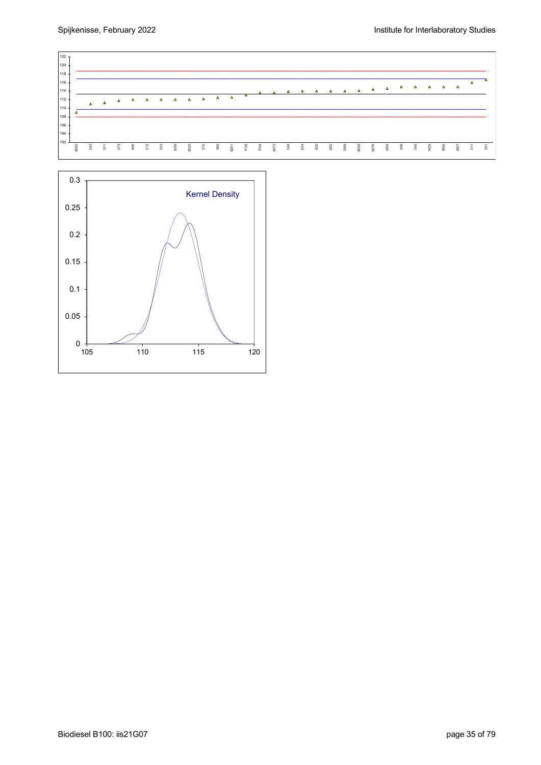

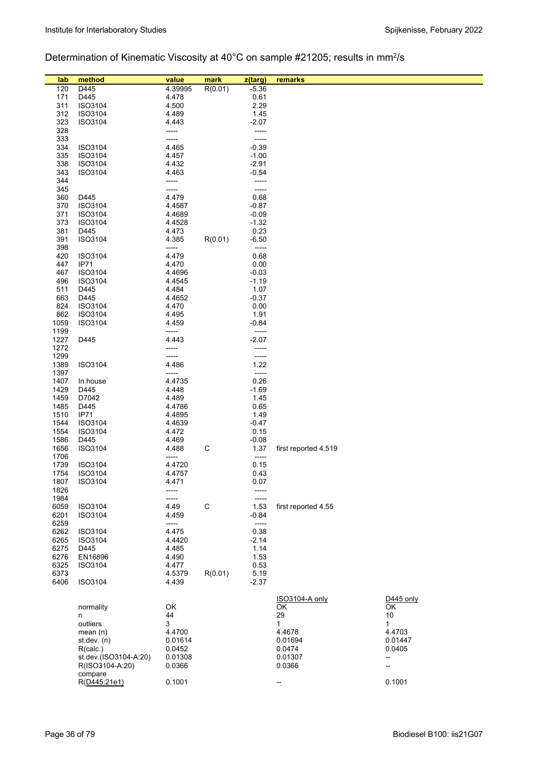## Determination of Kinematic Viscosity at 40°C on sample #21205; results in mm<sup>2</sup>/s

| lab          | method                | value          | mark        | z(targ)        | remarks              |           |
|--------------|-----------------------|----------------|-------------|----------------|----------------------|-----------|
| 120          | D445                  | 4.39995        | R(0.01)     | $-5.36$        |                      |           |
| 171          | D445                  | 4.478          |             | 0.61           |                      |           |
| 311          | ISO3104               | 4.500          |             | 2.29           |                      |           |
| 312          | ISO3104               | 4.489          |             | 1.45           |                      |           |
| 323          | ISO3104               | 4.443          |             | $-2.07$        |                      |           |
| 328          |                       | -----          |             | -----          |                      |           |
| 333          |                       | -----          |             | -----          |                      |           |
| 334          | ISO3104               | 4.465          |             | $-0.39$        |                      |           |
| 335          | ISO3104               | 4.457          |             | $-1.00$        |                      |           |
| 338          | ISO3104               | 4.432          |             | $-2.91$        |                      |           |
| 343          |                       | 4.463          |             | $-0.54$        |                      |           |
| 344          | ISO3104               |                |             |                |                      |           |
| 345          |                       | -----<br>----- |             | -----<br>----- |                      |           |
| 360          | D445                  | 4.479          |             | 0.68           |                      |           |
| 370          | ISO3104               | 4.4587         |             | $-0.87$        |                      |           |
| 371          | ISO3104               | 4.4689         |             | $-0.09$        |                      |           |
| 373          | ISO3104               | 4.4528         |             | $-1.32$        |                      |           |
| 381          | D445                  | 4.473          |             | 0.23           |                      |           |
| 391          | ISO3104               | 4.385          | R(0.01)     | $-6.50$        |                      |           |
| 398          |                       | -----          |             | -----          |                      |           |
| 420          | ISO3104               | 4.479          |             | 0.68           |                      |           |
| 447          | IP71                  | 4.470          |             | 0.00           |                      |           |
| 467          | ISO3104               | 4.4696         |             | $-0.03$        |                      |           |
| 496          | ISO3104               | 4.4545         |             | $-1.19$        |                      |           |
| 511          | D445                  | 4.484          |             | 1.07           |                      |           |
| 663          | D445                  | 4.4652         |             | $-0.37$        |                      |           |
| 824          | ISO3104               | 4.470          |             | 0.00           |                      |           |
| 862          | ISO3104               | 4.495          |             | 1.91           |                      |           |
| 1059         | ISO3104               | 4.459          |             | $-0.84$        |                      |           |
| 1199         |                       | -----          |             | -----          |                      |           |
| 1227         | D445                  | 4.443          |             | $-2.07$        |                      |           |
| 1272         |                       | -----          |             | -----          |                      |           |
| 1299         |                       | -----          |             | -----          |                      |           |
| 1389         | ISO3104               | 4.486          |             | 1.22           |                      |           |
| 1397         |                       | -----          |             | -----          |                      |           |
| 1407         | In house              | 4.4735         |             | 0.26           |                      |           |
| 1429         | D445                  | 4.448          |             | $-1.69$        |                      |           |
| 1459         | D7042                 | 4.489          |             | 1.45           |                      |           |
| 1485         | D445                  | 4.4786         |             | 0.65           |                      |           |
| 1510         | IP71                  | 4.4895         |             | 1.49           |                      |           |
| 1544         | ISO3104               | 4.4639         |             | $-0.47$        |                      |           |
| 1554         | ISO3104               | 4.472          |             | 0.15           |                      |           |
| 1586         | D445                  | 4.469          |             | $-0.08$        |                      |           |
| 1656         | ISO3104               | 4.488<br>----- | C           | 1.37           | first reported 4.519 |           |
| 1706         | ISO3104               | 4.4720         |             | -----<br>0.15  |                      |           |
| 1739<br>1754 | ISO3104               | 4.4757         |             | 0.43           |                      |           |
| 1807         | ISO3104               | 4.471          |             | 0.07           |                      |           |
| 1826         |                       | ------         |             | ------         |                      |           |
| 1984         |                       | -----          |             |                |                      |           |
| 6059         | ISO3104               | 4.49           | $\mathsf C$ | 1.53           | first reported 4.55  |           |
| 6201         | ISO3104               | 4.459          |             | $-0.84$        |                      |           |
| 6259         |                       | -----          |             | -----          |                      |           |
| 6262         | ISO3104               | 4.475          |             | 0.38           |                      |           |
| 6265         | ISO3104               | 4.4420         |             | $-2.14$        |                      |           |
| 6275         | D445                  | 4.485          |             | 1.14           |                      |           |
| 6276         | EN16896               | 4.490          |             | 1.53           |                      |           |
| 6325         | ISO3104               | 4.477          |             | 0.53           |                      |           |
| 6373         |                       | 4.5379         | R(0.01)     | 5.19           |                      |           |
| 6406         | ISO3104               | 4.439          |             | $-2.37$        |                      |           |
|              |                       |                |             |                |                      |           |
|              |                       |                |             |                | ISO3104-A only       | D445 only |
|              | normality             | OK             |             |                | OK                   | ОK        |
|              | n                     | 44             |             |                | 29                   | 10        |
|              | outliers              | 3              |             |                | 1                    | 1         |
|              | mean $(n)$            | 4.4700         |             |                | 4.4678               | 4.4703    |
|              | st.dev. $(n)$         | 0.01614        |             |                | 0.01694              | 0.01447   |
|              | R(calc.)              | 0.0452         |             |                | 0.0474               | 0.0405    |
|              | st.dev.(ISO3104-A:20) | 0.01308        |             |                | 0.01307              | --        |
|              | R(ISO3104-A:20)       | 0.0366         |             |                | 0.0366               | --        |
|              | compare               |                |             |                |                      |           |
|              | R(D445:21e1)          | 0.1001         |             |                |                      | 0.1001    |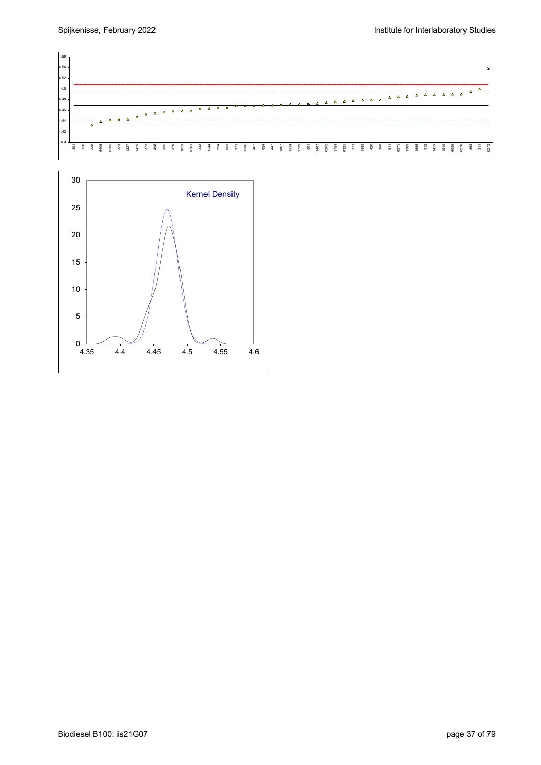

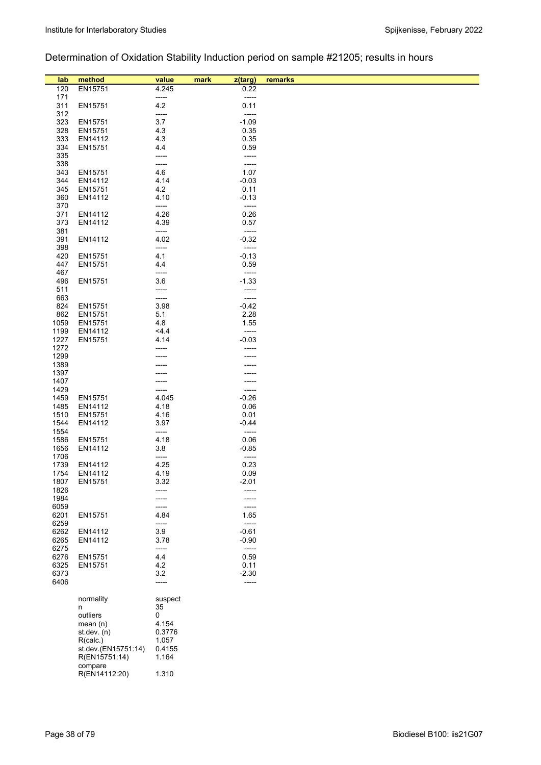## Determination of Oxidation Stability Induction period on sample #21205; results in hours

| lab          | method                               | value           | mark<br>z(targ)  | remarks |
|--------------|--------------------------------------|-----------------|------------------|---------|
| 120          | EN15751                              | 4.245           | 0.22             |         |
| 171          |                                      | -----           | -----            |         |
| 311          | EN15751                              | 4.2             | 0.11             |         |
| 312          |                                      | -----           | -----            |         |
| 323          | EN15751                              | 3.7             | $-1.09$          |         |
| 328          | EN15751                              | 4.3             | 0.35             |         |
| 333          | EN14112                              | 4.3             | 0.35             |         |
| 334          | EN15751                              | 4.4             | 0.59             |         |
| 335<br>338   |                                      | -----           | -----            |         |
| 343          | EN15751                              | -----<br>4.6    | -----<br>1.07    |         |
| 344          | EN14112                              | 4.14            | $-0.03$          |         |
| 345          | EN15751                              | 4.2             | 0.11             |         |
| 360          | EN14112                              | 4.10            | $-0.13$          |         |
| 370          |                                      | -----           | -----            |         |
| 371          | EN14112                              | 4.26            | 0.26             |         |
| 373          | EN14112                              | 4.39            | 0.57             |         |
| 381          |                                      | -----           | -----            |         |
| 391          | EN14112                              | 4.02            | $-0.32$          |         |
| 398<br>420   | EN15751                              | -----<br>4.1    | -----<br>$-0.13$ |         |
| 447          | EN15751                              | 4.4             | 0.59             |         |
| 467          |                                      | -----           | -----            |         |
| 496          | EN15751                              | 3.6             | $-1.33$          |         |
| 511          |                                      | -----           | -----            |         |
| 663          |                                      | -----           | -----            |         |
| 824          | EN15751                              | 3.98            | $-0.42$          |         |
| 862          | EN15751                              | 5.1             | 2.28             |         |
| 1059         | EN15751                              | 4.8             | 1.55<br>-----    |         |
| 1199<br>1227 | EN14112<br>EN15751                   | 4.4<br>4.14     | $-0.03$          |         |
| 1272         |                                      |                 |                  |         |
| 1299         |                                      |                 |                  |         |
| 1389         |                                      |                 |                  |         |
| 1397         |                                      |                 |                  |         |
| 1407         |                                      |                 |                  |         |
| 1429         |                                      |                 | -----            |         |
| 1459         | EN15751                              | 4.045           | $-0.26$          |         |
| 1485         | EN14112                              | 4.18            | 0.06             |         |
| 1510<br>1544 | EN15751<br>EN14112                   | 4.16<br>3.97    | 0.01<br>-0.44    |         |
| 1554         |                                      | -----           | -----            |         |
| 1586         | EN15751                              | 4.18            | 0.06             |         |
| 1656         | EN14112                              | 3.8             | $-0.85$          |         |
| 1706         |                                      | -----           | -----            |         |
| 1739         | EN14112                              | 4.25            | 0.23             |         |
| 1754         | EN14112                              | 4.19            | 0.09             |         |
| 1807         | EN15751                              | 3.32            | $-2.01$          |         |
| 1826<br>1984 |                                      | -----           | -----<br>-----   |         |
| 6059         |                                      |                 | -----            |         |
| 6201         | EN15751                              | 4.84            | 1.65             |         |
| 6259         |                                      | -----           | -----            |         |
| 6262         | EN14112                              | 3.9             | $-0.61$          |         |
| 6265         | EN14112                              | 3.78            | $-0.90$          |         |
| 6275         |                                      | -----           | -----            |         |
| 6276         | EN15751                              | 4.4             | 0.59             |         |
| 6325<br>6373 | EN15751                              | 4.2<br>3.2      | 0.11<br>$-2.30$  |         |
| 6406         |                                      | -----           | -----            |         |
|              |                                      |                 |                  |         |
|              | normality                            | suspect         |                  |         |
|              | n                                    | 35              |                  |         |
|              | outliers                             | 0               |                  |         |
|              | mean $(n)$                           | 4.154           |                  |         |
|              | st.dev. (n)                          | 0.3776          |                  |         |
|              | R(calc.)                             | 1.057           |                  |         |
|              | st.dev.(EN15751:14)<br>R(EN15751:14) | 0.4155<br>1.164 |                  |         |
|              | compare                              |                 |                  |         |
|              | R(EN14112:20)                        | 1.310           |                  |         |
|              |                                      |                 |                  |         |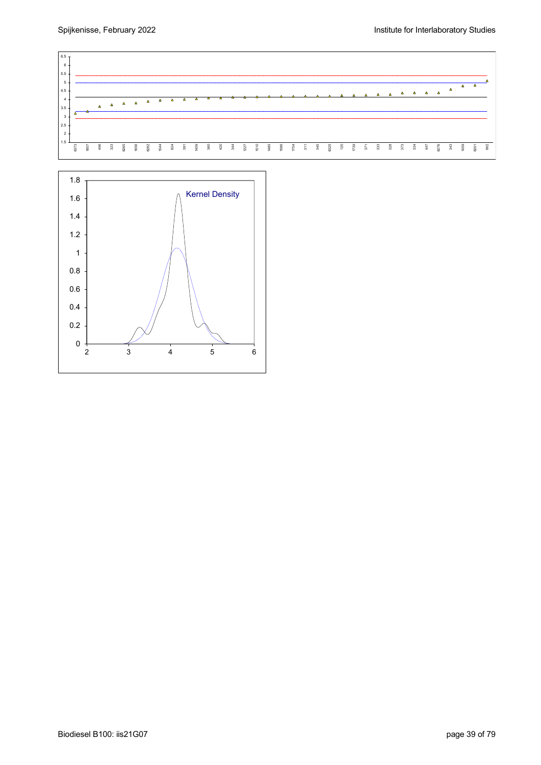

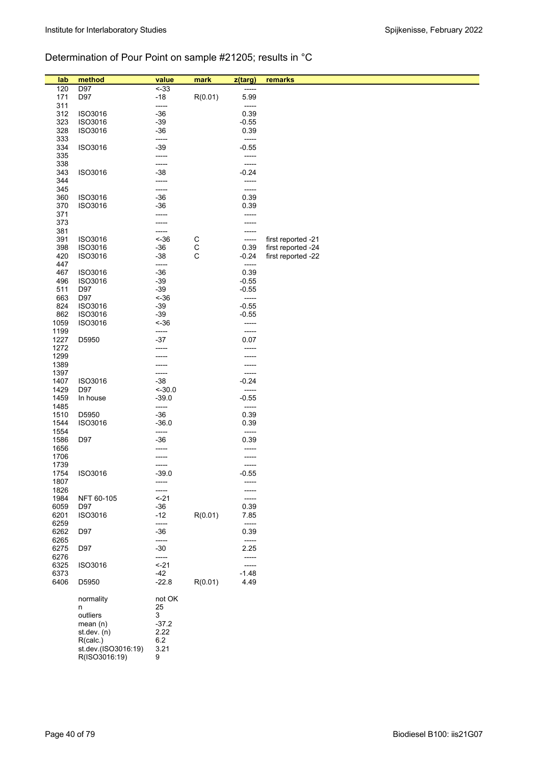# Determination of Pour Point on sample #21205; results in °C

| lab          | method                          | value            | mark        | $z$ (targ)      | remarks            |
|--------------|---------------------------------|------------------|-------------|-----------------|--------------------|
| 120          | D97                             | $-33$            |             | -----           |                    |
| 171          | D97                             | $-18$            | R(0.01)     | 5.99            |                    |
| 311          |                                 | -----            |             | -----           |                    |
| 312          | ISO3016                         | $-36$            |             | 0.39            |                    |
| 323          | ISO3016                         | $-39$            |             | $-0.55$         |                    |
| 328          | ISO3016                         | $-36$            |             | 0.39            |                    |
| 333          |                                 | -----            |             | -----           |                    |
| 334          | ISO3016                         | $-39$            |             | $-0.55$         |                    |
| 335          |                                 | -----            |             | -----           |                    |
| 338          |                                 | -----            |             | -----           |                    |
| 343          | ISO3016                         | $-38$            |             | $-0.24$         |                    |
| 344          |                                 | -----            |             | -----           |                    |
| 345          |                                 | -----            |             | -----           |                    |
| 360          | ISO3016                         | $-36$            |             | 0.39            |                    |
| 370          | ISO3016                         | $-36$            |             | 0.39            |                    |
| 371          |                                 |                  |             | -----           |                    |
| 373          |                                 | -----            |             | -----           |                    |
| 381          |                                 | -----            |             | -----           |                    |
| 391          | ISO3016                         | $-36$            | C           | -----           | first reported -21 |
| 398          | ISO3016                         | $-36$            | $\mathsf C$ | 0.39            | first reported -24 |
| 420          | ISO3016                         | $-38$            | C           | $-0.24$         | first reported -22 |
| 447          |                                 | -----            |             | -----           |                    |
| 467          | ISO3016                         | $-36$            |             | 0.39            |                    |
| 496          | ISO3016                         | $-39$            |             | $-0.55$         |                    |
| 511          | D97                             | $-39$            |             | $-0.55$         |                    |
| 663          | D97                             | $< -36$          |             | -----           |                    |
| 824          | ISO3016                         | $-39$            |             | $-0.55$         |                    |
| 862          | ISO3016                         | $-39$            |             | $-0.55$         |                    |
| 1059         | ISO3016                         | $< -36$          |             | -----           |                    |
| 1199         |                                 | -----            |             | -----           |                    |
| 1227         | D5950                           | $-37$            |             | 0.07            |                    |
| 1272         |                                 |                  |             | -----           |                    |
| 1299         |                                 |                  |             |                 |                    |
| 1389         |                                 |                  |             | -----           |                    |
| 1397         |                                 | -----            |             | -----           |                    |
| 1407         | ISO3016                         | $-38$            |             | $-0.24$         |                    |
| 1429         | D97                             | $< -30.0$        |             | -----           |                    |
| 1459         | In house                        | $-39.0$          |             | $-0.55$         |                    |
| 1485         |                                 | -----            |             | -----           |                    |
| 1510         | D5950                           | $-36$            |             | 0.39            |                    |
| 1544         | ISO3016                         | $-36.0$<br>----- |             | 0.39<br>$-----$ |                    |
| 1554<br>1586 | D97                             | $-36$            |             | 0.39            |                    |
| 1656         |                                 |                  |             | -----           |                    |
| 1706         |                                 | -----            |             | -----           |                    |
| 1739         |                                 | -----            |             | -----           |                    |
| 1754         | ISO3016                         | $-39.0$          |             | $-0.55$         |                    |
| 1807         |                                 |                  |             |                 |                    |
| 1826         |                                 |                  |             |                 |                    |
| 1984         | NFT 60-105                      | $-21$            |             |                 |                    |
| 6059         | D97                             | $-36$            |             | 0.39            |                    |
| 6201         | ISO3016                         | $-12$            | R(0.01)     | 7.85            |                    |
| 6259         |                                 | -----            |             | -----           |                    |
| 6262         | D97                             | $-36$            |             | 0.39            |                    |
| 6265         |                                 | -----            |             | -----           |                    |
| 6275         | D97                             | $-30$            |             | 2.25            |                    |
| 6276         |                                 | -----            |             | -----           |                    |
| 6325         | ISO3016                         | $-21$            |             | -----           |                    |
| 6373         |                                 | $-42$            |             | $-1.48$         |                    |
| 6406         | D5950                           | $-22.8$          | R(0.01)     | 4.49            |                    |
|              |                                 |                  |             |                 |                    |
|              | normality                       | not OK           |             |                 |                    |
|              | n                               | 25               |             |                 |                    |
|              | outliers                        | 3                |             |                 |                    |
|              | mean $(n)$                      | $-37.2$          |             |                 |                    |
|              | st.dev. (n)                     | 2.22             |             |                 |                    |
|              | R(calc.)<br>st.dev.(ISO3016:19) | 6.2<br>3.21      |             |                 |                    |
|              | R(ISO3016:19)                   | 9                |             |                 |                    |
|              |                                 |                  |             |                 |                    |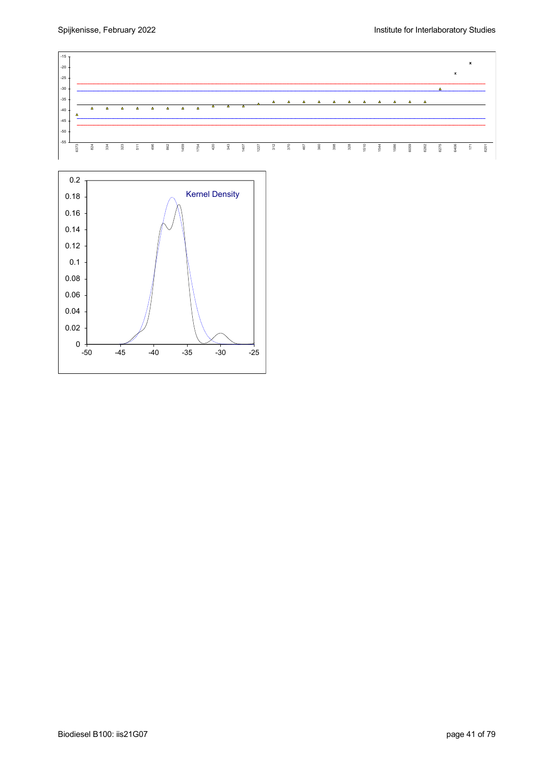

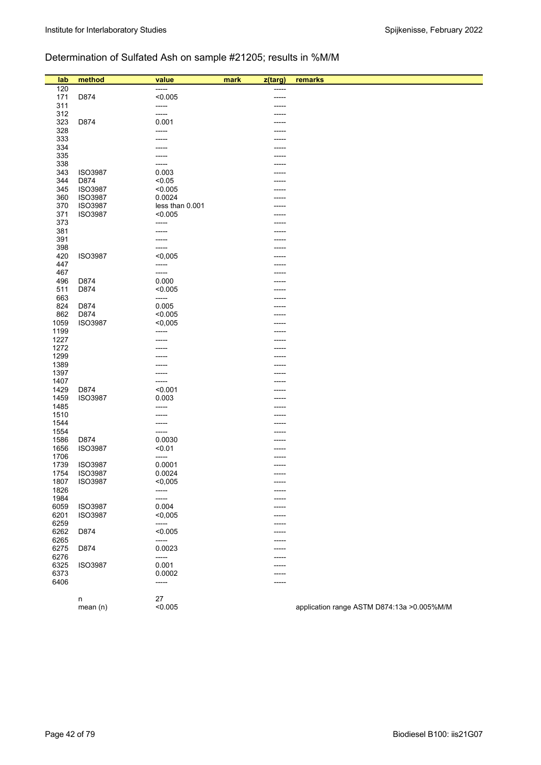## Determination of Sulfated Ash on sample #21205; results in %M/M

| lab          | method         | value            | mark | z(targ)        | remarks                                    |
|--------------|----------------|------------------|------|----------------|--------------------------------------------|
|              |                |                  |      |                |                                            |
| 120<br>171   | D874           | -----<br>< 0.005 |      | -----<br>----- |                                            |
| 311          |                | -----            |      |                |                                            |
| 312          |                | -----            |      |                |                                            |
| 323          | D874           | 0.001            |      |                |                                            |
| 328          |                | -----            |      |                |                                            |
| 333          |                |                  |      |                |                                            |
| 334          |                |                  |      |                |                                            |
| 335          |                |                  |      |                |                                            |
| 338          |                | -----            |      |                |                                            |
| 343          | <b>ISO3987</b> | 0.003            |      |                |                                            |
| 344          | D874           | < 0.05           |      |                |                                            |
| 345          | <b>ISO3987</b> | < 0.005          |      |                |                                            |
| 360          | <b>ISO3987</b> | 0.0024           |      |                |                                            |
| 370          | <b>ISO3987</b> | less than 0.001  |      |                |                                            |
| 371          | <b>ISO3987</b> | < 0.005          |      |                |                                            |
| 373          |                | -----            |      |                |                                            |
| 381          |                | -----            |      |                |                                            |
| 391          |                | -----            |      |                |                                            |
| 398          |                | -----            |      |                |                                            |
| 420          | <b>ISO3987</b> | < 0,005          |      |                |                                            |
| 447          |                | -----            |      |                |                                            |
| 467          |                | -----            |      |                |                                            |
| 496          | D874           | 0.000            |      |                |                                            |
| 511          | D874           | < 0.005          |      |                |                                            |
| 663          |                | -----            |      |                |                                            |
| 824          | D874           | 0.005            |      |                |                                            |
| 862          | D874           | < 0.005          |      |                |                                            |
| 1059         | <b>ISO3987</b> | < 0,005          |      |                |                                            |
| 1199         |                | -----            |      |                |                                            |
| 1227         |                | -----            |      |                |                                            |
| 1272         |                |                  |      |                |                                            |
| 1299         |                |                  |      |                |                                            |
| 1389         |                |                  |      |                |                                            |
| 1397         |                |                  |      |                |                                            |
| 1407         |                | -----            |      |                |                                            |
| 1429         | D874           | < 0.001          |      |                |                                            |
|              | <b>ISO3987</b> | 0.003            |      |                |                                            |
| 1459<br>1485 |                |                  |      |                |                                            |
| 1510         |                | -----            |      |                |                                            |
| 1544         |                | -----            |      |                |                                            |
|              |                | -----            |      |                |                                            |
| 1554<br>1586 | D874           | -----<br>0.0030  |      |                |                                            |
|              |                |                  |      |                |                                            |
| 1656         | <b>ISO3987</b> | < 0.01           |      |                |                                            |
| 1706         |                | -----            |      |                |                                            |
| 1739         | <b>ISO3987</b> | 0.0001           |      |                |                                            |
| 1754         | <b>ISO3987</b> | 0.0024           |      | -----          |                                            |
| 1807         | <b>ISO3987</b> | < 0,005          |      | -----          |                                            |
| 1826         |                | -----            |      |                |                                            |
| 1984         |                | -----            |      |                |                                            |
| 6059         | <b>ISO3987</b> | 0.004            |      |                |                                            |
| 6201         | <b>ISO3987</b> | < 0.005          |      |                |                                            |
| 6259         |                | -----            |      |                |                                            |
| 6262         | D874           | < 0.005          |      |                |                                            |
| 6265         |                | -----            |      |                |                                            |
| 6275         | D874           | 0.0023           |      |                |                                            |
| 6276         |                | -----            |      |                |                                            |
| 6325         | <b>ISO3987</b> | 0.001            |      |                |                                            |
| 6373         |                | 0.0002           |      |                |                                            |
| 6406         |                | -----            |      |                |                                            |
|              |                |                  |      |                |                                            |
|              | n              | 27               |      |                |                                            |
|              | mean(n)        | < 0.005          |      |                | application range ASTM D874:13a >0.005%M/M |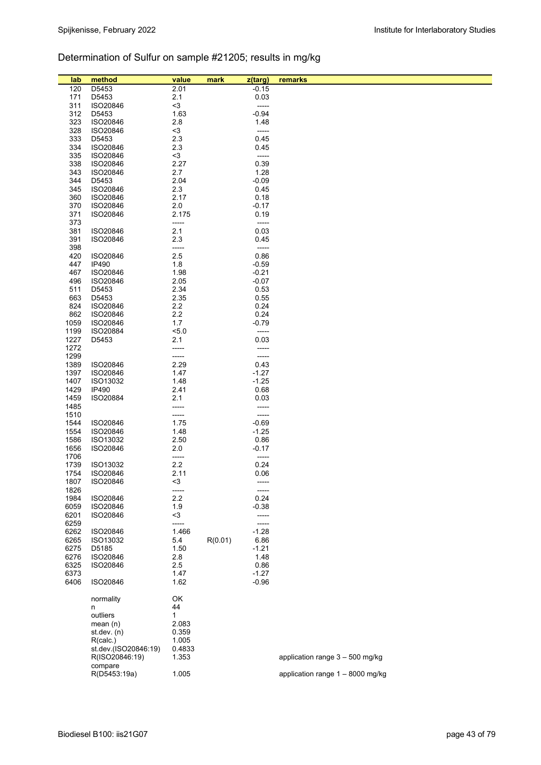# Determination of Sulfur on sample #21205; results in mg/kg

| lab          | method                  | value       | mark    | z(targ)          | remarks                          |
|--------------|-------------------------|-------------|---------|------------------|----------------------------------|
| 120          | D5453                   | 2.01        |         | $-0.15$          |                                  |
| 171          | D5453                   | 2.1         |         | 0.03             |                                  |
| 311          | ISO20846                | $<3$        |         | -----            |                                  |
| 312          | D5453                   | 1.63        |         | $-0.94$          |                                  |
| 323          | ISO20846                | 2.8         |         | 1.48             |                                  |
| 328          | ISO20846                | $3$         |         | -----            |                                  |
| 333          | D5453                   | 2.3         |         | 0.45             |                                  |
| 334          | ISO20846                | 2.3         |         | 0.45             |                                  |
| 335          | ISO20846                | $<3$        |         | -----            |                                  |
| 338          | ISO20846                | 2.27        |         | 0.39             |                                  |
| 343          | ISO20846                | 2.7         |         | 1.28             |                                  |
| 344          | D5453                   | 2.04        |         | $-0.09$          |                                  |
| 345          | ISO20846                | 2.3         |         | 0.45             |                                  |
| 360          | ISO20846                | 2.17        |         | 0.18             |                                  |
| 370          | ISO20846                | 2.0         |         | $-0.17$          |                                  |
| 371          | ISO20846                | 2.175       |         | 0.19             |                                  |
| 373          |                         | -----       |         | -----            |                                  |
| 381          | ISO20846                | 2.1         |         | 0.03             |                                  |
| 391          | ISO20846                | 2.3         |         | 0.45             |                                  |
| 398          |                         | -----       |         | -----            |                                  |
| 420          | ISO20846                | 2.5         |         | 0.86             |                                  |
| 447          | IP490                   | 1.8         |         | $-0.59$          |                                  |
| 467          | ISO20846                | 1.98        |         | $-0.21$          |                                  |
| 496          | ISO20846                | 2.05        |         | $-0.07$          |                                  |
| 511          | D5453                   | 2.34        |         | 0.53             |                                  |
| 663          | D5453                   | 2.35        |         | 0.55             |                                  |
| 824          | ISO20846                | 2.2         |         | 0.24             |                                  |
| 862          | ISO20846                | 2.2         |         | 0.24             |                                  |
| 1059         | ISO20846                | 1.7         |         | $-0.79$          |                                  |
| 1199         | ISO20884                | 5.0         |         | -----            |                                  |
| 1227         | D5453                   | 2.1         |         | 0.03             |                                  |
| 1272         |                         | -----       |         | -----            |                                  |
| 1299         |                         | -----       |         | -----            |                                  |
| 1389         | ISO20846                | 2.29        |         | 0.43             |                                  |
| 1397         | ISO20846                | 1.47        |         | $-1.27$          |                                  |
| 1407         | ISO13032                | 1.48        |         | $-1.25$          |                                  |
| 1429         | IP490                   | 2.41        |         | 0.68             |                                  |
| 1459         | ISO20884                | 2.1         |         | 0.03             |                                  |
| 1485         |                         |             |         |                  |                                  |
| 1510         |                         | -----       |         | -----<br>$-0.69$ |                                  |
| 1544         | ISO20846                | 1.75        |         |                  |                                  |
| 1554<br>1586 | ISO20846                | 1.48        |         | $-1.25$          |                                  |
|              | ISO13032                | 2.50<br>2.0 |         | 0.86<br>$-0.17$  |                                  |
| 1656<br>1706 | ISO20846                | -----       |         | -----            |                                  |
| 1739         | ISO13032                | 2.2         |         | 0.24             |                                  |
| 1754         | ISO20846                | 2.11        |         | 0.06             |                                  |
| 1807         | ISO20846                | $3$         |         | -----            |                                  |
| 1826         |                         | -----       |         | -----            |                                  |
| 1984         | ISO20846                | 2.2         |         | 0.24             |                                  |
| 6059         | ISO20846                | 1.9         |         | $-0.38$          |                                  |
| 6201         | ISO20846                | $3$         |         | -----            |                                  |
| 6259         |                         | -----       |         | -----            |                                  |
| 6262         | ISO20846                | 1.466       |         | $-1.28$          |                                  |
| 6265         | ISO13032                | 5.4         | R(0.01) | 6.86             |                                  |
| 6275         | D5185                   | 1.50        |         | $-1.21$          |                                  |
| 6276         | ISO20846                | 2.8         |         | 1.48             |                                  |
| 6325         | ISO20846                | 2.5         |         | 0.86             |                                  |
| 6373         |                         | 1.47        |         | $-1.27$          |                                  |
| 6406         | ISO20846                | 1.62        |         | $-0.96$          |                                  |
|              |                         |             |         |                  |                                  |
|              | normality               | OK          |         |                  |                                  |
|              | n                       | 44          |         |                  |                                  |
|              | outliers                | 1           |         |                  |                                  |
|              | mean $(n)$              | 2.083       |         |                  |                                  |
|              | st.dev. (n)             | 0.359       |         |                  |                                  |
|              | R(calc.)                | 1.005       |         |                  |                                  |
|              | st.dev.(ISO20846:19)    | 0.4833      |         |                  |                                  |
|              | R(ISO20846:19)          | 1.353       |         |                  | application range 3 - 500 mg/kg  |
|              | compare<br>R(D5453:19a) | 1.005       |         |                  | application range 1 - 8000 mg/kg |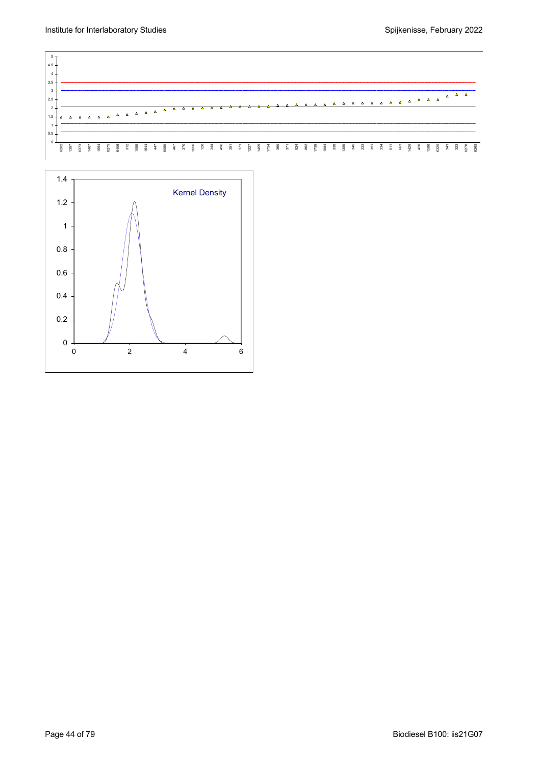

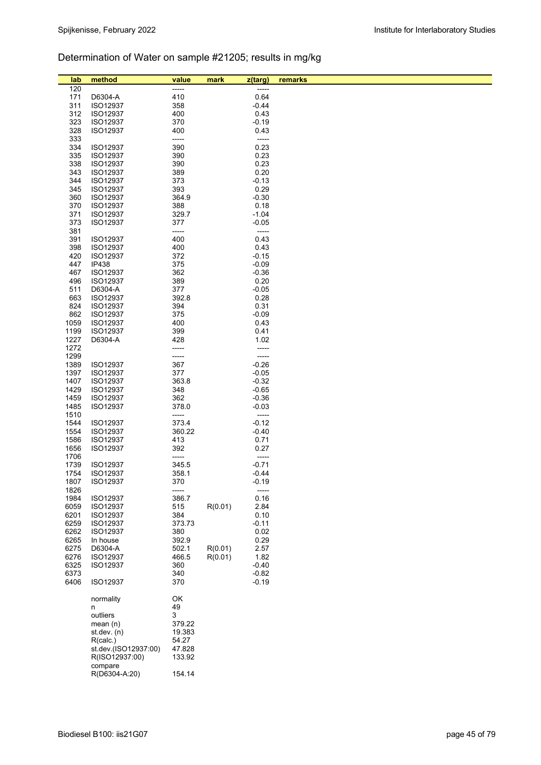# Determination of Water on sample #21205; results in mg/kg

| lab          | method               | value          | mark    | z(targ)         | remarks |
|--------------|----------------------|----------------|---------|-----------------|---------|
| 120          |                      | -----          |         | $-----$         |         |
| 171          | D6304-A              | 410            |         | 0.64            |         |
| 311          | ISO12937             | 358            |         | $-0.44$         |         |
| 312          | ISO12937             | 400            |         | 0.43            |         |
| 323          | <b>ISO12937</b>      | 370            |         | $-0.19$         |         |
| 328          | ISO12937             | 400            |         | 0.43            |         |
| 333          |                      | -----          |         | -----           |         |
| 334          | ISO12937             | 390            |         | 0.23            |         |
| 335<br>338   | ISO12937<br>ISO12937 | 390<br>390     |         | 0.23<br>0.23    |         |
| 343          | ISO12937             | 389            |         | 0.20            |         |
| 344          | ISO12937             | 373            |         | $-0.13$         |         |
| 345          | ISO12937             | 393            |         | 0.29            |         |
| 360          | ISO12937             | 364.9          |         | $-0.30$         |         |
| 370          | ISO12937             | 388            |         | 0.18            |         |
| 371          | ISO12937             | 329.7          |         | $-1.04$         |         |
| 373          | ISO12937             | 377            |         | $-0.05$         |         |
| 381          |                      | -----          |         | $-----$         |         |
| 391          | ISO12937             | 400            |         | 0.43            |         |
| 398<br>420   | ISO12937<br>ISO12937 | 400<br>372     |         | 0.43<br>$-0.15$ |         |
| 447          | <b>IP438</b>         | 375            |         | $-0.09$         |         |
| 467          | ISO12937             | 362            |         | $-0.36$         |         |
| 496          | ISO12937             | 389            |         | 0.20            |         |
| 511          | D6304-A              | 377            |         | $-0.05$         |         |
| 663          | <b>ISO12937</b>      | 392.8          |         | 0.28            |         |
| 824          | ISO12937             | 394            |         | 0.31            |         |
| 862          | ISO12937             | 375            |         | $-0.09$         |         |
| 1059         | ISO12937             | 400            |         | 0.43            |         |
| 1199         | ISO12937             | 399            |         | 0.41            |         |
| 1227         | D6304-A              | 428            |         | 1.02            |         |
| 1272<br>1299 |                      | -----<br>----- |         | -----<br>-----  |         |
| 1389         | ISO12937             | 367            |         | $-0.26$         |         |
| 1397         | <b>ISO12937</b>      | 377            |         | $-0.05$         |         |
| 1407         | ISO12937             | 363.8          |         | $-0.32$         |         |
| 1429         | ISO12937             | 348            |         | $-0.65$         |         |
| 1459         | ISO12937             | 362            |         | $-0.36$         |         |
| 1485         | ISO12937             | 378.0          |         | $-0.03$         |         |
| 1510         |                      | -----          |         | $\frac{1}{2}$   |         |
| 1544         | ISO12937             | 373.4          |         | $-0.12$         |         |
| 1554<br>1586 | ISO12937             | 360.22         |         | $-0.40$         |         |
| 1656         | ISO12937<br>ISO12937 | 413<br>392     |         | 0.71<br>0.27    |         |
| 1706         |                      | -----          |         | -----           |         |
| 1739         | ISO12937             | 345.5          |         | $-0.71$         |         |
| 1754         | ISO12937             | 358.1          |         | $-0.44$         |         |
| 1807         | ISO12937             | 370            |         | $-0.19$         |         |
| 1826         |                      | -----          |         | $-----$         |         |
| 1984         | ISO12937             | 386.7          |         | 0.16            |         |
| 6059         | ISO12937             | 515            | R(0.01) | 2.84            |         |
| 6201<br>6259 | ISO12937<br>ISO12937 | 384<br>373.73  |         | 0.10<br>$-0.11$ |         |
| 6262         | ISO12937             | 380            |         | 0.02            |         |
| 6265         | In house             | 392.9          |         | 0.29            |         |
| 6275         | D6304-A              | 502.1          | R(0.01) | 2.57            |         |
| 6276         | ISO12937             | 466.5          | R(0.01) | 1.82            |         |
| 6325         | ISO12937             | 360            |         | $-0.40$         |         |
| 6373         |                      | 340            |         | $-0.82$         |         |
| 6406         | ISO12937             | 370            |         | $-0.19$         |         |
|              |                      |                |         |                 |         |
|              | normality            | OK             |         |                 |         |
|              | n<br>outliers        | 49<br>3        |         |                 |         |
|              | mean $(n)$           | 379.22         |         |                 |         |
|              | st.dev. (n)          | 19.383         |         |                 |         |
|              | R(calc.)             | 54.27          |         |                 |         |
|              | st.dev.(ISO12937:00) | 47.828         |         |                 |         |
|              | R(ISO12937:00)       | 133.92         |         |                 |         |
|              | compare              |                |         |                 |         |
|              | R(D6304-A:20)        | 154.14         |         |                 |         |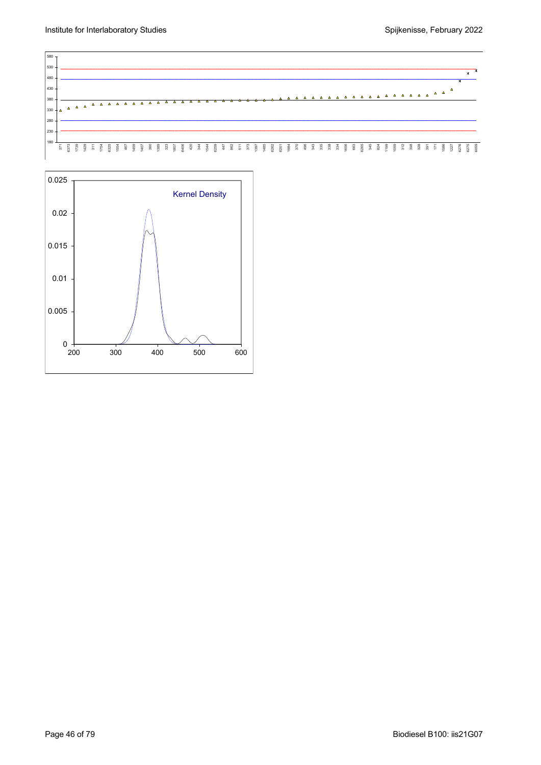

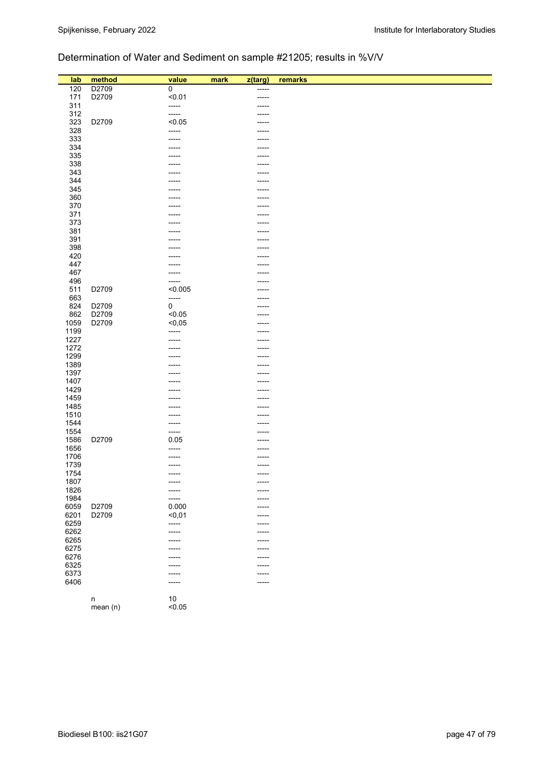## Determination of Water and Sediment on sample #21205; results in %V/V

| lab          | method | value                   | mark | z(targ)        | remarks |
|--------------|--------|-------------------------|------|----------------|---------|
| 120          | D2709  | $\overline{\mathbf{0}}$ |      | -----          |         |
| 171          | D2709  | < 0.01                  |      | -----          |         |
| 311          |        | -----                   |      |                |         |
| 312          |        | -----                   |      | -----          |         |
| 323          | D2709  | < 0.05                  |      |                |         |
| 328          |        | -----                   |      | -----          |         |
| 333          |        | -----                   |      |                |         |
| 334          |        | -----                   |      | -----          |         |
| 335          |        |                         |      | -----          |         |
| 338          |        |                         |      | -----          |         |
| 343          |        |                         |      | -----          |         |
| 344          |        |                         |      |                |         |
| 345          |        |                         |      | -----          |         |
| 360          |        |                         |      | -----          |         |
| 370          |        | -----                   |      | -----          |         |
| 371<br>373   |        |                         |      |                |         |
| 381          |        |                         |      | -----<br>----- |         |
| 391          |        |                         |      | -----          |         |
| 398          |        |                         |      |                |         |
| 420          |        |                         |      |                |         |
| 447          |        |                         |      |                |         |
| 467          |        | -----                   |      | -----          |         |
| 496          |        | -----                   |      |                |         |
| 511          | D2709  | < 0.005                 |      | -----          |         |
| 663          |        | -----                   |      | -----          |         |
| 824          | D2709  | 0                       |      | -----          |         |
| 862          | D2709  | < 0.05                  |      |                |         |
| 1059         | D2709  | < 0,05                  |      |                |         |
| 1199         |        | -----                   |      | -----          |         |
| 1227         |        | -----                   |      |                |         |
| 1272         |        |                         |      | -----          |         |
| 1299<br>1389 |        |                         |      |                |         |
| 1397         |        |                         |      | -----          |         |
| 1407         |        |                         |      | -----          |         |
| 1429         |        |                         |      |                |         |
| 1459         |        |                         |      | -----          |         |
| 1485         |        |                         |      | -----          |         |
| 1510         |        | -----                   |      | -----          |         |
| 1544         |        | ------                  |      | -----          |         |
| 1554         |        | -----                   |      |                |         |
| 1586         | D2709  | 0.05                    |      | ----           |         |
| 1656         |        | -----                   |      |                |         |
| 1706         |        | -----                   |      | -----          |         |
| 1739<br>1754 |        | -----<br>-----          |      | -----<br>----- |         |
| 1807         |        |                         |      |                |         |
| 1826         |        |                         |      |                |         |
| 1984         |        | ------                  |      |                |         |
| 6059         | D2709  | 0.000                   |      |                |         |
| 6201         | D2709  | < 0, 01                 |      |                |         |
| 6259         |        | -----                   |      |                |         |
| 6262         |        | -----                   |      |                |         |
| 6265         |        | -----                   |      | -----          |         |
| 6275         |        |                         |      |                |         |
| 6276         |        |                         |      |                |         |
| 6325         |        |                         |      |                |         |
| 6373         |        | -----                   |      |                |         |
| 6406         |        | -----                   |      | -----          |         |
|              | n      | $10$                    |      |                |         |

 $mean(n)$  <0.05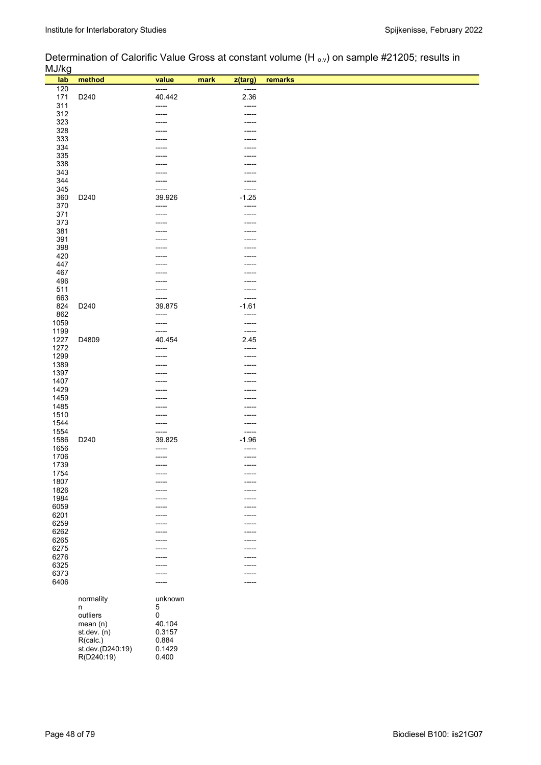# Determination of Calorific Value Gross at constant volume (H <sub>o,v</sub>) on sample #21205; results in

| MJ/kg        |                              |                 | .    |                      | $\frac{1}{2}$ |
|--------------|------------------------------|-----------------|------|----------------------|---------------|
| lab          | method                       | value           | mark | z(targ)              | remarks       |
| 120<br>171   | D240                         | -----<br>40.442 |      | -----<br>2.36        |               |
| 311          |                              | -----           |      | -----                |               |
| 312          |                              | -----           |      | -----                |               |
| 323<br>328   |                              | -----           |      | -----<br>-----       |               |
| 333          |                              |                 |      | $- - - - -$          |               |
| 334          |                              |                 |      | -----                |               |
| 335<br>338   |                              |                 |      | -----                |               |
| 343          |                              |                 |      | -----                |               |
| 344          |                              | -----           |      | -----                |               |
| 345          |                              | -----           |      | -----                |               |
| 360<br>370   | D240                         | 39.926<br>----- |      | $-1.25$<br>-----     |               |
| 371          |                              | -----           |      | -----                |               |
| 373          |                              |                 |      |                      |               |
| 381<br>391   |                              |                 |      | -----<br>-----       |               |
| 398          |                              |                 |      | -----                |               |
| 420          |                              |                 |      |                      |               |
| 447<br>467   |                              |                 |      | $- - - - -$<br>----- |               |
| 496          |                              |                 |      | -----                |               |
| 511          |                              | -----           |      | -----                |               |
| 663<br>824   | D240                         | -----<br>39.875 |      | -----<br>$-1.61$     |               |
| 862          |                              | -----           |      | -----                |               |
| 1059         |                              | -----           |      | $-----$              |               |
| 1199<br>1227 | D4809                        | -----<br>40.454 |      | -----<br>2.45        |               |
| 1272         |                              | -----           |      | -----                |               |
| 1299         |                              | -----           |      | -----                |               |
| 1389<br>1397 |                              |                 |      | -----<br>-----       |               |
| 1407         |                              |                 |      | -----                |               |
| 1429         |                              |                 |      | -----                |               |
| 1459<br>1485 |                              |                 |      |                      |               |
| 1510         |                              |                 |      | -----<br>-----       |               |
| 1544         |                              | -----           |      | -----                |               |
| 1554<br>1586 | D240                         | -----<br>39.825 |      | -----<br>$-1.96$     |               |
| 1656         |                              | -----           |      | -----                |               |
| 1706         |                              | -----           |      | -----                |               |
| 1739<br>1754 |                              | -----           |      | -----                |               |
| 1807         |                              |                 |      |                      |               |
| 1826         |                              |                 |      |                      |               |
| 1984<br>6059 |                              |                 |      | -----                |               |
| 6201         |                              |                 |      | -----<br>$--- -$     |               |
| 6259         |                              |                 |      |                      |               |
| 6262<br>6265 |                              |                 |      | -----                |               |
| 6275         |                              |                 |      | -----<br>-----       |               |
| 6276         |                              |                 |      | -----                |               |
| 6325<br>6373 |                              |                 |      |                      |               |
| 6406         |                              | -----<br>-----  |      | -----<br>-----       |               |
|              |                              |                 |      |                      |               |
|              | normality                    | unknown         |      |                      |               |
|              | n<br>outliers                | 5<br>0          |      |                      |               |
|              | mean(n)                      | 40.104          |      |                      |               |
|              | st.dev. (n)                  | 0.3157<br>0.884 |      |                      |               |
|              | R(calc.)<br>st.dev.(D240:19) | 0.1429          |      |                      |               |
|              | R(D240:19)                   | 0.400           |      |                      |               |
|              |                              |                 |      |                      |               |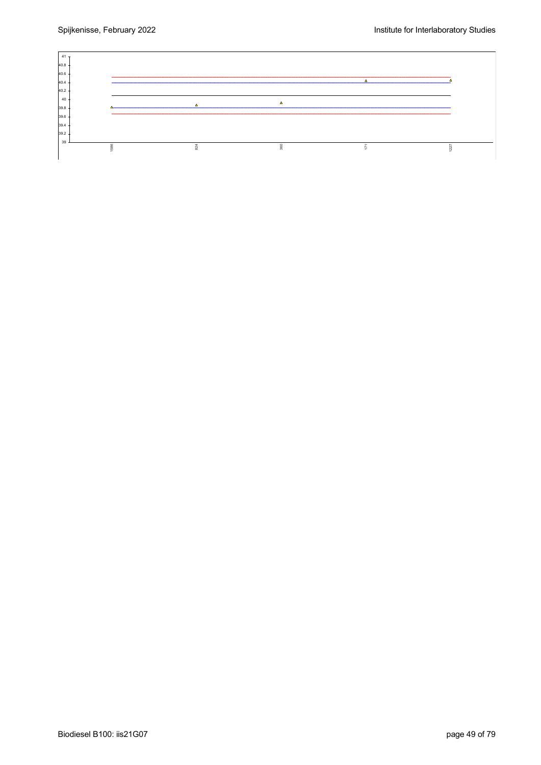$\mathbf{r}$ 

| 41 <sub>T</sub> |     |     |          |                                            |     |
|-----------------|-----|-----|----------|--------------------------------------------|-----|
| 40.8            |     |     |          |                                            |     |
| 40.6            |     |     |          |                                            |     |
| $40.4 -$        |     |     |          |                                            |     |
| 40.2            |     |     |          |                                            |     |
| $40 +$          |     |     | $\Delta$ |                                            |     |
| 39.8            |     |     |          |                                            |     |
| 39.6            |     |     |          |                                            |     |
| 39.4            |     |     |          |                                            |     |
| 39.2            |     |     |          |                                            |     |
| 39              | 586 | 824 | 360      | $\overline{\phantom{a}}$<br>$\overline{a}$ | ь.  |
|                 |     |     |          |                                            | 122 |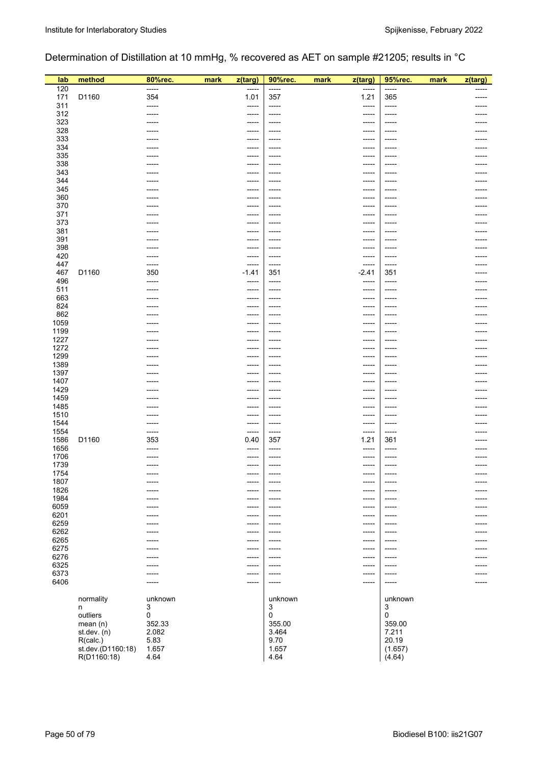# Determination of Distillation at 10 mmHg, % recovered as AET on sample #21205; results in °C

| lab          | method                                                                                                  | 80%rec.                                                       | mark | z(targ)        | 90%rec.                                                       | mark | z(targ)        | 95%rec.                                                            | mark | z(targ) |
|--------------|---------------------------------------------------------------------------------------------------------|---------------------------------------------------------------|------|----------------|---------------------------------------------------------------|------|----------------|--------------------------------------------------------------------|------|---------|
| 120          |                                                                                                         | -----                                                         |      | -----          | -----                                                         |      | -----          | -----                                                              |      |         |
| 171          | D1160                                                                                                   | 354                                                           |      | 1.01           | 357                                                           |      | 1.21           | 365                                                                |      |         |
| 311<br>312   |                                                                                                         | -----<br>-----                                                |      | -----<br>----- | -----<br>-----                                                |      | -----<br>----- | -----<br>-----                                                     |      |         |
| 323          |                                                                                                         |                                                               |      | -----          | -----                                                         |      | -----          | -----                                                              |      |         |
| 328          |                                                                                                         |                                                               |      | -----          | -----                                                         |      | -----          | -----                                                              |      |         |
| 333          |                                                                                                         |                                                               |      | -----          | $-----$                                                       |      | ------         | $- - - - -$                                                        |      |         |
| 334          |                                                                                                         |                                                               |      | -----          | -----                                                         |      | -----          | -----                                                              |      |         |
| 335<br>338   |                                                                                                         |                                                               |      | -----<br>----- | -----<br>-----                                                |      | -----<br>----- | -----<br>-----                                                     |      |         |
| 343          |                                                                                                         |                                                               |      | -----          | -----                                                         |      | -----          | -----                                                              |      |         |
| 344          |                                                                                                         |                                                               |      | -----          | -----                                                         |      | -----          | ------                                                             |      |         |
| 345          |                                                                                                         |                                                               |      | -----          | -----                                                         |      | -----          | -----                                                              |      |         |
| 360          |                                                                                                         |                                                               |      | -----          | -----                                                         |      | -----          | ------                                                             |      |         |
| 370<br>371   |                                                                                                         |                                                               |      | -----<br>----- | $-----$<br>-----                                              |      | -----<br>----- | -----<br>-----                                                     |      |         |
| 373          |                                                                                                         |                                                               |      | -----          | -----                                                         |      | -----          | -----                                                              |      |         |
| 381          |                                                                                                         |                                                               |      | -----          | -----                                                         |      | -----          | -----                                                              |      |         |
| 391          |                                                                                                         |                                                               |      | -----          | -----                                                         |      | -----          | -----                                                              |      |         |
| 398          |                                                                                                         |                                                               |      | -----          | -----                                                         |      | -----          | -----                                                              |      |         |
| 420<br>447   |                                                                                                         | -----                                                         |      | -----<br>----- | -----<br>$-----$                                              |      | -----<br>----- | -----<br>-----                                                     |      |         |
| 467          | D1160                                                                                                   | 350                                                           |      | $-1.41$        | 351                                                           |      | $-2.41$        | 351                                                                |      |         |
| 496          |                                                                                                         | -----                                                         |      | -----          | -----                                                         |      | -----          | -----                                                              |      |         |
| 511          |                                                                                                         | -----                                                         |      | -----          | -----                                                         |      | -----          | -----                                                              |      |         |
| 663          |                                                                                                         |                                                               |      | -----          | -----                                                         |      | -----          | -----                                                              |      |         |
| 824<br>862   |                                                                                                         |                                                               |      | -----<br>----- | -----<br>-----                                                |      | -----<br>----- | ------<br>-----                                                    |      |         |
| 1059         |                                                                                                         |                                                               |      | -----          | $-----$                                                       |      | -----          | -----                                                              |      |         |
| 1199         |                                                                                                         |                                                               |      | -----          | -----                                                         |      | -----          | ------                                                             |      |         |
| 1227         |                                                                                                         |                                                               |      | -----          | -----                                                         |      | -----          | -----                                                              |      |         |
| 1272         |                                                                                                         |                                                               |      | -----          | -----                                                         |      | -----          | -----                                                              |      |         |
| 1299<br>1389 |                                                                                                         |                                                               |      | -----<br>----- | -----<br>-----                                                |      | -----<br>----- | -----<br>-----                                                     |      |         |
| 1397         |                                                                                                         |                                                               |      | -----          | -----                                                         |      | -----          | -----                                                              |      |         |
| 1407         |                                                                                                         |                                                               |      | -----          | -----                                                         |      | -----          | -----                                                              |      |         |
| 1429         |                                                                                                         |                                                               |      | -----          | $-----$                                                       |      | -----          | $-----1$                                                           |      |         |
| 1459         |                                                                                                         |                                                               |      | -----          | -----                                                         |      | -----          | -----                                                              |      |         |
| 1485<br>1510 |                                                                                                         |                                                               |      | -----<br>----- | $-----1$<br>-----                                             |      | -----<br>----- | -----<br>-----                                                     |      |         |
| 1544         |                                                                                                         | -----                                                         |      | -----          | -----                                                         |      | -----          | -----                                                              |      |         |
| 1554         |                                                                                                         |                                                               |      | -----          | -----                                                         |      | -----          | -----                                                              |      |         |
| 1586         | D1160                                                                                                   | 353                                                           |      | 0.40           | 357                                                           |      | 1.21           | 361                                                                |      |         |
| 1656<br>1706 |                                                                                                         | -----                                                         |      | -----<br>----- | $-----$<br>-----                                              |      | -----<br>----- | -----<br>-----                                                     |      |         |
| 1739         |                                                                                                         |                                                               |      |                | -----                                                         |      |                | -----                                                              |      |         |
| 1754         |                                                                                                         |                                                               |      | -----          | $-----1$                                                      |      | -----          | -----                                                              |      | -----   |
| 1807         |                                                                                                         | -----                                                         |      | -----          | -----                                                         |      | -----          | -----                                                              |      | -----   |
| 1826         |                                                                                                         |                                                               |      | -----          | $-----$                                                       |      | -----          | -----                                                              |      |         |
| 1984<br>6059 |                                                                                                         |                                                               |      | -----<br>----- | $-----$<br>-----                                              |      | -----<br>----- | -----<br>------                                                    |      |         |
| 6201         |                                                                                                         |                                                               |      | -----          | $-----$                                                       |      | -----          | -----                                                              |      |         |
| 6259         |                                                                                                         |                                                               |      | -----          | -----                                                         |      | -----          | -----                                                              |      |         |
| 6262         |                                                                                                         |                                                               |      | -----          | $-----1$                                                      |      | -----          | -----                                                              |      |         |
| 6265         |                                                                                                         |                                                               |      | -----          | -----                                                         |      | -----          | -----                                                              |      |         |
| 6275<br>6276 |                                                                                                         |                                                               |      | -----<br>----- | -----<br>-----                                                |      | -----<br>----- | -----<br>-----                                                     |      |         |
| 6325         |                                                                                                         |                                                               |      | -----          | -----                                                         |      | -----          | -----                                                              |      |         |
| 6373         |                                                                                                         | -----                                                         |      | -----          | $-----$                                                       |      | -----          | -----                                                              |      | -----   |
| 6406         |                                                                                                         | -----                                                         |      | ------         | $-----$                                                       |      | -----          | -----                                                              |      |         |
|              | normality<br>n<br>outliers<br>mean $(n)$<br>st.dev. (n)<br>R(calc.)<br>st.dev.(D1160:18)<br>R(D1160:18) | unknown<br>3<br>0<br>352.33<br>2.082<br>5.83<br>1.657<br>4.64 |      |                | unknown<br>3<br>0<br>355.00<br>3.464<br>9.70<br>1.657<br>4.64 |      |                | unknown<br>3<br>0<br>359.00<br>7.211<br>20.19<br>(1.657)<br>(4.64) |      |         |
|              |                                                                                                         |                                                               |      |                |                                                               |      |                |                                                                    |      |         |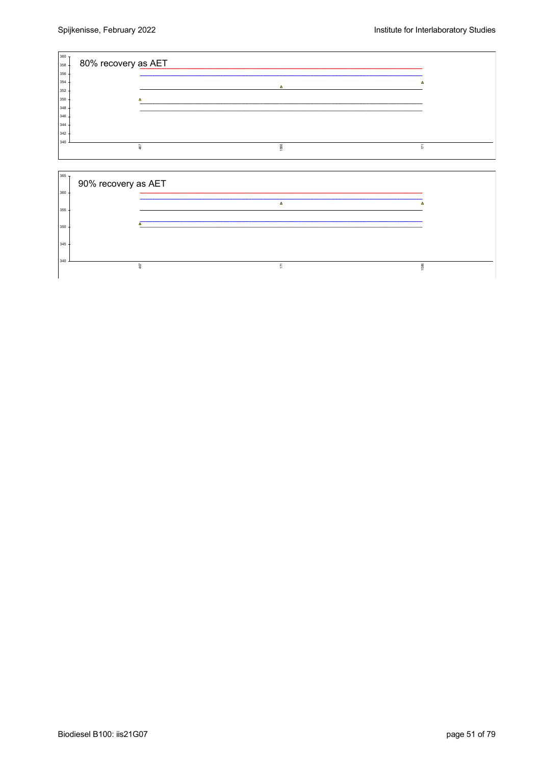

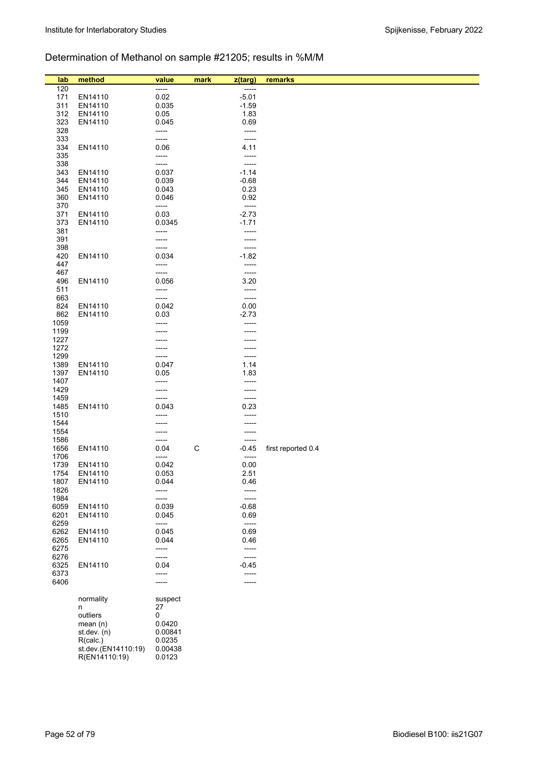## Determination of Methanol on sample #21205; results in %M/M

| lab          | method                    | value             | mark | z(targ)         | remarks            |
|--------------|---------------------------|-------------------|------|-----------------|--------------------|
| 120          |                           | -----             |      | -----           |                    |
| 171          | EN14110                   | 0.02              |      | $-5.01$         |                    |
| 311          | EN14110                   | 0.035             |      | $-1.59$         |                    |
| 312          | EN14110                   | 0.05              |      | 1.83            |                    |
| 323          | EN14110                   | 0.045             |      | 0.69            |                    |
| 328          |                           | -----             |      | -----           |                    |
| 333          |                           | -----             |      | -----           |                    |
| 334          | EN14110                   | 0.06              |      | 4.11            |                    |
| 335          |                           | -----             |      | -----           |                    |
| 338          |                           | -----             |      | -----           |                    |
| 343          | EN14110                   | 0.037             |      | $-1.14$         |                    |
| 344<br>345   | EN14110<br>EN14110        | 0.039<br>0.043    |      | $-0.68$<br>0.23 |                    |
| 360          | EN14110                   | 0.046             |      | 0.92            |                    |
| 370          |                           | -----             |      | -----           |                    |
| 371          | EN14110                   | 0.03              |      | $-2.73$         |                    |
| 373          | EN14110                   | 0.0345            |      | $-1.71$         |                    |
| 381          |                           | -----             |      | -----           |                    |
| 391          |                           | -----             |      | -----           |                    |
| 398          |                           | -----             |      | -----           |                    |
| 420          | EN14110                   | 0.034             |      | $-1.82$         |                    |
| 447          |                           | -----             |      | -----           |                    |
| 467          |                           | -----             |      | -----           |                    |
| 496          | EN14110                   | 0.056             |      | 3.20            |                    |
| 511<br>663   |                           | -----<br>-----    |      | -----<br>-----  |                    |
| 824          | EN14110                   | 0.042             |      | 0.00            |                    |
| 862          | EN14110                   | 0.03              |      | $-2.73$         |                    |
| 1059         |                           | -----             |      | -----           |                    |
| 1199         |                           |                   |      |                 |                    |
| 1227         |                           |                   |      | -----           |                    |
| 1272         |                           |                   |      | -----           |                    |
| 1299         |                           | -----             |      | -----           |                    |
| 1389         | EN14110                   | 0.047             |      | 1.14            |                    |
| 1397         | EN14110                   | 0.05              |      | 1.83            |                    |
| 1407         |                           | -----             |      | -----           |                    |
| 1429         |                           | -----             |      | -----           |                    |
| 1459         |                           |                   |      | -----           |                    |
| 1485         | EN14110                   | 0.043             |      | 0.23<br>-----   |                    |
| 1510<br>1544 |                           |                   |      |                 |                    |
| 1554         |                           |                   |      |                 |                    |
| 1586         |                           |                   |      | -----           |                    |
| 1656         | EN14110                   | 0.04              | C    | $-0.45$         | first reported 0.4 |
| 1706         |                           | -----             |      | -----           |                    |
| 1739         | EN14110                   | 0.042             |      | 0.00            |                    |
| 1754         | EN14110                   | 0.053             |      | 2.51            |                    |
| 1807         | EN14110                   | 0.044             |      | 0.46            |                    |
| 1826         |                           | -----             |      | -----           |                    |
| 1984         |                           | -----             |      | -----           |                    |
| 6059<br>6201 | EN14110<br>EN14110        | 0.039             |      | $-0.68$         |                    |
| 6259         |                           | 0.045<br>-----    |      | 0.69<br>-----   |                    |
| 6262         | EN14110                   | 0.045             |      | 0.69            |                    |
| 6265         | EN14110                   | 0.044             |      | 0.46            |                    |
| 6275         |                           | -----             |      | -----           |                    |
| 6276         |                           | -----             |      | -----           |                    |
| 6325         | EN14110                   | 0.04              |      | $-0.45$         |                    |
| 6373         |                           | -----             |      | -----           |                    |
| 6406         |                           | -----             |      | -----           |                    |
|              |                           |                   |      |                 |                    |
|              | normality                 | suspect           |      |                 |                    |
|              | n                         | 27                |      |                 |                    |
|              | outliers                  | 0                 |      |                 |                    |
|              | mean $(n)$<br>st.dev. (n) | 0.0420<br>0.00841 |      |                 |                    |
|              | R(calc.)                  | 0.0235            |      |                 |                    |
|              | st.dev.(EN14110:19)       | 0.00438           |      |                 |                    |
|              | R(EN14110:19)             | 0.0123            |      |                 |                    |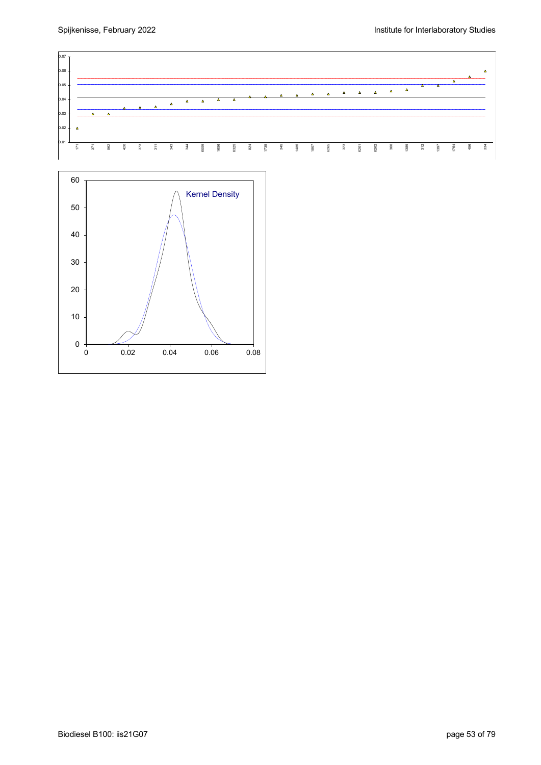

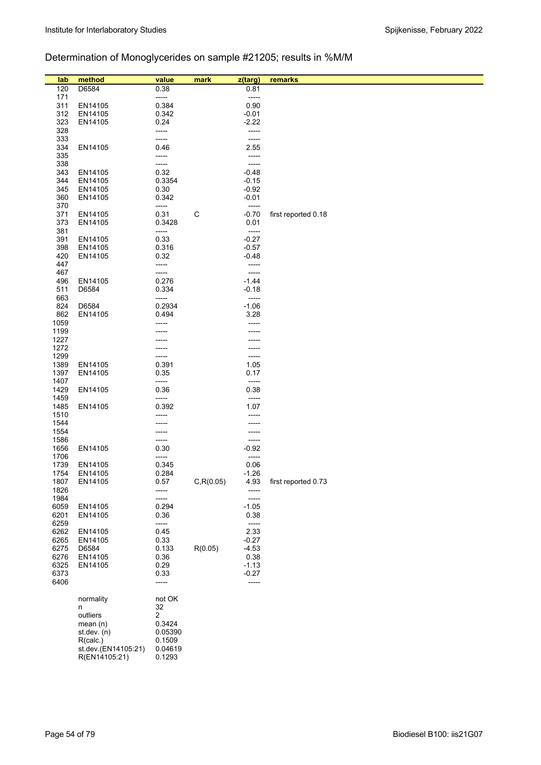# Determination of Monoglycerides on sample #21205; results in %M/M

| lab          | method              | value          | mark        | z(targ)          | remarks             |
|--------------|---------------------|----------------|-------------|------------------|---------------------|
| 120          | D6584               | 0.38           |             | 0.81             |                     |
| 171          |                     | -----          |             | -----            |                     |
| 311          | EN14105             | 0.384          |             | 0.90             |                     |
| 312          | EN14105             | 0.342          |             | $-0.01$          |                     |
| 323          | EN14105             | 0.24           |             | $-2.22$          |                     |
| 328          |                     | -----          |             | -----            |                     |
| 333<br>334   | EN14105             | -----<br>0.46  |             | -----<br>2.55    |                     |
| 335          |                     | -----          |             | -----            |                     |
| 338          |                     | -----          |             | -----            |                     |
| 343          | EN14105             | 0.32           |             | $-0.48$          |                     |
| 344          | EN14105             | 0.3354         |             | $-0.15$          |                     |
| 345          | EN14105             | 0.30           |             | $-0.92$          |                     |
| 360          | EN14105             | 0.342          |             | $-0.01$          |                     |
| 370<br>371   | EN14105             | -----<br>0.31  | $\mathsf C$ | -----<br>$-0.70$ | first reported 0.18 |
| 373          | EN14105             | 0.3428         |             | 0.01             |                     |
| 381          |                     | -----          |             | -----            |                     |
| 391          | EN14105             | 0.33           |             | $-0.27$          |                     |
| 398          | EN14105             | 0.316          |             | $-0.57$          |                     |
| 420          | EN14105             | 0.32           |             | $-0.48$          |                     |
| 447<br>467   |                     | -----<br>----- |             | -----<br>-----   |                     |
| 496          | EN14105             | 0.276          |             | $-1.44$          |                     |
| 511          | D6584               | 0.334          |             | $-0.18$          |                     |
| 663          |                     | -----          |             | -----            |                     |
| 824          | D6584               | 0.2934         |             | $-1.06$          |                     |
| 862          | EN14105             | 0.494          |             | 3.28             |                     |
| 1059         |                     | -----          |             | -----            |                     |
| 1199<br>1227 |                     |                |             |                  |                     |
| 1272         |                     |                |             | -----            |                     |
| 1299         |                     | -----          |             | -----            |                     |
| 1389         | EN14105             | 0.391          |             | 1.05             |                     |
| 1397         | EN14105             | 0.35           |             | 0.17             |                     |
| 1407<br>1429 | EN14105             | -----<br>0.36  |             | -----<br>0.38    |                     |
| 1459         |                     | -----          |             | -----            |                     |
| 1485         | EN14105             | 0.392          |             | 1.07             |                     |
| 1510         |                     |                |             |                  |                     |
| 1544         |                     |                |             |                  |                     |
| 1554         |                     |                |             |                  |                     |
| 1586<br>1656 | EN14105             | -----<br>0.30  |             | -----<br>$-0.92$ |                     |
| 1706         |                     | -----          |             | -----            |                     |
| 1739         | EN14105             | 0.345          |             | 0.06             |                     |
| 1754         | EN14105             | 0.284          |             | $-1.26$          |                     |
| 1807         | EN14105             | 0.57           | C, R(0.05)  | 4.93             | first reported 0.73 |
| 1826<br>1984 |                     | -----          |             | -----            |                     |
| 6059         | EN14105             | -----<br>0.294 |             | -----<br>$-1.05$ |                     |
| 6201         | EN14105             | 0.36           |             | 0.38             |                     |
| 6259         |                     | -----          |             | -----            |                     |
| 6262         | EN14105             | 0.45           |             | 2.33             |                     |
| 6265         | EN14105             | 0.33           |             | $-0.27$          |                     |
| 6275         | D6584               | 0.133          | R(0.05)     | $-4.53$          |                     |
| 6276<br>6325 | EN14105<br>EN14105  | 0.36<br>0.29   |             | 0.38<br>$-1.13$  |                     |
| 6373         |                     | 0.33           |             | $-0.27$          |                     |
| 6406         |                     | -----          |             | -----            |                     |
|              |                     |                |             |                  |                     |
|              | normality           | not OK         |             |                  |                     |
|              | n<br>outliers       | 32<br>2        |             |                  |                     |
|              | mean(n)             | 0.3424         |             |                  |                     |
|              | st.dev. (n)         | 0.05390        |             |                  |                     |
|              | R(calc.)            | 0.1509         |             |                  |                     |
|              | st.dev.(EN14105:21) | 0.04619        |             |                  |                     |
|              | R(EN14105:21)       | 0.1293         |             |                  |                     |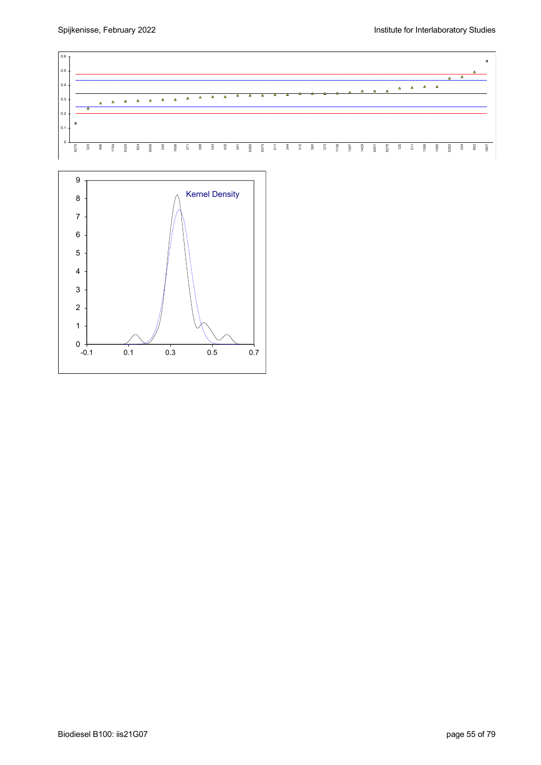

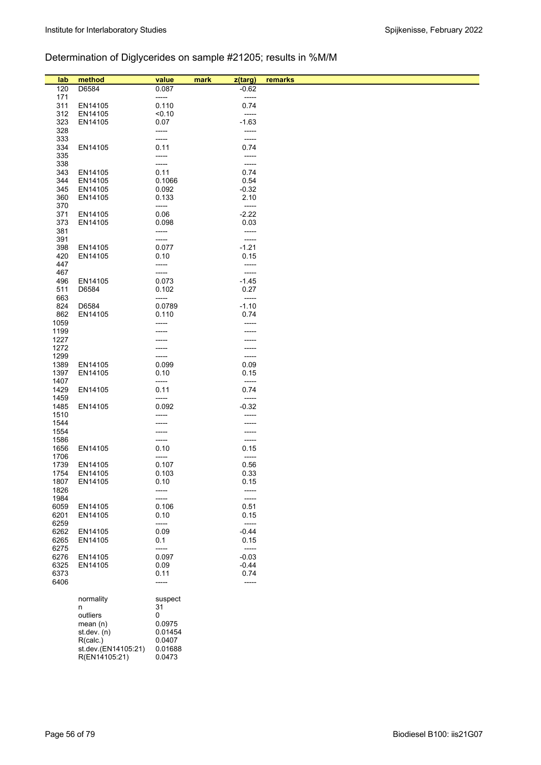# Determination of Diglycerides on sample #21205; results in %M/M

| lab          | method                 | value             | mark<br>z(targ) | remarks |
|--------------|------------------------|-------------------|-----------------|---------|
| 120          | D6584                  | 0.087             | $-0.62$         |         |
| 171          |                        | -----             | -----           |         |
| 311          | EN14105                | 0.110             | 0.74            |         |
| 312          | EN14105                | < 0.10            | -----           |         |
| 323          | EN14105                | 0.07              | $-1.63$         |         |
| 328          |                        | -----             | -----           |         |
| 333          |                        | -----             | -----           |         |
| 334          | EN14105                | 0.11              | 0.74            |         |
| 335          |                        | -----             | -----           |         |
| 338          |                        | -----             | -----           |         |
| 343          | EN14105                | 0.11              | 0.74            |         |
| 344          | EN14105                | 0.1066            | 0.54            |         |
| 345          | EN14105                | 0.092             | $-0.32$         |         |
| 360<br>370   | EN14105                | 0.133<br>-----    | 2.10<br>$-----$ |         |
| 371          | EN14105                | 0.06              | $-2.22$         |         |
| 373          | EN14105                | 0.098             | 0.03            |         |
| 381          |                        | -----             | $-----$         |         |
| 391          |                        | -----             | -----           |         |
| 398          | EN14105                | 0.077             | $-1.21$         |         |
| 420          | EN14105                | 0.10              | 0.15            |         |
| 447          |                        | -----             | -----           |         |
| 467          |                        | -----             | -----           |         |
| 496          | EN14105                | 0.073             | $-1.45$         |         |
| 511          | D6584                  | 0.102             | 0.27            |         |
| 663          |                        | -----             | -----           |         |
| 824          | D6584                  | 0.0789            | $-1.10$         |         |
| 862<br>1059  | EN14105                | 0.110             | 0.74            |         |
| 1199         |                        | -----             | -----<br>-----  |         |
| 1227         |                        |                   |                 |         |
| 1272         |                        |                   | -----           |         |
| 1299         |                        | -----             | -----           |         |
| 1389         | EN14105                | 0.099             | 0.09            |         |
| 1397         | EN14105                | 0.10              | 0.15            |         |
| 1407         |                        | -----             | -----           |         |
| 1429         | EN14105                | 0.11              | 0.74            |         |
| 1459         |                        | -----             | -----           |         |
| 1485         | EN14105                | 0.092             | $-0.32$         |         |
| 1510<br>1544 |                        |                   | -----           |         |
| 1554         |                        |                   | -----<br>-----  |         |
| 1586         |                        | -----             | -----           |         |
| 1656         | EN14105                | 0.10              | 0.15            |         |
| 1706         |                        | -----             | -----           |         |
| 1739         | EN14105                | 0.107             | 0.56            |         |
| 1754         | EN14105                | 0.103             | 0.33            |         |
| 1807         | EN14105                | 0.10              | 0.15            |         |
| 1826         |                        |                   | -----           |         |
| 1984         |                        |                   | -----           |         |
| 6059         | EN14105                | 0.106             | 0.51            |         |
| 6201<br>6259 | EN14105                | 0.10<br>-----     | 0.15<br>-----   |         |
| 6262         | EN14105                | 0.09              | $-0.44$         |         |
| 6265         | EN14105                | 0.1               | 0.15            |         |
| 6275         |                        | -----             | -----           |         |
| 6276         | EN14105                | 0.097             | $-0.03$         |         |
| 6325         | EN14105                | 0.09              | $-0.44$         |         |
| 6373         |                        | 0.11              | 0.74            |         |
| 6406         |                        | -----             | -----           |         |
|              |                        |                   |                 |         |
|              | normality              | suspect           |                 |         |
|              | n                      | 31                |                 |         |
|              | outliers               | 0                 |                 |         |
|              | mean(n)<br>st.dev. (n) | 0.0975<br>0.01454 |                 |         |
|              | R(calc.)               | 0.0407            |                 |         |
|              | st.dev.(EN14105:21)    | 0.01688           |                 |         |
|              | R(EN14105:21)          | 0.0473            |                 |         |
|              |                        |                   |                 |         |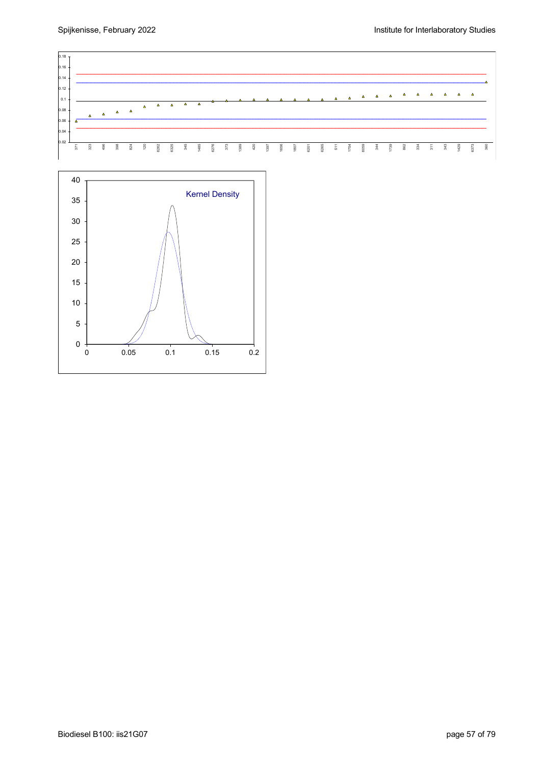

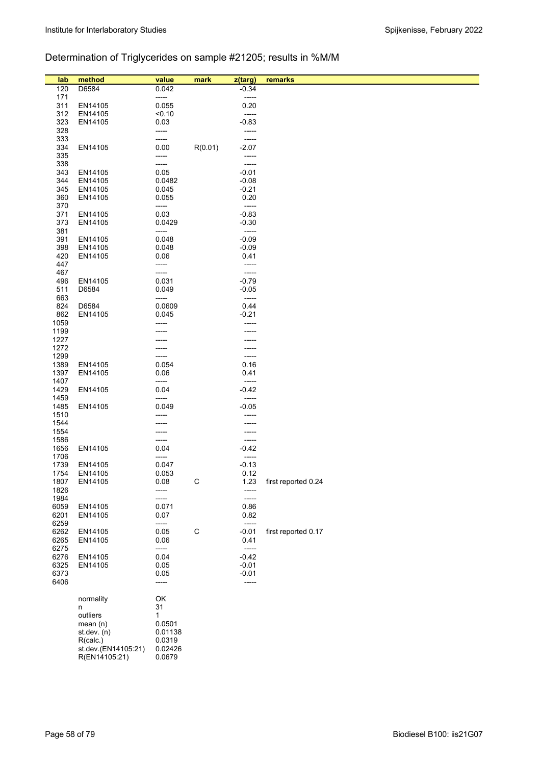# Determination of Triglycerides on sample #21205; results in %M/M

| lab          | method              | value         | mark        | z(targ)          | remarks             |
|--------------|---------------------|---------------|-------------|------------------|---------------------|
| 120          | D6584               | 0.042         |             | $-0.34$          |                     |
| 171          |                     | -----         |             | -----            |                     |
| 311          | EN14105             | 0.055         |             | 0.20             |                     |
| 312          | EN14105             | < 0.10        |             | -----            |                     |
| 323          | EN14105             | 0.03          |             | $-0.83$          |                     |
| 328          |                     | -----         |             | -----            |                     |
| 333          |                     | -----         |             | -----            |                     |
| 334          | EN14105             | 0.00          | R(0.01)     | $-2.07$          |                     |
| 335          |                     | -----         |             | -----            |                     |
| 338<br>343   | EN14105             | -----<br>0.05 |             | -----<br>$-0.01$ |                     |
| 344          | EN14105             | 0.0482        |             | $-0.08$          |                     |
| 345          | EN14105             | 0.045         |             | $-0.21$          |                     |
| 360          | EN14105             | 0.055         |             | 0.20             |                     |
| 370          |                     | -----         |             | -----            |                     |
| 371          | EN14105             | 0.03          |             | $-0.83$          |                     |
| 373          | EN14105             | 0.0429        |             | $-0.30$          |                     |
| 381          |                     | -----         |             | $-----$          |                     |
| 391          | EN14105             | 0.048         |             | $-0.09$          |                     |
| 398<br>420   | EN14105             | 0.048         |             | $-0.09$          |                     |
| 447          | EN14105             | 0.06<br>----- |             | 0.41<br>-----    |                     |
| 467          |                     | -----         |             | -----            |                     |
| 496          | EN14105             | 0.031         |             | $-0.79$          |                     |
| 511          | D6584               | 0.049         |             | $-0.05$          |                     |
| 663          |                     | -----         |             | -----            |                     |
| 824          | D6584               | 0.0609        |             | 0.44             |                     |
| 862          | EN14105             | 0.045         |             | $-0.21$          |                     |
| 1059         |                     |               |             | -----            |                     |
| 1199         |                     |               |             |                  |                     |
| 1227         |                     |               |             |                  |                     |
| 1272<br>1299 |                     |               |             | -----            |                     |
| 1389         | EN14105             | 0.054         |             | -----<br>0.16    |                     |
| 1397         | EN14105             | 0.06          |             | 0.41             |                     |
| 1407         |                     | -----         |             | -----            |                     |
| 1429         | EN14105             | 0.04          |             | $-0.42$          |                     |
| 1459         |                     | -----         |             | -----            |                     |
| 1485         | EN14105             | 0.049         |             | $-0.05$          |                     |
| 1510         |                     |               |             | -----            |                     |
| 1544         |                     |               |             | -----            |                     |
| 1554<br>1586 |                     | -----         |             | -----<br>-----   |                     |
| 1656         | EN14105             | 0.04          |             | $-0.42$          |                     |
| 1706         |                     | -----         |             | -----            |                     |
| 1739         | EN14105             | 0.047         |             | $-0.13$          |                     |
| 1754         | EN14105             | 0.053         |             | 0.12             |                     |
| 1807         | EN14105             | 0.08          | C           | 1.23             | first reported 0.24 |
| 1826         |                     | -----         |             | -----            |                     |
| 1984         |                     | -----         |             | $-----$          |                     |
| 6059         | EN14105             | 0.071         |             | 0.86             |                     |
| 6201<br>6259 | EN14105             | 0.07<br>----- |             | 0.82<br>$-----$  |                     |
| 6262         | EN14105             | 0.05          | $\mathsf C$ | $-0.01$          | first reported 0.17 |
| 6265         | EN14105             | 0.06          |             | 0.41             |                     |
| 6275         |                     | -----         |             | -----            |                     |
| 6276         | EN14105             | 0.04          |             | $-0.42$          |                     |
| 6325         | EN14105             | 0.05          |             | $-0.01$          |                     |
| 6373         |                     | 0.05          |             | $-0.01$          |                     |
| 6406         |                     | -----         |             | -----            |                     |
|              | normality           | OK            |             |                  |                     |
|              | n                   | 31            |             |                  |                     |
|              | outliers            | 1             |             |                  |                     |
|              | mean $(n)$          | 0.0501        |             |                  |                     |
|              | st.dev. (n)         | 0.01138       |             |                  |                     |
|              | R(calc.)            | 0.0319        |             |                  |                     |
|              | st.dev.(EN14105:21) | 0.02426       |             |                  |                     |
|              | R(EN14105:21)       | 0.0679        |             |                  |                     |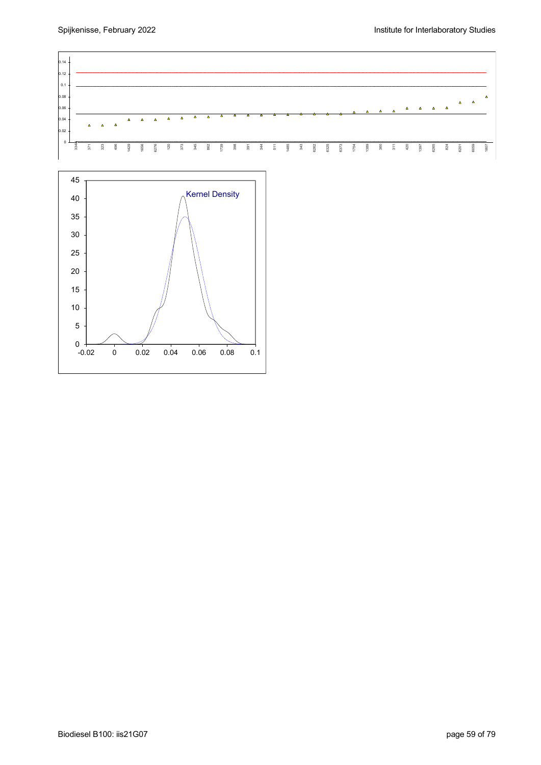

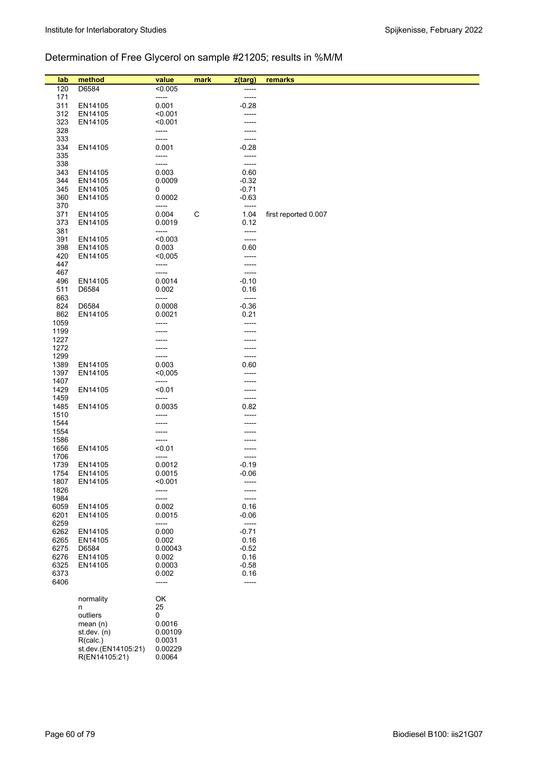# Determination of Free Glycerol on sample #21205; results in %M/M

| lab          | method                               | value             | mark | z(targ)            | remarks              |
|--------------|--------------------------------------|-------------------|------|--------------------|----------------------|
| 120<br>171   | D6584                                | < 0.005<br>-----  |      | -----<br>-----     |                      |
| 311          | EN14105                              | 0.001             |      | $-0.28$            |                      |
| 312          | EN14105                              | < 0.001           |      | -----              |                      |
| 323          | EN14105                              | <0.001            |      | -----              |                      |
| 328          |                                      | -----             |      | -----              |                      |
| 333          |                                      | -----             |      | -----              |                      |
| 334          | EN14105                              | 0.001             |      | $-0.28$            |                      |
| 335          |                                      | -----             |      | -----              |                      |
| 338          |                                      | -----             |      | $-----$            |                      |
| 343          | EN14105                              | 0.003             |      | 0.60               |                      |
| 344          | EN14105                              | 0.0009            |      | $-0.32$            |                      |
| 345          | EN14105                              | 0                 |      | $-0.71$            |                      |
| 360<br>370   | EN14105                              | 0.0002<br>-----   |      | $-0.63$<br>$-----$ |                      |
| 371          | EN14105                              | 0.004             | C    | 1.04               | first reported 0.007 |
| 373          | EN14105                              | 0.0019            |      | 0.12               |                      |
| 381          |                                      | -----             |      | -----              |                      |
| 391          | EN14105                              | < 0.003           |      | -----              |                      |
| 398          | EN14105                              | 0.003             |      | 0.60               |                      |
| 420          | EN14105                              | < 0,005           |      | -----              |                      |
| 447          |                                      | -----             |      | -----              |                      |
| 467          | EN14105                              | -----<br>0.0014   |      | -----<br>$-0.10$   |                      |
| 496<br>511   | D6584                                | 0.002             |      | 0.16               |                      |
| 663          |                                      | -----             |      | -----              |                      |
| 824          | D6584                                | 0.0008            |      | $-0.36$            |                      |
| 862          | EN14105                              | 0.0021            |      | 0.21               |                      |
| 1059         |                                      |                   |      | -----              |                      |
| 1199         |                                      |                   |      |                    |                      |
| 1227         |                                      |                   |      |                    |                      |
| 1272         |                                      |                   |      | -----              |                      |
| 1299<br>1389 | EN14105                              | 0.003             |      | -----<br>0.60      |                      |
| 1397         | EN14105                              | < 0,005           |      | -----              |                      |
| 1407         |                                      | -----             |      | -----              |                      |
| 1429         | EN14105                              | < 0.01            |      | -----              |                      |
| 1459         |                                      | -----             |      | -----              |                      |
| 1485         | EN14105                              | 0.0035            |      | 0.82               |                      |
| 1510         |                                      | -----             |      | -----              |                      |
| 1544         |                                      |                   |      |                    |                      |
| 1554         |                                      |                   |      |                    |                      |
| 1586<br>1656 | EN14105                              | -----<br>< 0.01   |      | -----              |                      |
| 1706         |                                      |                   |      | -----              |                      |
| 1739         | EN14105                              | 0.0012            |      | $-0.19$            |                      |
| 1754         | EN14105                              | 0.0015            |      | $-0.06$            |                      |
| 1807         | EN14105                              | < 0.001           |      |                    |                      |
| 1826         |                                      | -----             |      |                    |                      |
| 1984         |                                      | -----             |      | -----              |                      |
| 6059<br>6201 | EN14105                              | 0.002<br>0.0015   |      | 0.16               |                      |
| 6259         | EN14105                              | -----             |      | $-0.06$<br>$-----$ |                      |
| 6262         | EN14105                              | 0.000             |      | $-0.71$            |                      |
| 6265         | EN14105                              | 0.002             |      | 0.16               |                      |
| 6275         | D6584                                | 0.00043           |      | $-0.52$            |                      |
| 6276         | EN14105                              | 0.002             |      | 0.16               |                      |
| 6325         | EN14105                              | 0.0003            |      | $-0.58$            |                      |
| 6373         |                                      | 0.002             |      | 0.16               |                      |
| 6406         |                                      | -----             |      | -----              |                      |
|              | normality                            | OK                |      |                    |                      |
|              | n                                    | 25                |      |                    |                      |
|              | outliers                             | 0                 |      |                    |                      |
|              | mean $(n)$                           | 0.0016            |      |                    |                      |
|              | st.dev. (n)                          | 0.00109           |      |                    |                      |
|              | R(calc.)                             | 0.0031            |      |                    |                      |
|              | st.dev.(EN14105:21)<br>R(EN14105:21) | 0.00229<br>0.0064 |      |                    |                      |
|              |                                      |                   |      |                    |                      |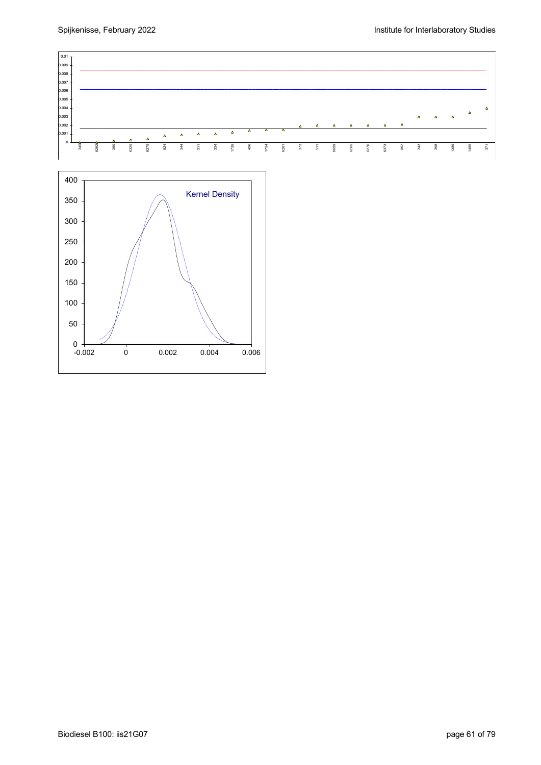

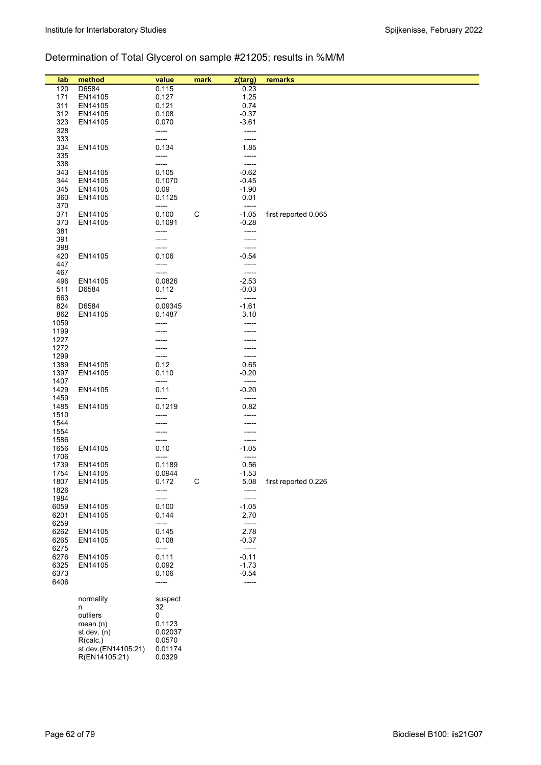# Determination of Total Glycerol on sample #21205; results in %M/M

| lab          | method                 | value           | mark        | z(targ)        | remarks              |
|--------------|------------------------|-----------------|-------------|----------------|----------------------|
| 120          | D6584                  | 0.115           |             | 0.23           |                      |
| 171          | EN14105                | 0.127           |             | 1.25           |                      |
| 311          | EN14105                | 0.121           |             | 0.74           |                      |
| 312          | EN14105                | 0.108           |             | $-0.37$        |                      |
| 323          | EN14105                | 0.070           |             | $-3.61$        |                      |
| 328          |                        | -----           |             | -----          |                      |
| 333          |                        |                 |             | -----          |                      |
| 334          | EN14105                | 0.134           |             | 1.85           |                      |
| 335          |                        | -----           |             | -----          |                      |
| 338          |                        | -----           |             | -----          |                      |
| 343          | EN14105                | 0.105           |             | $-0.62$        |                      |
| 344          | EN14105                | 0.1070          |             | $-0.45$        |                      |
| 345          | EN14105                | 0.09            |             | $-1.90$        |                      |
| 360<br>370   | EN14105                | 0.1125<br>----- |             | 0.01<br>-----  |                      |
| 371          | EN14105                | 0.100           | С           | $-1.05$        | first reported 0.065 |
| 373          | EN14105                | 0.1091          |             | $-0.28$        |                      |
| 381          |                        | -----           |             | -----          |                      |
| 391          |                        | -----           |             | -----          |                      |
| 398          |                        |                 |             | -----          |                      |
| 420          | EN14105                | 0.106           |             | $-0.54$        |                      |
| 447          |                        | -----           |             | -----          |                      |
| 467          |                        | -----           |             | -----          |                      |
| 496          | EN14105                | 0.0826          |             | $-2.53$        |                      |
| 511          | D6584                  | 0.112           |             | $-0.03$        |                      |
| 663          |                        | -----           |             | -----          |                      |
| 824          | D6584                  | 0.09345         |             | $-1.61$        |                      |
| 862          | EN14105                | 0.1487          |             | 3.10           |                      |
| 1059<br>1199 |                        |                 |             | -----          |                      |
| 1227         |                        |                 |             |                |                      |
| 1272         |                        |                 |             | -----          |                      |
| 1299         |                        |                 |             | -----          |                      |
| 1389         | EN14105                | 0.12            |             | 0.65           |                      |
| 1397         | EN14105                | 0.110           |             | $-0.20$        |                      |
| 1407         |                        | -----           |             | -----          |                      |
| 1429         | EN14105                | 0.11            |             | $-0.20$        |                      |
| 1459         |                        | -----           |             | -----          |                      |
| 1485         | EN14105                | 0.1219          |             | 0.82           |                      |
| 1510         |                        | -----           |             | -----          |                      |
| 1544<br>1554 |                        |                 |             | -----<br>----- |                      |
| 1586         |                        |                 |             | -----          |                      |
| 1656         | EN14105                | 0.10            |             | $-1.05$        |                      |
| 1706         |                        | -----           |             | -----          |                      |
| 1739         | EN14105                | 0.1189          |             | 0.56           |                      |
| 1754         | EN14105                | 0.0944          |             | $-1.53$        |                      |
| 1807         | EN14105                | 0.172           | $\mathsf C$ | 5.08           | first reported 0.226 |
| 1826         |                        | -----           |             | $-----$        |                      |
| 1984         |                        | -----           |             | -----          |                      |
| 6059         | EN14105                | 0.100           |             | $-1.05$        |                      |
| 6201<br>6259 | EN14105                | 0.144<br>-----  |             | 2.70<br>-----  |                      |
| 6262         | EN14105                | 0.145           |             | 2.78           |                      |
| 6265         | EN14105                | 0.108           |             | $-0.37$        |                      |
| 6275         |                        | -----           |             | -----          |                      |
| 6276         | EN14105                | 0.111           |             | $-0.11$        |                      |
| 6325         | EN14105                | 0.092           |             | $-1.73$        |                      |
| 6373         |                        | 0.106           |             | $-0.54$        |                      |
| 6406         |                        | -----           |             | -----          |                      |
|              |                        |                 |             |                |                      |
|              | normality              | suspect         |             |                |                      |
|              | n                      | 32              |             |                |                      |
|              | outliers<br>mean $(n)$ | 0<br>0.1123     |             |                |                      |
|              | st.dev. (n)            | 0.02037         |             |                |                      |
|              | R(calc.)               | 0.0570          |             |                |                      |
|              | st.dev.(EN14105:21)    | 0.01174         |             |                |                      |
|              | R(EN14105:21)          | 0.0329          |             |                |                      |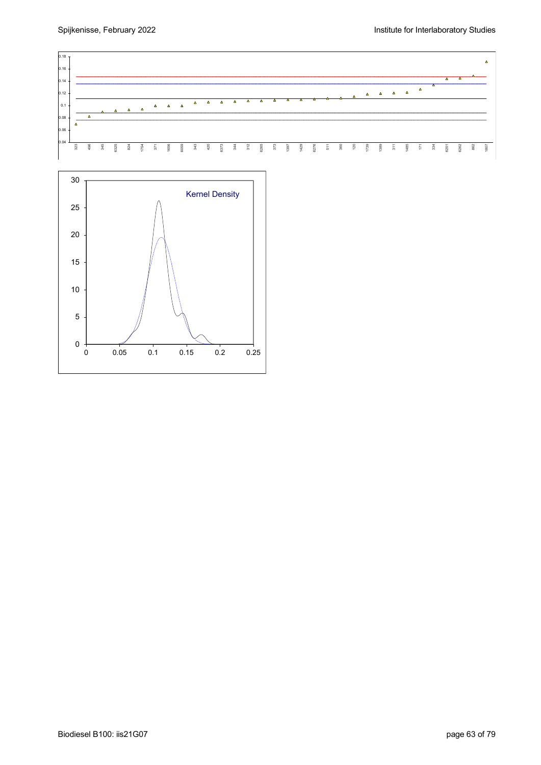

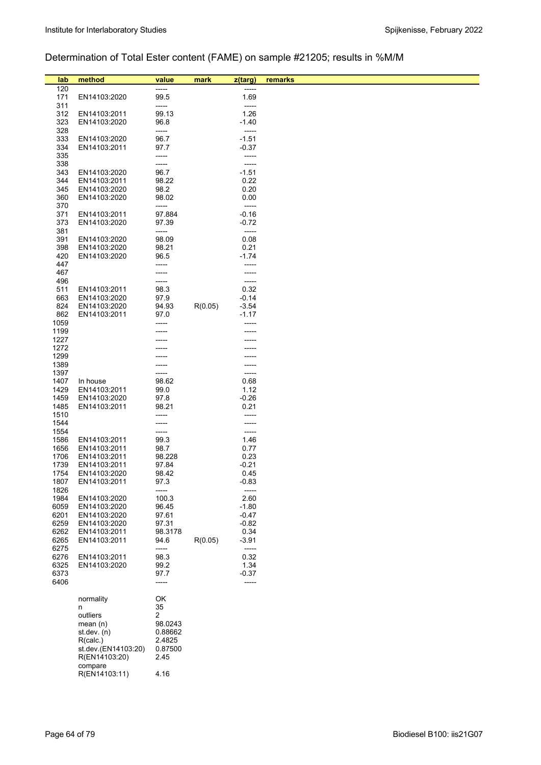## Determination of Total Ester content (FAME) on sample #21205; results in %M/M

| lab          | method              | value           | mark    | z(targ)            | remarks |
|--------------|---------------------|-----------------|---------|--------------------|---------|
| 120          |                     | -----           |         | $-----$            |         |
| 171          | EN14103:2020        | 99.5            |         | 1.69               |         |
| 311          |                     | -----           |         | -----              |         |
| 312          | EN14103:2011        | 99.13           |         | 1.26               |         |
| 323          | EN14103:2020        | 96.8            |         | $-1.40$            |         |
| 328          |                     | -----           |         | $-----$            |         |
| 333          | EN14103:2020        | 96.7            |         | $-1.51$            |         |
| 334          | EN14103:2011        | 97.7            |         | $-0.37$            |         |
| 335          |                     | -----           |         | -----              |         |
| 338          |                     | -----           |         | $-----$            |         |
| 343          | EN14103:2020        | 96.7            |         | $-1.51$            |         |
| 344          | EN14103:2011        | 98.22           |         | 0.22               |         |
| 345          | EN14103:2020        | 98.2            |         | 0.20               |         |
| 360          | EN14103:2020        | 98.02           |         | 0.00               |         |
| 370<br>371   | EN14103:2011        | -----<br>97.884 |         | $-----$<br>$-0.16$ |         |
| 373          | EN14103:2020        | 97.39           |         | $-0.72$            |         |
| 381          |                     | -----           |         | -----              |         |
| 391          | EN14103:2020        | 98.09           |         | 0.08               |         |
| 398          | EN14103:2020        | 98.21           |         | 0.21               |         |
| 420          | EN14103:2020        | 96.5            |         | $-1.74$            |         |
| 447          |                     |                 |         | -----              |         |
| 467          |                     |                 |         | -----              |         |
| 496          |                     |                 |         | -----              |         |
| 511          | EN14103:2011        | 98.3            |         | 0.32               |         |
| 663          | EN14103:2020        | 97.9            |         | $-0.14$            |         |
| 824          | EN14103:2020        | 94.93           | R(0.05) | $-3.54$            |         |
| 862          | EN14103:2011        | 97.0            |         | -1.17              |         |
| 1059         |                     |                 |         | -----              |         |
| 1199         |                     |                 |         |                    |         |
| 1227         |                     |                 |         |                    |         |
| 1272<br>1299 |                     |                 |         |                    |         |
| 1389         |                     |                 |         |                    |         |
| 1397         |                     |                 |         | -----              |         |
| 1407         | In house            | 98.62           |         | 0.68               |         |
| 1429         | EN14103:2011        | 99.0            |         | 1.12               |         |
| 1459         | EN14103:2020        | 97.8            |         | $-0.26$            |         |
| 1485         | EN14103:2011        | 98.21           |         | 0.21               |         |
| 1510         |                     |                 |         | -----              |         |
| 1544         |                     |                 |         | -----              |         |
| 1554         |                     | -----           |         | -----              |         |
| 1586         | EN14103:2011        | 99.3            |         | 1.46               |         |
| 1656         | EN14103:2011        | 98.7            |         | 0.77               |         |
| 1706         | EN14103:2011        | 98.228          |         | 0.23               |         |
| 1739         | EN14103:2011        | 97.84           |         | $-0.21$            |         |
| 1754         | EN14103:2020        | 98.42           |         | 0.45               |         |
| 1807<br>1826 | EN14103:2011        | 97.3<br>-----   |         | $-0.83$<br>-----   |         |
| 1984         | EN14103:2020        | 100.3           |         | 2.60               |         |
| 6059         | EN14103:2020        | 96.45           |         | $-1.80$            |         |
| 6201         | EN14103:2020        | 97.61           |         | $-0.47$            |         |
| 6259         | EN14103:2020        | 97.31           |         | $-0.82$            |         |
| 6262         | EN14103:2011        | 98.3178         |         | 0.34               |         |
| 6265         | EN14103:2011        | 94.6            | R(0.05) | $-3.91$            |         |
| 6275         |                     | -----           |         | -----              |         |
| 6276         | EN14103:2011        | 98.3            |         | 0.32               |         |
| 6325         | EN14103:2020        | 99.2            |         | 1.34               |         |
| 6373         |                     | 97.7            |         | $-0.37$            |         |
| 6406         |                     | -----           |         | -----              |         |
|              |                     |                 |         |                    |         |
|              | normality           | OK              |         |                    |         |
|              | n<br>outliers       | 35<br>2         |         |                    |         |
|              | mean(n)             | 98.0243         |         |                    |         |
|              | st.dev. (n)         | 0.88662         |         |                    |         |
|              | R(calc.)            | 2.4825          |         |                    |         |
|              | st.dev.(EN14103:20) | 0.87500         |         |                    |         |
|              | R(EN14103:20)       | 2.45            |         |                    |         |
|              | compare             |                 |         |                    |         |
|              | R(EN14103:11)       | 4.16            |         |                    |         |
|              |                     |                 |         |                    |         |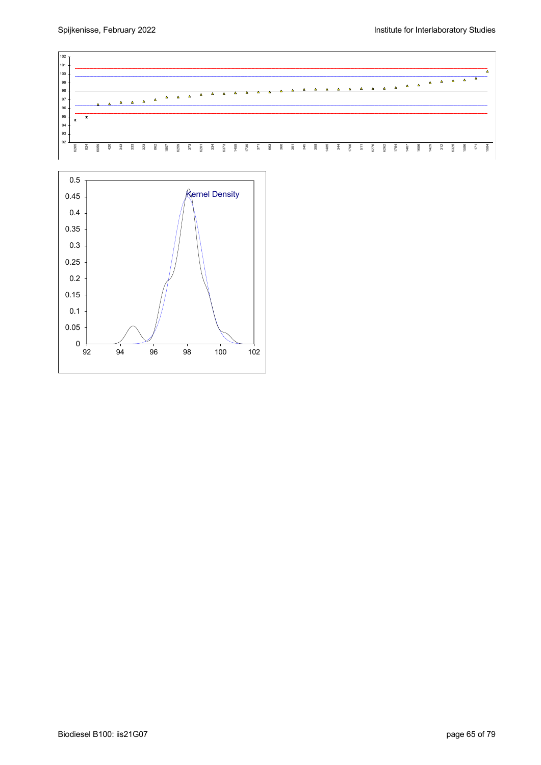

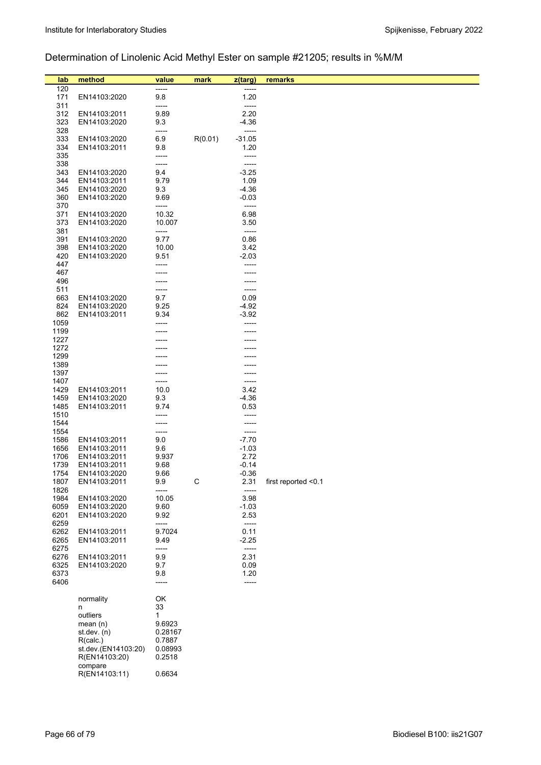## Determination of Linolenic Acid Methyl Ester on sample #21205; results in %M/M

| lab          | method                          | value             | mark        | z(targ)           | remarks             |
|--------------|---------------------------------|-------------------|-------------|-------------------|---------------------|
| 120          |                                 | -----             |             | -----             |                     |
| 171          | EN14103:2020                    | 9.8               |             | 1.20              |                     |
| 311          |                                 | -----             |             | -----             |                     |
| 312          | EN14103:2011                    | 9.89              |             | 2.20              |                     |
| 323<br>328   | EN14103:2020                    | 9.3               |             | $-4.36$           |                     |
| 333          | EN14103:2020                    | -----<br>6.9      | R(0.01)     | -----<br>$-31.05$ |                     |
| 334          | EN14103:2011                    | 9.8               |             | 1.20              |                     |
| 335          |                                 | -----             |             | -----             |                     |
| 338          |                                 | -----             |             | -----             |                     |
| 343          | EN14103:2020                    | 9.4               |             | $-3.25$           |                     |
| 344          | EN14103:2011                    | 9.79              |             | 1.09              |                     |
| 345          | EN14103:2020                    | 9.3               |             | $-4.36$           |                     |
| 360<br>370   | EN14103:2020                    | 9.69<br>-----     |             | $-0.03$<br>-----  |                     |
| 371          | EN14103:2020                    | 10.32             |             | 6.98              |                     |
| 373          | EN14103:2020                    | 10.007            |             | 3.50              |                     |
| 381          |                                 | -----             |             | -----             |                     |
| 391          | EN14103:2020                    | 9.77              |             | 0.86              |                     |
| 398          | EN14103:2020                    | 10.00             |             | 3.42              |                     |
| 420          | EN14103:2020                    | 9.51              |             | $-2.03$           |                     |
| 447<br>467   |                                 |                   |             | -----<br>-----    |                     |
| 496          |                                 |                   |             | -----             |                     |
| 511          |                                 | -----             |             | -----             |                     |
| 663          | EN14103:2020                    | 9.7               |             | 0.09              |                     |
| 824          | EN14103:2020                    | 9.25              |             | $-4.92$           |                     |
| 862          | EN14103:2011                    | 9.34              |             | -3.92             |                     |
| 1059         |                                 |                   |             |                   |                     |
| 1199<br>1227 |                                 |                   |             |                   |                     |
| 1272         |                                 |                   |             |                   |                     |
| 1299         |                                 |                   |             |                   |                     |
| 1389         |                                 |                   |             |                   |                     |
| 1397         |                                 |                   |             | -----             |                     |
| 1407         |                                 | -----             |             | -----             |                     |
| 1429<br>1459 | EN14103:2011<br>EN14103:2020    | 10.0<br>9.3       |             | 3.42<br>$-4.36$   |                     |
| 1485         | EN14103:2011                    | 9.74              |             | 0.53              |                     |
| 1510         |                                 |                   |             | -----             |                     |
| 1544         |                                 | -----             |             | -----             |                     |
| 1554         |                                 | -----             |             | -----             |                     |
| 1586         | EN14103:2011                    | 9.0               |             | $-7.70$           |                     |
| 1656         | EN14103:2011                    | 9.6               |             | $-1.03$           |                     |
| 1706<br>1739 | EN14103:2011<br>EN14103:2011    | 9.937<br>9.68     |             | 2.72<br>$-0.14$   |                     |
| 1754         | EN14103:2020                    | 9.66              |             | $-0.36$           |                     |
| 1807         | EN14103:2011                    | 9.9               | $\mathsf C$ | 2.31              | first reported <0.1 |
| 1826         |                                 | -----             |             | -----             |                     |
| 1984         | EN14103:2020                    | 10.05             |             | 3.98              |                     |
| 6059         | EN14103:2020                    | 9.60              |             | $-1.03$           |                     |
| 6201<br>6259 | EN14103:2020                    | 9.92<br>-----     |             | 2.53<br>-----     |                     |
| 6262         | EN14103:2011                    | 9.7024            |             | 0.11              |                     |
| 6265         | EN14103:2011                    | 9.49              |             | $-2.25$           |                     |
| 6275         |                                 | -----             |             | -----             |                     |
| 6276         | EN14103:2011                    | 9.9               |             | 2.31              |                     |
| 6325         | EN14103:2020                    | 9.7               |             | 0.09              |                     |
| 6373<br>6406 |                                 | 9.8<br>-----      |             | 1.20              |                     |
|              |                                 |                   |             | -----             |                     |
|              | normality                       | OK                |             |                   |                     |
|              | n                               | 33                |             |                   |                     |
|              | outliers                        | 1                 |             |                   |                     |
|              | mean $(n)$                      | 9.6923            |             |                   |                     |
|              | st. dev. (n)                    | 0.28167           |             |                   |                     |
|              | R(calc.)<br>st.dev.(EN14103:20) | 0.7887<br>0.08993 |             |                   |                     |
|              | R(EN14103:20)                   | 0.2518            |             |                   |                     |
|              | compare                         |                   |             |                   |                     |
|              | R(EN14103:11)                   | 0.6634            |             |                   |                     |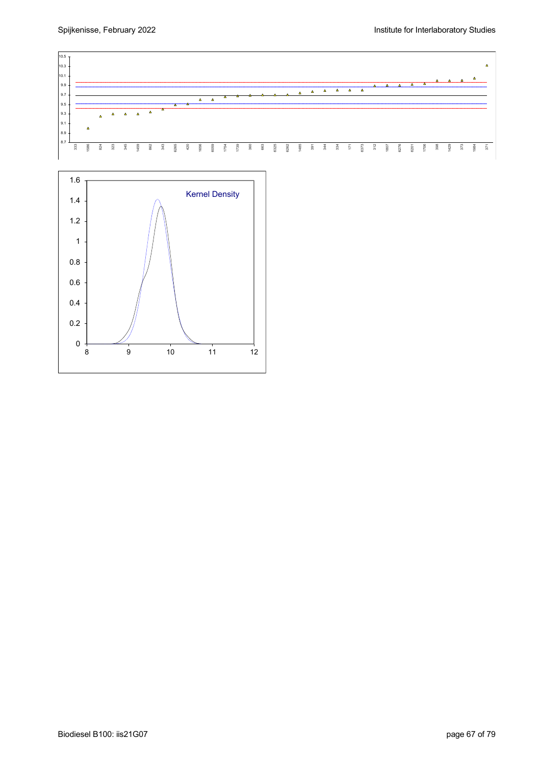

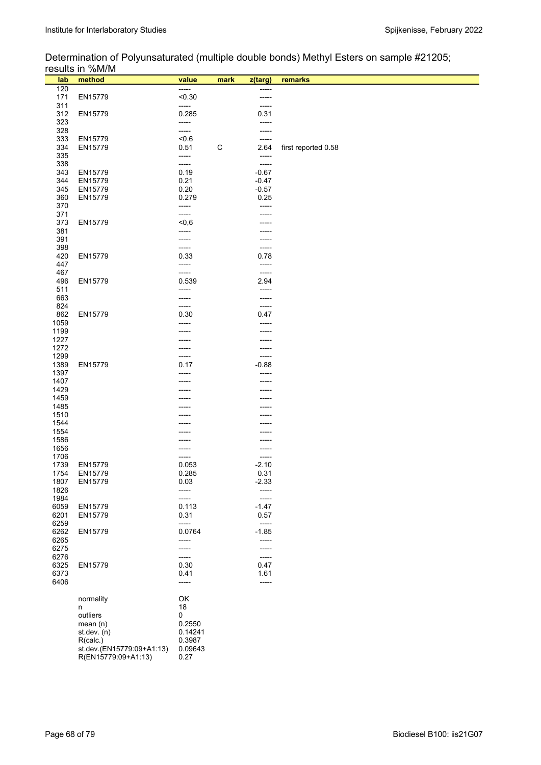#### Determination of Polyunsaturated (multiple double bonds) Methyl Esters on sample #21205; results in %M/M

|      | esuits in ‰ivi/ivi        |         |             |         |                     |
|------|---------------------------|---------|-------------|---------|---------------------|
| lab  | method                    | value   | mark        | z(targ) | remarks             |
| 120  |                           | -----   |             | -----   |                     |
| 171  | EN15779                   | < 0.30  |             | -----   |                     |
| 311  |                           | -----   |             | -----   |                     |
|      |                           | 0.285   |             |         |                     |
| 312  | EN15779                   |         |             | 0.31    |                     |
| 323  |                           | -----   |             | -----   |                     |
| 328  |                           | -----   |             | -----   |                     |
| 333  | EN15779                   | <0.6    |             | -----   |                     |
| 334  | EN15779                   | 0.51    | $\mathsf C$ | 2.64    | first reported 0.58 |
| 335  |                           | -----   |             | -----   |                     |
| 338  |                           | -----   |             | -----   |                     |
| 343  | EN15779                   | 0.19    |             | $-0.67$ |                     |
| 344  | EN15779                   | 0.21    |             | $-0.47$ |                     |
|      |                           |         |             |         |                     |
| 345  | EN15779                   | 0.20    |             | $-0.57$ |                     |
| 360  | EN15779                   | 0.279   |             | 0.25    |                     |
| 370  |                           | -----   |             | -----   |                     |
| 371  |                           | -----   |             | -----   |                     |
| 373  | EN15779                   | <0,6    |             |         |                     |
| 381  |                           | -----   |             |         |                     |
| 391  |                           | -----   |             | -----   |                     |
| 398  |                           | -----   |             | -----   |                     |
| 420  | EN15779                   | 0.33    |             | 0.78    |                     |
|      |                           |         |             |         |                     |
| 447  |                           | -----   |             | -----   |                     |
| 467  |                           | -----   |             | $-----$ |                     |
| 496  | EN15779                   | 0.539   |             | 2.94    |                     |
| 511  |                           | -----   |             | -----   |                     |
| 663  |                           | -----   |             | -----   |                     |
| 824  |                           | -----   |             | -----   |                     |
| 862  | EN15779                   | 0.30    |             | 0.47    |                     |
| 1059 |                           | -----   |             |         |                     |
| 1199 |                           |         |             |         |                     |
| 1227 |                           |         |             |         |                     |
| 1272 |                           | -----   |             | -----   |                     |
| 1299 |                           | -----   |             | -----   |                     |
| 1389 | EN15779                   | 0.17    |             | $-0.88$ |                     |
|      |                           |         |             |         |                     |
| 1397 |                           | -----   |             | -----   |                     |
| 1407 |                           |         |             | -----   |                     |
| 1429 |                           |         |             |         |                     |
| 1459 |                           |         |             |         |                     |
| 1485 |                           |         |             |         |                     |
| 1510 |                           |         |             |         |                     |
| 1544 |                           |         |             |         |                     |
| 1554 |                           |         |             |         |                     |
| 1586 |                           |         |             |         |                     |
| 1656 |                           |         |             |         |                     |
| 1706 |                           |         |             | -----   |                     |
| 1739 | EN15779                   | 0.053   |             | $-2.10$ |                     |
| 1754 | EN15779                   | 0.285   |             | 0.31    |                     |
| 1807 | EN15779                   | 0.03    |             | $-2.33$ |                     |
|      |                           | -----   |             |         |                     |
| 1826 |                           |         |             | $-----$ |                     |
| 1984 |                           | -----   |             | -----   |                     |
| 6059 | EN15779                   | 0.113   |             | $-1.47$ |                     |
| 6201 | EN15779                   | 0.31    |             | 0.57    |                     |
| 6259 |                           | -----   |             | -----   |                     |
| 6262 | EN15779                   | 0.0764  |             | $-1.85$ |                     |
| 6265 |                           | -----   |             | -----   |                     |
| 6275 |                           | -----   |             | -----   |                     |
| 6276 |                           | -----   |             | $-----$ |                     |
| 6325 | EN15779                   | 0.30    |             | 0.47    |                     |
| 6373 |                           | 0.41    |             | 1.61    |                     |
| 6406 |                           | -----   |             | -----   |                     |
|      |                           |         |             |         |                     |
|      | normality                 | OK      |             |         |                     |
|      |                           | 18      |             |         |                     |
|      | n                         |         |             |         |                     |
|      | outliers                  | 0       |             |         |                     |
|      | mean(n)                   | 0.2550  |             |         |                     |
|      | st.dev. (n)               | 0.14241 |             |         |                     |
|      | R(calc.)                  | 0.3987  |             |         |                     |
|      | st.dev.(EN15779:09+A1:13) | 0.09643 |             |         |                     |
|      | R(EN15779:09+A1:13)       | 0.27    |             |         |                     |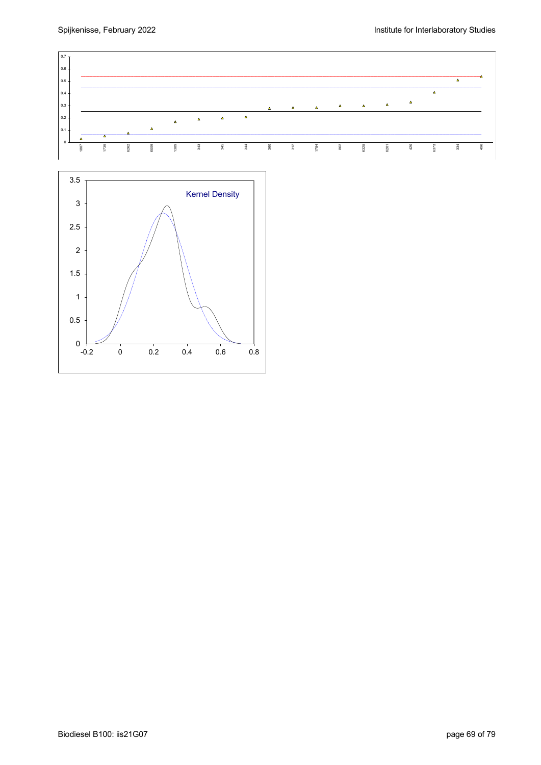

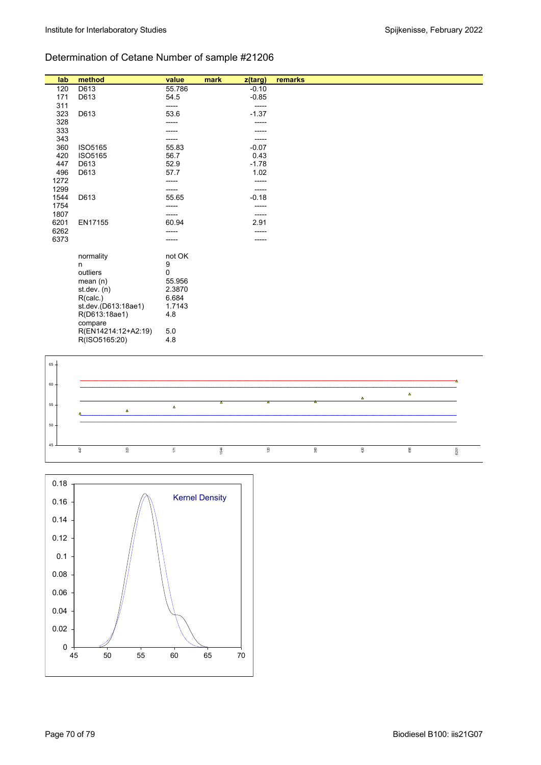## Determination of Cetane Number of sample #21206

| lab  | method              | value       | mark | z(targ) | remarks |
|------|---------------------|-------------|------|---------|---------|
| 120  | D613                | 55.786      |      | $-0.10$ |         |
| 171  | D613                | 54.5        |      | $-0.85$ |         |
| 311  |                     | -----       |      | -----   |         |
| 323  | D613                | 53.6        |      | $-1.37$ |         |
| 328  |                     |             |      |         |         |
| 333  |                     |             |      |         |         |
| 343  |                     | -----       |      |         |         |
| 360  | ISO5165             | 55.83       |      | $-0.07$ |         |
| 420  | ISO5165             | 56.7        |      | 0.43    |         |
| 447  | D613                | 52.9        |      | $-1.78$ |         |
| 496  | D613                | 57.7        |      | 1.02    |         |
| 1272 |                     | ----        |      |         |         |
| 1299 |                     |             |      |         |         |
| 1544 | D613                | 55.65       |      | $-0.18$ |         |
| 1754 |                     | -----       |      |         |         |
| 1807 |                     | -----       |      | -----   |         |
| 6201 | EN17155             | 60.94       |      | 2.91    |         |
| 6262 |                     |             |      |         |         |
| 6373 |                     | -----       |      | -----   |         |
|      |                     |             |      |         |         |
|      | normality<br>n      | not OK<br>9 |      |         |         |
|      | outliers            | 0           |      |         |         |
|      | mean (n)            | 55.956      |      |         |         |
|      | st.dev. (n)         | 2.3870      |      |         |         |
|      | R(calc.)            | 6.684       |      |         |         |
|      | st.dev.(D613:18ae1) | 1.7143      |      |         |         |
|      | R(D613:18ae1)       | 4.8         |      |         |         |
|      | compare             |             |      |         |         |
|      | R(EN14214:12+A2:19) | 5.0         |      |         |         |
|      | R(ISO5165:20)       | 4.8         |      |         |         |



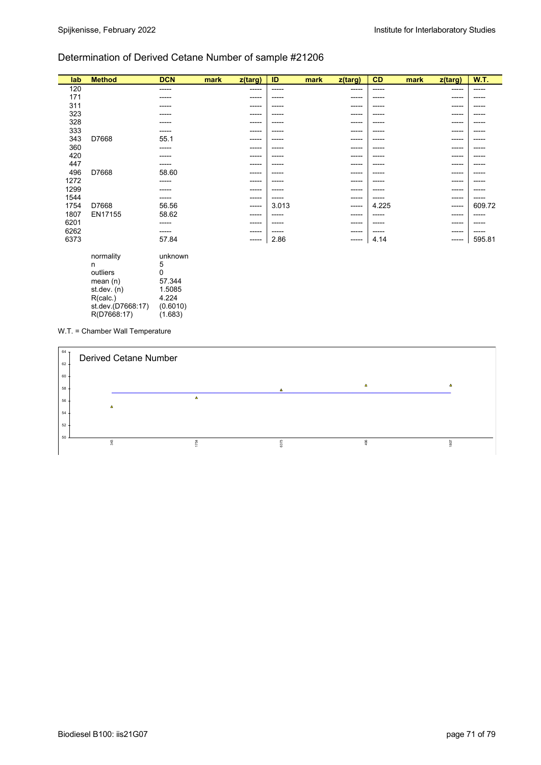## Determination of Derived Cetane Number of sample #21206

| lab  | <b>Method</b> | <b>DCN</b>           | mark | z(targ)     | ID     | mark | z(targ)     | CD    | mark | z(targ) | <b>W.T.</b> |
|------|---------------|----------------------|------|-------------|--------|------|-------------|-------|------|---------|-------------|
| 120  |               | -----                |      | -----       | ------ |      | -----       | ----- |      | -----   | $- - - - -$ |
| 171  |               | -----                |      | -----       | ------ |      | -----       | ----- |      | -----   | $- - - - -$ |
| 311  |               | -----                |      | -----       | ------ |      | -----       | ----- |      | -----   | -----       |
| 323  |               | -----                |      | -----       | ------ |      | -----       | ----- |      | -----   | $- - - - -$ |
| 328  |               | -----                |      | -----       | ------ |      | -----       | ----- |      | -----   | $---$       |
| 333  |               | -----                |      | -----       | -----  |      | -----       | ----- |      | -----   | -----       |
| 343  | D7668         | 55.1                 |      | -----       | ------ |      | -----       | ----- |      | -----   | $- - - - -$ |
| 360  |               | -----                |      | -----       | -----  |      | -----       | ----- |      | -----   | -----       |
| 420  |               | -----                |      | -----       | ------ |      | -----       | ----- |      | -----   | $- - - - -$ |
| 447  |               | -----                |      | -----       | ------ |      | -----       | ----- |      | -----   | $- - - - -$ |
| 496  | D7668         | 58.60                |      | -----       | ------ |      | -----       | ----- |      | -----   | -----       |
| 1272 |               | -----                |      | -----       | ------ |      | -----       | ----- |      | -----   | $---$       |
| 1299 |               | -----                |      | -----       | -----  |      | -----       | ----- |      | -----   | -----       |
| 1544 |               | -----                |      | -----       | ------ |      | -----       | ----- |      | -----   | ------      |
| 1754 | D7668         | 56.56                |      | -----       | 3.013  |      | -----       | 4.225 |      | ------  | 609.72      |
| 1807 | EN17155       | 58.62                |      | $---$       | ------ |      | -----       | ----- |      | -----   | $---$       |
| 6201 |               | -----                |      | -----       | ------ |      | -----       | ----- |      | -----   | $- - - - -$ |
| 6262 |               | -----                |      | -----       | ------ |      | -----       | ----- |      | -----   | $- - - - -$ |
| 6373 |               | 57.84                |      | $- - - - -$ | 2.86   |      | $- - - - -$ | 4.14  |      | -----   | 595.81      |
|      | normality     | $\mathsf{link}$ nown |      |             |        |      |             |       |      |         |             |

| normality         | unknown  |
|-------------------|----------|
| n                 | 5        |
| outliers          | U        |
| mean(n)           | 57.344   |
| st.dev. (n)       | 1.5085   |
| R(calc.)          | 4.224    |
| st.dev.(D7668:17) | (0.6010) |
| R(D7668:17)       | (1.683)  |

W.T. = Chamber Wall Temperature

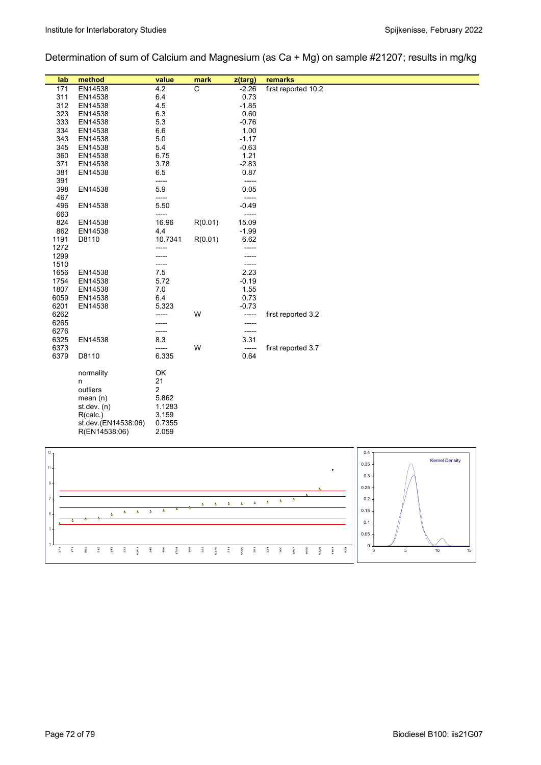# Determination of sum of Calcium and Magnesium (as Ca + Mg) on sample #21207; results in mg/kg

| lab             | method              | value   | mark           | z(targ)                  | remarks               |
|-----------------|---------------------|---------|----------------|--------------------------|-----------------------|
| 171             | EN14538             | 4.2     | $\overline{C}$ | $-2.26$                  | first reported 10.2   |
| 311             | EN14538             | 6.4     |                | 0.73                     |                       |
| 312             | EN14538             | 4.5     |                | $-1.85$                  |                       |
| 323             | EN14538             | 6.3     |                | 0.60                     |                       |
| 333             | EN14538             | 5.3     |                | $-0.76$                  |                       |
| 334             | EN14538             | 6.6     |                | 1.00                     |                       |
| 343             | EN14538             | 5.0     |                | $-1.17$                  |                       |
| 345             | EN14538             | 5.4     |                | $-0.63$                  |                       |
| 360             | EN14538             | 6.75    |                | 1.21                     |                       |
| 371             | EN14538             | 3.78    |                | $-2.83$                  |                       |
| 381             | EN14538             | 6.5     |                | 0.87                     |                       |
| 391             |                     | -----   |                | -----                    |                       |
| 398             | EN14538             | 5.9     |                | 0.05                     |                       |
| 467             |                     | -----   |                | -----                    |                       |
| 496             | EN14538             | 5.50    |                | $-0.49$                  |                       |
| 663             |                     | -----   |                | -----                    |                       |
| 824             | EN14538             | 16.96   | R(0.01)        | 15.09                    |                       |
| 862             | EN14538             | 4.4     |                | $-1.99$                  |                       |
| 1191            | D8110               | 10.7341 | R(0.01)        | 6.62                     |                       |
| 1272            |                     | -----   |                | $-----$                  |                       |
| 1299            |                     |         |                | -----                    |                       |
| 1510            |                     |         |                | $-----$                  |                       |
| 1656            | EN14538             | 7.5     |                | 2.23                     |                       |
| 1754            | EN14538             | 5.72    |                | $-0.19$                  |                       |
| 1807            | EN14538             | 7.0     |                | 1.55                     |                       |
| 6059            | EN14538             | 6.4     |                | 0.73                     |                       |
| 6201            | EN14538             | 5.323   |                | $-0.73$                  |                       |
| 6262            |                     | -----   | W              | -----                    | first reported 3.2    |
| 6265            |                     |         |                | -----                    |                       |
| 6276            |                     | -----   |                | -----                    |                       |
| 6325            | EN14538             | 8.3     |                | 3.31                     |                       |
| 6373            |                     | -----   | W              | $\overline{\phantom{a}}$ | first reported 3.7    |
| 6379            | D8110               | 6.335   |                | 0.64                     |                       |
|                 |                     |         |                |                          |                       |
|                 | normality           | OK      |                |                          |                       |
|                 | n                   | 21      |                |                          |                       |
|                 | outliers            | 2       |                |                          |                       |
|                 | mean $(n)$          | 5.862   |                |                          |                       |
|                 | st. dev. (n)        | 1.1283  |                |                          |                       |
|                 | R(calc.)            | 3.159   |                |                          |                       |
|                 | st.dev.(EN14538:06) | 0.7355  |                |                          |                       |
|                 | R(EN14538:06)       | 2.059   |                |                          |                       |
|                 |                     |         |                |                          |                       |
| 13 <sub>7</sub> |                     |         |                |                          | 0.4                   |
|                 |                     |         |                |                          | <b>Kernel Density</b> |
|                 |                     |         |                |                          | 0.35<br>Λ             |

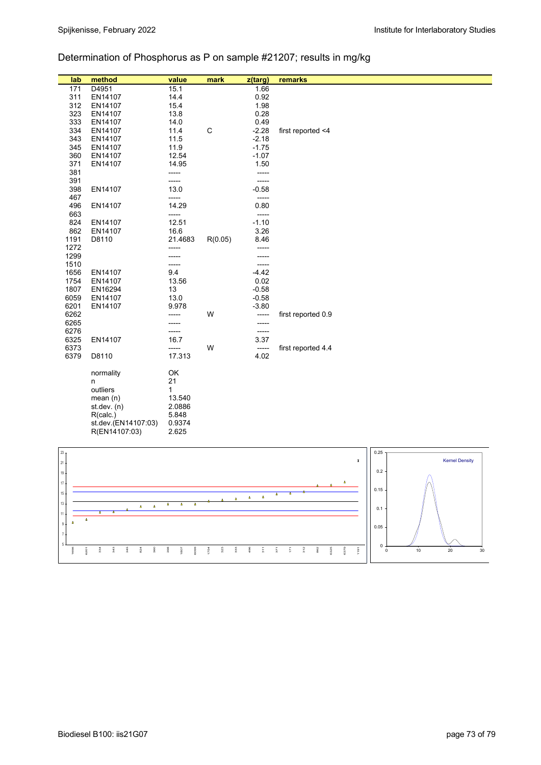# Determination of Phosphorus as P on sample #21207; results in mg/kg

| lab             | method              | value   | mark        |                 | remarks            |      |
|-----------------|---------------------|---------|-------------|-----------------|--------------------|------|
| 171             | D4951               | 15.1    |             | z(targ)<br>1.66 |                    |      |
| 311             | EN14107             | 14.4    |             | 0.92            |                    |      |
| 312             | EN14107             | 15.4    |             | 1.98            |                    |      |
| 323             | EN14107             | 13.8    |             | 0.28            |                    |      |
| 333             |                     | 14.0    |             |                 |                    |      |
| 334             | EN14107             |         | $\mathsf C$ | 0.49            |                    |      |
|                 | EN14107             | 11.4    |             | $-2.28$         | first reported <4  |      |
| 343             | EN14107             | 11.5    |             | $-2.18$         |                    |      |
| 345             | EN14107             | 11.9    |             | $-1.75$         |                    |      |
| 360             | EN14107             | 12.54   |             | $-1.07$         |                    |      |
| 371             | EN14107             | 14.95   |             | 1.50            |                    |      |
| 381             |                     | -----   |             | -----           |                    |      |
| 391             |                     | -----   |             | -----           |                    |      |
| 398             | EN14107             | 13.0    |             | $-0.58$         |                    |      |
| 467             |                     | -----   |             | -----           |                    |      |
| 496             | EN14107             | 14.29   |             | 0.80            |                    |      |
| 663             |                     | -----   |             | $-----$         |                    |      |
| 824             | EN14107             | 12.51   |             | $-1.10$         |                    |      |
| 862             | EN14107             | 16.6    |             | 3.26            |                    |      |
| 1191            | D8110               | 21.4683 | R(0.05)     | 8.46            |                    |      |
| 1272            |                     | -----   |             | -----           |                    |      |
| 1299            |                     | -----   |             | -----           |                    |      |
| 1510            |                     | -----   |             | -----           |                    |      |
| 1656            | EN14107             | 9.4     |             | $-4.42$         |                    |      |
| 1754            | EN14107             | 13.56   |             | 0.02            |                    |      |
| 1807            | EN16294             | 13      |             | $-0.58$         |                    |      |
| 6059            | EN14107             | 13.0    |             | $-0.58$         |                    |      |
| 6201            | EN14107             | 9.978   |             | $-3.80$         |                    |      |
| 6262            |                     | -----   | W           | -----           | first reported 0.9 |      |
| 6265            |                     |         |             | -----           |                    |      |
| 6276            |                     | -----   |             | -----           |                    |      |
| 6325            | EN14107             | 16.7    |             | 3.37            |                    |      |
| 6373            |                     | -----   | W           | -----           | first reported 4.4 |      |
| 6379            | D8110               | 17.313  |             | 4.02            |                    |      |
|                 | normality           | OK      |             |                 |                    |      |
|                 | n                   | 21      |             |                 |                    |      |
|                 | outliers            | 1       |             |                 |                    |      |
|                 | mean $(n)$          | 13.540  |             |                 |                    |      |
|                 | st. dev. (n)        | 2.0886  |             |                 |                    |      |
|                 | R(calc.)            | 5.848   |             |                 |                    |      |
|                 | st.dev.(EN14107:03) | 0.9374  |             |                 |                    |      |
|                 | R(EN14107:03)       | 2.625   |             |                 |                    |      |
|                 |                     |         |             |                 |                    |      |
| 23 <sub>T</sub> |                     |         |             |                 |                    | 0.25 |

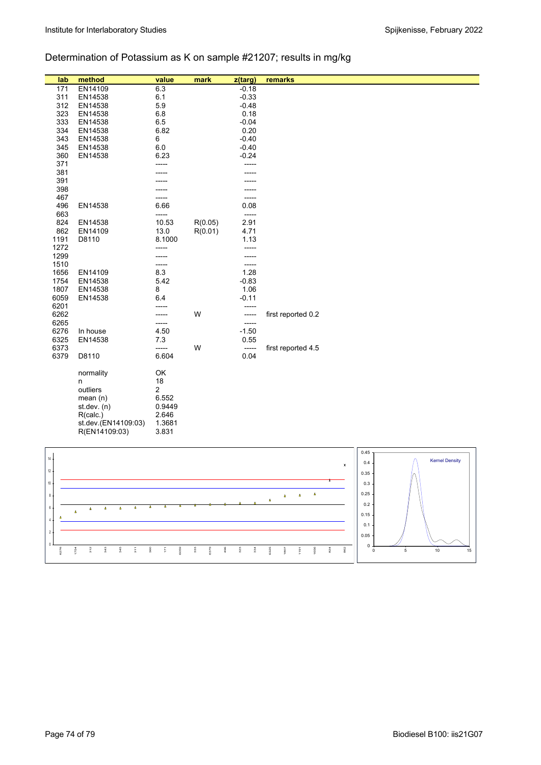# Determination of Potassium as K on sample #21207; results in mg/kg

| lab    | method              | value  | mark    | z(targ) | remarks                       |
|--------|---------------------|--------|---------|---------|-------------------------------|
| 171    | EN14109             | 6.3    |         | $-0.18$ |                               |
| 311    | EN14538             | 6.1    |         | $-0.33$ |                               |
| 312    | EN14538             | 5.9    |         | $-0.48$ |                               |
| 323    | EN14538             | 6.8    |         | 0.18    |                               |
| 333    | EN14538             | 6.5    |         | $-0.04$ |                               |
| 334    | EN14538             | 6.82   |         | 0.20    |                               |
| 343    | EN14538             | 6      |         | $-0.40$ |                               |
| 345    | EN14538             | 6.0    |         | $-0.40$ |                               |
| 360    | EN14538             | 6.23   |         | $-0.24$ |                               |
| 371    |                     |        |         | -----   |                               |
| 381    |                     |        |         |         |                               |
| 391    |                     |        |         |         |                               |
| 398    |                     |        |         |         |                               |
| 467    |                     |        |         | -----   |                               |
| 496    | EN14538             | 6.66   |         | 0.08    |                               |
| 663    |                     | -----  |         | -----   |                               |
| 824    | EN14538             | 10.53  | R(0.05) | 2.91    |                               |
| 862    | EN14109             | 13.0   | R(0.01) | 4.71    |                               |
| 1191   | D8110               | 8.1000 |         | 1.13    |                               |
| 1272   |                     | -----  |         | -----   |                               |
| 1299   |                     | -----  |         | -----   |                               |
| 1510   |                     | -----  |         | -----   |                               |
| 1656   | EN14109             | 8.3    |         | 1.28    |                               |
| 1754   | EN14538             | 5.42   |         | $-0.83$ |                               |
| 1807   | EN14538             | 8      |         | 1.06    |                               |
| 6059   | EN14538             | 6.4    |         | $-0.11$ |                               |
| 6201   |                     | -----  |         | -----   |                               |
| 6262   |                     | -----  | W       | $-----$ | first reported 0.2            |
| 6265   |                     | -----  |         | -----   |                               |
| 6276   | In house            | 4.50   |         | $-1.50$ |                               |
| 6325   | EN14538             | 7.3    |         | 0.55    |                               |
| 6373   |                     | -----  | W       | $-----$ | first reported 4.5            |
| 6379   | D8110               | 6.604  |         | 0.04    |                               |
|        | normality           | OK     |         |         |                               |
|        | n                   | 18     |         |         |                               |
|        | outliers            | 2      |         |         |                               |
|        | mean $(n)$          | 6.552  |         |         |                               |
|        | st.dev. (n)         | 0.9449 |         |         |                               |
|        | R(calc.)            | 2.646  |         |         |                               |
|        | st.dev.(EN14109:03) | 1.3681 |         |         |                               |
|        | R(EN14109:03)       | 3.831  |         |         |                               |
|        |                     |        |         |         |                               |
|        |                     |        |         |         |                               |
| $14 +$ |                     |        |         |         | 0.45<br><b>Kernel Density</b> |
|        |                     |        |         |         | $0.4\,$<br>$\pmb{\mathsf{x}}$ |

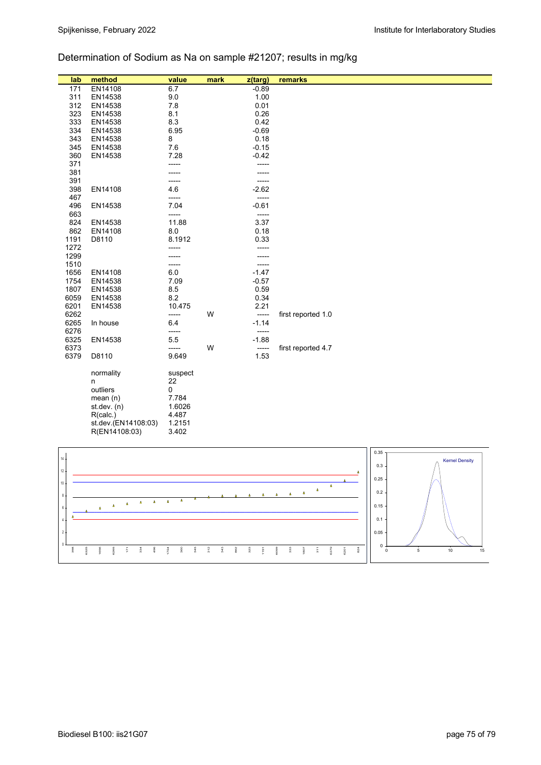# Determination of Sodium as Na on sample #21207; results in mg/kg

| lab  | method              | value       | mark | z(targ) | remarks            |
|------|---------------------|-------------|------|---------|--------------------|
| 171  | EN14108             | 6.7         |      | $-0.89$ |                    |
| 311  | EN14538             | 9.0         |      | 1.00    |                    |
| 312  | EN14538             | 7.8         |      | 0.01    |                    |
| 323  | EN14538             | 8.1         |      | 0.26    |                    |
| 333  | EN14538             | 8.3         |      | 0.42    |                    |
| 334  | EN14538             | 6.95        |      | $-0.69$ |                    |
| 343  | EN14538             | 8           |      | 0.18    |                    |
| 345  | EN14538             | 7.6         |      | $-0.15$ |                    |
| 360  | EN14538             | 7.28        |      | $-0.42$ |                    |
| 371  |                     | -----       |      | -----   |                    |
| 381  |                     | -----       |      | -----   |                    |
| 391  |                     | -----       |      | -----   |                    |
| 398  | EN14108             | 4.6         |      | $-2.62$ |                    |
| 467  |                     | -----       |      | -----   |                    |
| 496  | EN14538             | 7.04        |      | $-0.61$ |                    |
| 663  |                     | -----       |      | -----   |                    |
| 824  | EN14538             | 11.88       |      | 3.37    |                    |
| 862  | EN14108             | $8.0\,$     |      | 0.18    |                    |
| 1191 | D8110               | 8.1912      |      | 0.33    |                    |
| 1272 |                     | -----       |      | -----   |                    |
| 1299 |                     |             |      |         |                    |
| 1510 |                     | -----       |      | -----   |                    |
| 1656 | EN14108             | 6.0         |      | $-1.47$ |                    |
| 1754 | EN14538             | 7.09        |      | $-0.57$ |                    |
| 1807 | EN14538             | 8.5         |      | 0.59    |                    |
| 6059 | EN14538             | 8.2         |      | 0.34    |                    |
| 6201 | EN14538             | 10.475      |      | 2.21    |                    |
| 6262 |                     | -----       | W    | -----   | first reported 1.0 |
| 6265 | In house            | 6.4         |      | $-1.14$ |                    |
| 6276 |                     | -----       |      | -----   |                    |
| 6325 | EN14538             | 5.5         |      | $-1.88$ |                    |
| 6373 |                     | -----       | W    | -----   | first reported 4.7 |
| 6379 | D8110               | 9.649       |      | 1.53    |                    |
|      | normality           | suspect     |      |         |                    |
|      | n                   | 22          |      |         |                    |
|      | outliers            | $\mathbf 0$ |      |         |                    |
|      | mean(n)             | 7.784       |      |         |                    |
|      | st.dev. $(n)$       | 1.6026      |      |         |                    |
|      | R(calc.)            | 4.487       |      |         |                    |
|      | st.dev.(EN14108:03) | 1.2151      |      |         |                    |
|      | R(EN14108:03)       | 3.402       |      |         |                    |
|      |                     |             |      |         |                    |
|      |                     |             |      |         | 0.25               |

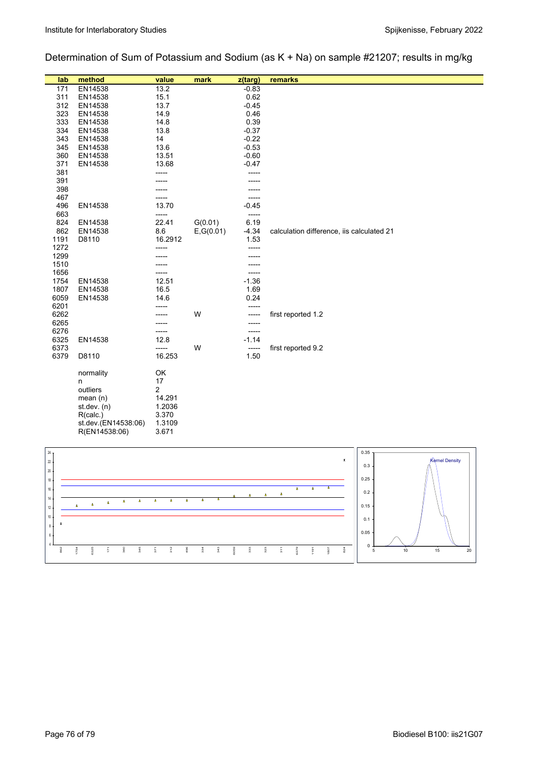## Determination of Sum of Potassium and Sodium (as K + Na) on sample #21207; results in mg/kg

| lab    | method              | value   | mark       | z(targ) | remarks                                     |
|--------|---------------------|---------|------------|---------|---------------------------------------------|
| 171    | EN14538             | 13.2    |            | $-0.83$ |                                             |
| 311    | EN14538             | 15.1    |            | 0.62    |                                             |
| 312    | EN14538             | 13.7    |            | $-0.45$ |                                             |
| 323    | EN14538             | 14.9    |            | 0.46    |                                             |
| 333    | EN14538             | 14.8    |            | 0.39    |                                             |
| 334    | EN14538             | 13.8    |            | $-0.37$ |                                             |
| 343    | EN14538             | 14      |            | $-0.22$ |                                             |
| 345    | EN14538             | 13.6    |            | $-0.53$ |                                             |
| 360    | EN14538             | 13.51   |            | $-0.60$ |                                             |
| 371    | EN14538             | 13.68   |            | $-0.47$ |                                             |
| 381    |                     | -----   |            | -----   |                                             |
| 391    |                     |         |            |         |                                             |
| 398    |                     |         |            |         |                                             |
| 467    |                     | -----   |            | -----   |                                             |
| 496    | EN14538             | 13.70   |            | $-0.45$ |                                             |
| 663    |                     | -----   |            | -----   |                                             |
| 824    | EN14538             | 22.41   | G(0.01)    | 6.19    |                                             |
| 862    | EN14538             | 8.6     | E, G(0.01) | $-4.34$ | calculation difference, iis calculated 21   |
| 1191   | D8110               | 16.2912 |            | 1.53    |                                             |
| 1272   |                     | -----   |            | -----   |                                             |
| 1299   |                     |         |            |         |                                             |
| 1510   |                     |         |            |         |                                             |
| 1656   |                     | -----   |            | -----   |                                             |
| 1754   | EN14538             | 12.51   |            | $-1.36$ |                                             |
| 1807   | EN14538             | 16.5    |            | 1.69    |                                             |
| 6059   | EN14538             | 14.6    |            | 0.24    |                                             |
| 6201   |                     | -----   |            | -----   |                                             |
| 6262   |                     |         | W          | -----   | first reported 1.2                          |
| 6265   |                     |         |            | -----   |                                             |
| 6276   |                     | -----   |            | -----   |                                             |
| 6325   | EN14538             | 12.8    |            | $-1.14$ |                                             |
| 6373   |                     | -----   | W          | -----   | first reported 9.2                          |
| 6379   | D8110               | 16.253  |            | 1.50    |                                             |
|        |                     |         |            |         |                                             |
|        | normality           | OK      |            |         |                                             |
|        | n                   | 17      |            |         |                                             |
|        | outliers            | 2       |            |         |                                             |
|        | mean $(n)$          | 14.291  |            |         |                                             |
|        | st.dev. (n)         | 1.2036  |            |         |                                             |
|        | R(calc.)            | 3.370   |            |         |                                             |
|        | st.dev.(EN14538:06) | 1.3109  |            |         |                                             |
|        | R(EN14538:06)       | 3.671   |            |         |                                             |
|        |                     |         |            |         |                                             |
| $24\,$ |                     |         |            |         | 0.35                                        |
| $22+$  |                     |         |            |         | $\pmb{\mathbf{x}}$<br><b>Kernel Density</b> |

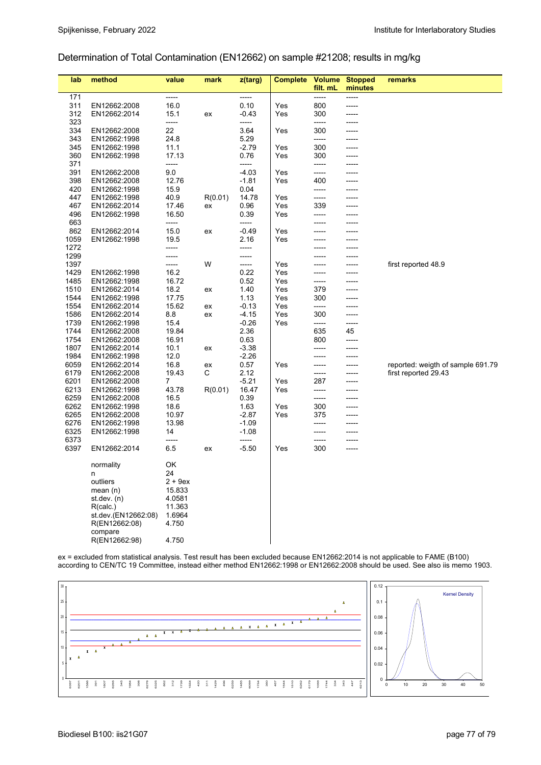### Determination of Total Contamination (EN12662) on sample #21208; results in mg/kg

| lab          | method                                                                                                                  | value                                                                | mark    | z(targ)            | <b>Complete</b> | <b>Volume</b> | <b>Stopped</b> | remarks                           |
|--------------|-------------------------------------------------------------------------------------------------------------------------|----------------------------------------------------------------------|---------|--------------------|-----------------|---------------|----------------|-----------------------------------|
|              |                                                                                                                         |                                                                      |         |                    |                 | filt. mL      | minutes        |                                   |
| 171          |                                                                                                                         | -----                                                                |         | -----              |                 | -----         | -----          |                                   |
| 311<br>312   | EN12662:2008<br>EN12662:2014                                                                                            | 16.0<br>15.1                                                         |         | 0.10<br>$-0.43$    | Yes<br>Yes      | 800<br>300    | -----          |                                   |
| 323          |                                                                                                                         | -----                                                                | ex      | -----              |                 | -----         | -----<br>----- |                                   |
| 334          | EN12662:2008                                                                                                            | 22                                                                   |         | 3.64               | Yes             | 300           | -----          |                                   |
| 343          | EN12662:1998                                                                                                            | 24.8                                                                 |         | 5.29               |                 | -----         | -----          |                                   |
| 345          | EN12662:1998                                                                                                            | 11.1                                                                 |         | $-2.79$            | Yes             | 300           | -----          |                                   |
| 360          | EN12662:1998                                                                                                            | 17.13                                                                |         | 0.76               | Yes             | 300           | -----          |                                   |
| 371          |                                                                                                                         | -----                                                                |         | -----              |                 | -----         | -----          |                                   |
| 391          | EN12662:2008                                                                                                            | 9.0                                                                  |         | $-4.03$            | Yes             | -----         | -----          |                                   |
| 398          | EN12662:2008                                                                                                            | 12.76                                                                |         | $-1.81$            | Yes             | 400           | -----          |                                   |
| 420          | EN12662:1998                                                                                                            | 15.9                                                                 |         | 0.04               |                 |               | -----          |                                   |
| 447          | EN12662:1998                                                                                                            | 40.9                                                                 | R(0.01) | 14.78              | Yes             | -----         | -----          |                                   |
| 467          | EN12662:2014                                                                                                            | 17.46                                                                | ex      | 0.96               | Yes             | 339           | -----          |                                   |
| 496          | EN12662:1998                                                                                                            | 16.50                                                                |         | 0.39               | Yes             | -----         | -----          |                                   |
| 663          |                                                                                                                         | -----                                                                |         | -----              |                 |               |                |                                   |
| 862          | EN12662:2014                                                                                                            | 15.0                                                                 | ex      | $-0.49$            | Yes             |               | -----          |                                   |
| 1059         | EN12662:1998                                                                                                            | 19.5                                                                 |         | 2.16               | Yes             |               | -----          |                                   |
| 1272         |                                                                                                                         | -----                                                                |         | -----              |                 |               | -----          |                                   |
| 1299         |                                                                                                                         | -----                                                                |         | -----              |                 |               | -----          |                                   |
| 1397         |                                                                                                                         | -----                                                                | W       | -----              | Yes             |               | -----          | first reported 48.9               |
| 1429         | EN12662:1998                                                                                                            | 16.2                                                                 |         | 0.22               | Yes             | -----         | -----          |                                   |
| 1485         | EN12662:1998                                                                                                            | 16.72                                                                |         | 0.52               | Yes             | -----         |                |                                   |
| 1510         | EN12662:2014                                                                                                            | 18.2                                                                 | ex      | 1.40               | Yes             | 379           | -----          |                                   |
| 1544         | EN12662:1998                                                                                                            | 17.75                                                                |         | 1.13               | Yes             | 300           | -----          |                                   |
| 1554<br>1586 | EN12662:2014<br>EN12662:2014                                                                                            | 15.62                                                                | ex      | $-0.13$<br>$-4.15$ | Yes<br>Yes      | -----<br>300  | -----          |                                   |
| 1739         | EN12662:1998                                                                                                            | 8.8<br>15.4                                                          | ex      | $-0.26$            | Yes             | -----         | -----<br>----- |                                   |
| 1744         | EN12662:2008                                                                                                            | 19.84                                                                |         | 2.36               |                 | 635           | 45             |                                   |
| 1754         | EN12662:2008                                                                                                            | 16.91                                                                |         | 0.63               |                 | 800           | -----          |                                   |
| 1807         | EN12662:2014                                                                                                            | 10.1                                                                 | ex      | $-3.38$            |                 | -----         |                |                                   |
| 1984         | EN12662:1998                                                                                                            | 12.0                                                                 |         | $-2.26$            |                 |               | -----          |                                   |
| 6059         | EN12662:2014                                                                                                            | 16.8                                                                 | ex      | 0.57               | Yes             |               | -----          | reported: weigth of sample 691.79 |
| 6179         | EN12662:2008                                                                                                            | 19.43                                                                | С       | 2.12               |                 | -----         | -----          | first reported 29.43              |
| 6201         | EN12662:2008                                                                                                            | 7                                                                    |         | $-5.21$            | Yes             | 287           | -----          |                                   |
| 6213         | EN12662:1998                                                                                                            | 43.78                                                                | R(0.01) | 16.47              | Yes             | -----         | -----          |                                   |
| 6259         | EN12662:2008                                                                                                            | 16.5                                                                 |         | 0.39               |                 | -----         | -----          |                                   |
| 6262         | EN12662:1998                                                                                                            | 18.6                                                                 |         | 1.63               | Yes             | 300           | -----          |                                   |
| 6265         | EN12662:2008                                                                                                            | 10.97                                                                |         | $-2.87$            | Yes             | 375           | -----          |                                   |
| 6276         | EN12662:1998                                                                                                            | 13.98                                                                |         | $-1.09$            |                 | -----         |                |                                   |
| 6325         | EN12662:1998                                                                                                            | 14                                                                   |         | $-1.08$            |                 | -----         | -----          |                                   |
| 6373         |                                                                                                                         | -----                                                                |         | -----              |                 | -----         | -----          |                                   |
| 6397         | EN12662:2014                                                                                                            | 6.5                                                                  | ex      | $-5.50$            | Yes             | 300           | -----          |                                   |
|              | normality<br>n<br>outliers<br>mean $(n)$<br>st. dev. (n)<br>R(calc.)<br>st.dev.(EN12662:08)<br>R(EN12662:08)<br>compare | OK<br>24<br>2 + 9ex<br>15.833<br>4.0581<br>11.363<br>1.6964<br>4.750 |         |                    |                 |               |                |                                   |
|              | R(EN12662:98)                                                                                                           | 4.750                                                                |         |                    |                 |               |                |                                   |

ex = excluded from statistical analysis. Test result has been excluded because EN12662:2014 is not applicable to FAME (B100) according to CEN/TC 19 Committee, instead either method EN12662:1998 or EN12662:2008 should be used. See also iis memo 1903.

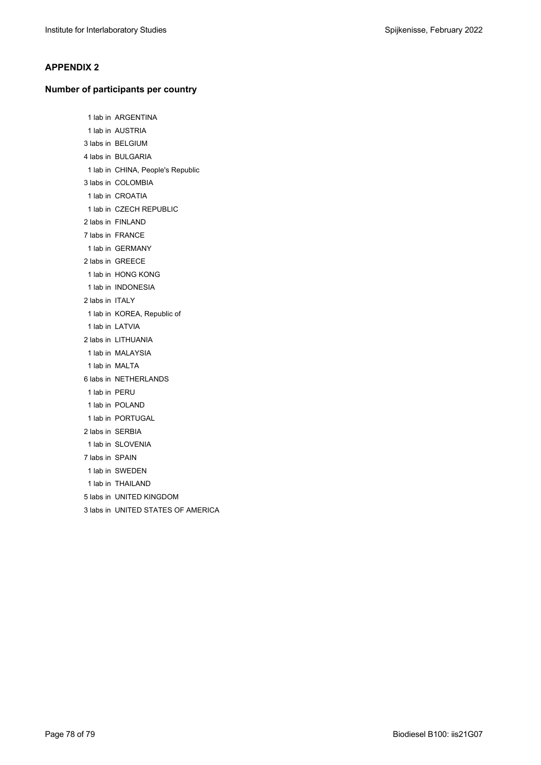### **APPENDIX 2**

#### **Number of participants per country**

 1 lab in ARGENTINA 1 lab in AUSTRIA 3 labs in BELGIUM 4 labs in BULGARIA 1 lab in CHINA, People's Republic 3 labs in COLOMBIA 1 lab in CROATIA 1 lab in CZECH REPUBLIC 2 labs in FINLAND 7 labs in FRANCE 1 lab in GERMANY 2 labs in GREECE 1 lab in HONG KONG 1 lab in INDONESIA 2 labs in ITALY 1 lab in KOREA, Republic of 1 lab in LATVIA 2 labs in LITHUANIA 1 lab in MALAYSIA 1 lab in MALTA 6 labs in NETHERLANDS 1 lab in PERU 1 lab in POLAND 1 lab in PORTUGAL 2 labs in SERBIA 1 lab in SLOVENIA 7 labs in SPAIN 1 lab in SWEDEN 1 lab in THAILAND 5 labs in UNITED KINGDOM 3 labs in UNITED STATES OF AMERICA